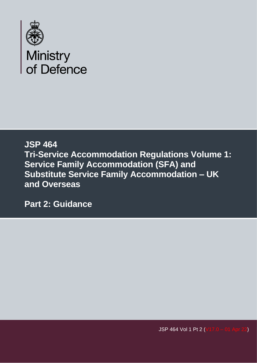

## **JSP 464 Tri-Service Accommodation Regulations Volume 1: Service Family Accommodation (SFA) and Substitute Service Family Accommodation – UK and Overseas**

**Part 2: Guidance**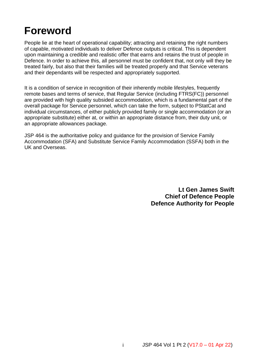## **Foreword**

People lie at the heart of operational capability; attracting and retaining the right numbers of capable, motivated individuals to deliver Defence outputs is critical. This is dependent upon maintaining a credible and realistic offer that earns and retains the trust of people in Defence. In order to achieve this, all personnel must be confident that, not only will they be treated fairly, but also that their families will be treated properly and that Service veterans and their dependants will be respected and appropriately supported.

It is a condition of service in recognition of their inherently mobile lifestyles, frequently remote bases and terms of service, that Regular Service (including FTRS(FC)) personnel are provided with high quality subsided accommodation, which is a fundamental part of the overall package for Service personnel, which can take the form, subject to PStatCat and individual circumstances, of either publicly provided family or single accommodation (or an appropriate substitute) either at, or within an appropriate distance from, their duty unit, or an appropriate allowances package.

JSP 464 is the authoritative policy and guidance for the provision of Service Family Accommodation (SFA) and Substitute Service Family Accommodation (SSFA) both in the UK and Overseas.

> **Lt Gen James Swift Chief of Defence People Defence Authority for People**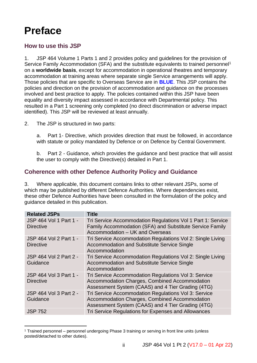## **Preface**

## **How to use this JSP**

1. JSP 464 Volume 1 Parts 1 and 2 provides policy and guidelines for the provision of Service Family Accommodation (SFA) and the substitute equivalents to trained personnel<sup>1</sup> on a **worldwide basis**, except for accommodation in operational theatres and temporary accommodation at training areas where separate single Service arrangements will apply. Those policies that are specific to Overseas Service are in **BLUE**. This JSP contains the policies and direction on the provision of accommodation and guidance on the processes involved and best practice to apply. The policies contained within this JSP have been equality and diversity impact assessed in accordance with Departmental policy. This resulted in a Part 1 screening only completed (no direct discrimination or adverse impact identified). This JSP will be reviewed at least annually.

2. The JSP is structured in two parts:

a. Part 1- Directive, which provides direction that must be followed, in accordance with statute or policy mandated by Defence or on Defence by Central Government.

b. Part 2 - Guidance, which provides the guidance and best practice that will assist the user to comply with the Directive(s) detailed in Part 1.

## **Coherence with other Defence Authority Policy and Guidance**

3. Where applicable, this document contains links to other relevant JSPs, some of which may be published by different Defence Authorities. Where dependencies exist, these other Defence Authorities have been consulted in the formulation of the policy and guidance detailed in this publication.

| <b>Related JSPs</b>                        | <b>Title</b>                                                                                                                                               |
|--------------------------------------------|------------------------------------------------------------------------------------------------------------------------------------------------------------|
| JSP 464 Vol 1 Part 1 -<br><b>Directive</b> | Tri Service Accommodation Regulations Vol 1 Part 1: Service<br>Family Accommodation (SFA) and Substitute Service Family<br>Accommodation - UK and Overseas |
| JSP 464 Vol 2 Part 1 -<br><b>Directive</b> | Tri Service Accommodation Regulations Vol 2: Single Living<br>Accommodation and Substitute Service Single<br>Accommodation                                 |
| JSP 464 Vol 2 Part 2 -<br>Guidance         | Tri Service Accommodation Regulations Vol 2: Single Living<br>Accommodation and Substitute Service Single<br>Accommodation                                 |
| JSP 464 Vol 3 Part 1 -<br><b>Directive</b> | Tri Service Accommodation Regulations Vol 3: Service<br>Accommodation Charges, Combined Accommodation<br>Assessment System (CAAS) and 4 Tier Grading (4TG) |
| JSP 464 Vol 3 Part 2 -<br>Guidance         | Tri Service Accommodation Regulations Vol 3: Service<br>Accommodation Charges, Combined Accommodation<br>Assessment System (CAAS) and 4 Tier Grading (4TG) |
| <b>JSP 752</b>                             | Tri Service Regulations for Expenses and Allowances                                                                                                        |

<sup>&</sup>lt;sup>1</sup> Trained personnel – personnel undergoing Phase 3 training or serving in front line units (unless posted/detached to other duties).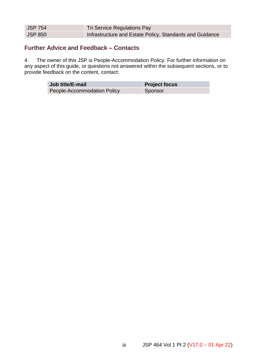| <b>JSP 754</b> | Tri Service Regulations Pay                              |
|----------------|----------------------------------------------------------|
| <b>JSP 850</b> | Infrastructure and Estate Policy, Standards and Guidance |

## **Further Advice and Feedback – Contacts**

4. The owner of this JSP is People-Accommodation Policy. For further information on any aspect of this guide, or questions not answered within the subsequent sections, or to provide feedback on the content, contact:

| Job title/E-mail            | <b>Project focus</b> |
|-----------------------------|----------------------|
| People-Accommodation Policy | Sponsor              |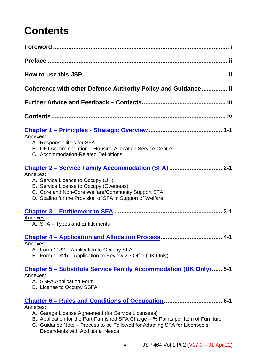## **Contents**

| Coherence with other Defence Authority Policy and Guidance ii                                                                                                                                                         |
|-----------------------------------------------------------------------------------------------------------------------------------------------------------------------------------------------------------------------|
|                                                                                                                                                                                                                       |
|                                                                                                                                                                                                                       |
|                                                                                                                                                                                                                       |
| Annexes:<br>A. Responsibilities for SFA<br>B. DIO Accommodation - Housing Allocation Service Centre<br>C. Accommodation-Related Definitions                                                                           |
| Chapter 2 - Service Family Accommodation (SFA)  2-1                                                                                                                                                                   |
| Annexes:<br>A. Service Licence to Occupy (UK)<br>B. Service License to Occupy (Overseas)<br>C. Core and Non-Core Welfare/Community Support SFA<br>D. Scaling for the Provision of SFA in Support of Welfare           |
|                                                                                                                                                                                                                       |
| Annexes:<br>A. SFA - Types and Entitlements                                                                                                                                                                           |
| Chapter 4 - Application and Allocation Process                                                                                                                                                                        |
| Annexes:<br>A. Form 1132 - Application to Occupy SFA<br>B. Form 1132b – Application to Review $2^{nd}$ Offer (UK Only)                                                                                                |
| <u> Chapter 5 – Substitute Service Family Accommodation (UK Only)</u> 5-1                                                                                                                                             |
| Annexes:<br>A. SSFA Application Form<br>B. License to Occupy SSFA                                                                                                                                                     |
|                                                                                                                                                                                                                       |
| Annexes:                                                                                                                                                                                                              |
| A. Garage License Agreement (for Service Licensees)<br>B. Application for the Part-Furnished SFA Charge – % Points per Item of Furniture<br>C. Guidance Note – Process to be Followed for Adapting SFA for Licensee's |

C. Guidance Note – Process to be Followed for Adapting SFA for Licensee's Dependents with Additional Needs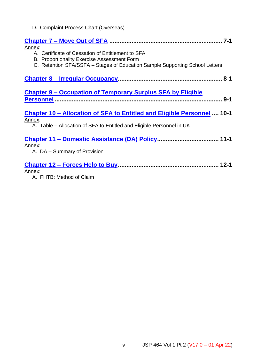| D. Complaint Process Chart (Overseas) |  |  |
|---------------------------------------|--|--|
|                                       |  |  |

| Annex:<br>A. Certificate of Cessation of Entitlement to SFA<br><b>B. Proportionality Exercise Assessment Form</b><br>C. Retention SFA/SSFA - Stages of Education Sample Supporting School Letters |
|---------------------------------------------------------------------------------------------------------------------------------------------------------------------------------------------------|
|                                                                                                                                                                                                   |
| <b>Chapter 9 – Occupation of Temporary Surplus SFA by Eligible</b>                                                                                                                                |
| Chapter 10 – Allocation of SFA to Entitled and Eligible Personnel  10-1                                                                                                                           |
| Annex:<br>A. Table – Allocation of SFA to Entitled and Eligible Personnel in UK                                                                                                                   |
| Annex:                                                                                                                                                                                            |
| A. DA - Summary of Provision                                                                                                                                                                      |
| Annex:                                                                                                                                                                                            |

A. FHTB: Method of Claim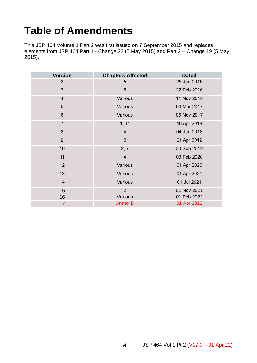# **Table of Amendments**

This JSP 464 Volume 1 Part 2 was first issued on 7 September 2015 and replaces elements from JSP 464 Part 1 - Change 22 (5 May 2015) and Part 2 – Change 19 (5 May 2015).

| <b>Version</b> | <b>Chapters Affected</b> | <b>Dated</b> |
|----------------|--------------------------|--------------|
| 2              | 5                        | 25 Jan 2016  |
| 3              | 5                        | 22 Feb 2016  |
| $\overline{4}$ | Various                  | 14 Nov 2016  |
| 5              | Various                  | 06 Mar 2017  |
| 6              | Various                  | 06 Nov 2017  |
| $\overline{7}$ | 1, 11                    | 16 Apr 2018  |
| 8              | $\overline{4}$           | 04 Jun 2018  |
| 9              | $\overline{2}$           | 01 Apr 2019  |
| 10             | 2, 7                     | 30 Sep 2019  |
| 11             | $\overline{4}$           | 03 Feb 2020  |
| 12             | Various                  | 01 Apr 2020  |
| 13             | Various                  | 01 Apr 2021  |
| 14             | Various                  | 01 Jul 2021  |
| 15             | $\overline{2}$           | 01 Nov 2021  |
| 16             | Various                  | 01 Feb 2022  |
| 17             | <b>Annex B</b>           | 01 Apr 2022  |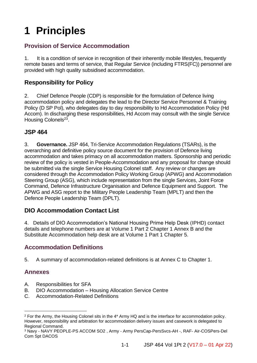# <span id="page-7-0"></span>**1 Principles**

## **Provision of Service Accommodation**

1. It is a condition of service in recognition of their inherently mobile lifestyles, frequently remote bases and terms of service, that Regular Service (including FTRS(FC)) personnel are provided with high quality subsidised accommodation.

## **Responsibility for Policy**

2. Chief Defence People (CDP) is responsible for the formulation of Defence living accommodation policy and delegates the lead to the Director Service Personnel & Training Policy (D SP Pol), who delegates day to day responsibility to Hd Accommodation Policy (Hd Accom). In discharging these responsibilities, Hd Accom may consult with the single Service Housing Colonels<sup>23</sup>.

## **JSP 464**

3. **Governance.** JSP 464, Tri-Service Accommodation Regulations (TSARs), is the overarching and definitive policy source document for the provision of Defence living accommodation and takes primacy on all accommodation matters. Sponsorship and periodic review of the policy is vested in People-Accommodation and any proposal for change should be submitted via the single Service Housing Colonel staff. Any review or changes are considered through the Accommodation Policy Working Group (APWG) and Accommodation Steering Group (ASG), which include representation from the single Services, Joint Force Command, Defence Infrastructure Organisation and Defence Equipment and Support. The APWG and ASG report to the Military People Leadership Team (MPLT) and then the Defence People Leadership Team (DPLT).

## **DIO Accommodation Contact List**

4. Details of DIO Accommodation's National Housing Prime Help Desk (IPHD) contact details and telephone numbers are at Volume 1 Part 2 Chapter 1 Annex B and the Substitute Accommodation help desk are at Volume 1 Part 1 Chapter 5.

## **Accommodation Definitions**

5. A summary of accommodation-related definitions is at Annex C to Chapter 1.

## **Annexes**

- A. Responsibilities for SFA
- B. DIO Accommodation Housing Allocation Service Centre
- C. Accommodation-Related Definitions

<sup>2</sup> For the Army, the Housing Colonel sits in the 4\* Army HQ and is the interface for accommodation policy. However, responsibility and arbitration for accommodation delivery issues and casework is delegated to Regional Command.

<sup>3</sup> Navy - NAVY PEOPLE-PS ACCOM SO2 , Army - Army PersCap-PersSvcs-AH -, RAF- Air-COSPers-Del Com Spt DACOS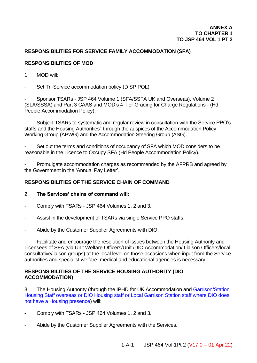#### **ANNEX A TO CHAPTER 1 TO JSP 464 VOL 1 PT 2**

#### **RESPONSIBILITIES FOR SERVICE FAMILY ACCOMMODATION (SFA)**

#### **RESPONSIBILITIES OF MOD**

- 1. MOD will:
- Set Tri-Service accommodation policy (D SP POL)

Sponsor TSARs - JSP 464 Volume 1 (SFA/SSFA UK and Overseas), Volume 2 (SLA/SSSA) and Part 3 CAAS and MOD's 4 Tier Grading for Charge Regulations - (Hd People Accommodation Policy).

Subject TSARs to systematic and regular review in consultation with the Service PPO's staffs and the Housing Authorities<sup>4</sup> through the auspices of the Accommodation Policy Working Group (APWG) and the Accommodation Steering Group (ASG).

Set out the terms and conditions of occupancy of SFA which MOD considers to be reasonable in the Licence to Occupy SFA (Hd People Accommodation Policy).

- Promulgate accommodation charges as recommended by the AFPRB and agreed by the Government in the 'Annual Pay Letter'.

#### **RESPONSIBILITIES OF THE SERVICE CHAIN OF COMMAND**

- 2. **The Services' chains of command will:**
- Comply with TSARs JSP 464 Volumes 1, 2 and 3.
- Assist in the development of TSARs via single Service PPO staffs.
- Abide by the Customer Supplier Agreements with DIO.

Facilitate and encourage the resolution of issues between the Housing Authority and Licensees of SFA (via Unit Welfare Officers/Unit /DIO Accommodation/ Liaison Officers/local consultative/liaison groups) at the local level on those occasions when input from the Service authorities and specialist welfare, medical and educational agencies is necessary.

#### **RESPONSIBILITIES OF THE SERVICE HOUSING AUTHORITY (DIO ACCOMMODATION)**

3. The Housing Authority (through the IPHD for UK Accommodation and Garrison/Station Housing Staff overseas or DIO Housing staff or Local Garrison Station staff where DIO does not have a Housing presence) will:

- Comply with TSARs JSP 464 Volumes 1, 2 and 3.
- Abide by the Customer Supplier Agreements with the Services.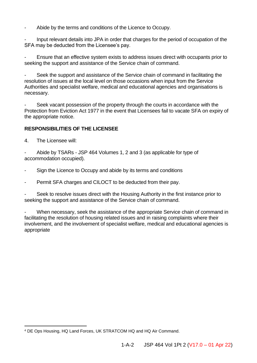Abide by the terms and conditions of the Licence to Occupy.

Input relevant details into JPA in order that charges for the period of occupation of the SFA may be deducted from the Licensee's pay.

Ensure that an effective system exists to address issues direct with occupants prior to seeking the support and assistance of the Service chain of command.

Seek the support and assistance of the Service chain of command in facilitating the resolution of issues at the local level on those occasions when input from the Service Authorities and specialist welfare, medical and educational agencies and organisations is necessary.

Seek vacant possession of the property through the courts in accordance with the Protection from Eviction Act 1977 in the event that Licensees fail to vacate SFA on expiry of the appropriate notice.

#### **RESPONSIBILITIES OF THE LICENSEE**

4. The Licensee will:

- Abide by TSARs - JSP 464 Volumes 1, 2 and 3 (as applicable for type of accommodation occupied).

Sign the Licence to Occupy and abide by its terms and conditions

Permit SFA charges and CILOCT to be deducted from their pay.

Seek to resolve issues direct with the Housing Authority in the first instance prior to seeking the support and assistance of the Service chain of command.

When necessary, seek the assistance of the appropriate Service chain of command in facilitating the resolution of housing related issues and in raising complaints where their involvement, and the involvement of specialist welfare, medical and educational agencies is appropriate

<sup>4</sup> DE Ops Housing, HQ Land Forces, UK STRATCOM HQ and HQ Air Command.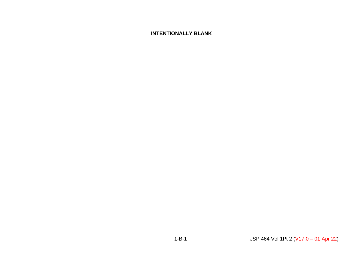#### **INTENTIONALLY BLANK**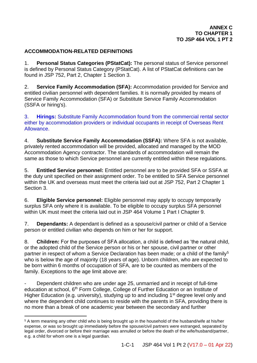#### **ANNEX C TO CHAPTER 1 TO JSP 464 VOL 1 PT 2**

#### **ACCOMMODATION-RELATED DEFINITIONS**

1. **Personal Status Categories (PStatCat):** The personal status of Service personnel is defined by Personal Status Category (PStatCat). A list of PStatCat definitions can be found in JSP 752, Part 2, Chapter 1 Section 3.

2. **Service Family Accommodation (SFA):** Accommodation provided for Service and entitled civilian personnel with dependent families. It is normally provided by means of Service Family Accommodation (SFA) or Substitute Service Family Accommodation (SSFA or hiring's).

3. **Hirings:** Substitute Family Accommodation found from the commercial rental sector either by accommodation providers or individual occupants in receipt of Overseas Rent Allowance.

4. **Substitute Service Family Accommodation (SSFA):** Where SFA is not available, privately rented accommodation will be provided, allocated and managed by the MOD Accommodation Agency contractor. The standards of accommodation will remain the same as those to which Service personnel are currently entitled within these regulations.

5. **Entitled Service personnel:** Entitled personnel are to be provided SFA or SSFA at the duty unit specified on their assignment order. To be entitled to SFA Service personnel within the UK and overseas must meet the criteria laid out at JSP 752, Part 2 Chapter 1 Section 3.

6. **Eligible Service personnel:** Eligible personnel may apply to occupy temporarily surplus SFA only where it is available. To be eligible to occupy surplus SFA personnel within UK must meet the criteria laid out in JSP 464 Volume 1 Part I Chapter 9.

7. **Dependants:** A dependant is defined as a spouse/civil partner or child of a Service person or entitled civilian who depends on him or her for support.

8. **Children:** For the purposes of SFA allocation, a child is defined as 'the natural child, or the adopted child of the Service person or his or her spouse, civil partner or other partner in respect of whom a Service Declaration has been made; or a child of the family<sup>5</sup> who is below the age of majority (18 years of age). Unborn children, who are expected to be born within 6 months of occupation of SFA, are to be counted as members of the family. Exceptions to the age limit above are:

- Dependent children who are under age 25, unmarried and in receipt of full-time education at school, 6<sup>th</sup> Form College, College of Further Education or an Institute of Higher Education (e.g. university), studying up to and including 1<sup>st</sup> degree level only and where the dependent child continues to reside with the parents in SFA, providing there is no more than a break of one academic year between the secondary and further

<sup>5</sup> A term meaning any other child who is being brought up in the household of the husband/wife at his/her expense, or was so brought up immediately before the spouse/civil partners were estranged, separated by legal order, divorced or before their marriage was annulled or before the death of the wife/husband/partner, e.g. a child for whom one is a legal guardian.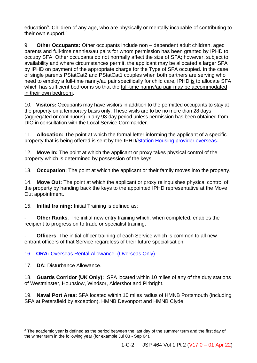education<sup>6</sup>. Children of any age, who are physically or mentally incapable of contributing to their own support.'

9. **Other Occupants:** Other occupants include non – dependent adult children, aged parents and full-time nannies/au pairs for whom permission has been granted by IPHD to occupy SFA. Other occupants do not normally affect the size of SFA; however, subject to availability and where circumstances permit, the applicant may be allocated a larger SFA by IPHD on payment of the appropriate charge for the Type of SFA occupied. In the case of single parents PStatCat2 and PStatCat1 couples when both partners are serving who need to employ a full-time nanny/au pair specifically for child care, IPHD is to allocate SFA which has sufficient bedrooms so that the full-time nanny/au pair may be accommodated in their own bedroom.

10. **Visitors:** Occupants may have visitors in addition to the permitted occupants to stay at the property on a temporary basis only. These visits are to be no more than 28 days (aggregated or continuous) in any 93-day period unless permission has been obtained from DIO in consultation with the Local Service Commander.

11. **Allocation:** The point at which the formal letter informing the applicant of a specific property that is being offered is sent by the IPHD/Station Housing provider overseas.

12. **Move In:** The point at which the applicant or proxy takes physical control of the property which is determined by possession of the keys.

13. **Occupation:** The point at which the applicant or their family moves into the property.

14. **Move Out:** The point at which the applicant or proxy relinquishes physical control of the property by handing back the keys to the appointed IPHD representative at the Move Out appointment.

15. **Initial training:** Initial Training is defined as:

**Other Ranks**. The initial new entry training which, when completed, enables the recipient to progress on to trade or specialist training.

**Officers**. The initial officer training of each Service which is common to all new entrant officers of that Service regardless of their future specialisation.

16. **ORA:** Overseas Rental Allowance. (Overseas Only)

17. **DA:** Disturbance Allowance.

18. **Guards Corridor (UK Only):** SFA located within 10 miles of any of the duty stations of Westminster, Hounslow, Windsor, Aldershot and Pirbright.

19. **Naval Port Area:** SFA located within 10 miles radius of HMNB Portsmouth (including SFA at Petersfield by exception), HMNB Devonport and HMNB Clyde.

<sup>&</sup>lt;sup>6</sup> The academic year is defined as the period between the last day of the summer term and the first day of the winter term in the following year (for example Jul 03 - Sep 04).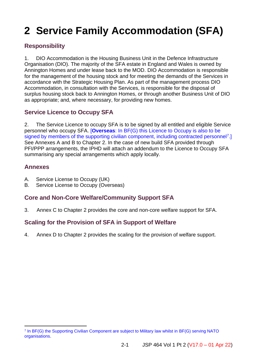# <span id="page-13-0"></span>**2 Service Family Accommodation (SFA)**

## **Responsibility**

1. DIO Accommodation is the Housing Business Unit in the Defence Infrastructure Organisation (DIO). The majority of the SFA estate in England and Wales is owned by Annington Homes and under lease back to the MOD. DIO Accommodation is responsible for the management of the housing stock and for meeting the demands of the Services in accordance with the Strategic Housing Plan. As part of the management process DIO Accommodation, in consultation with the Services, is responsible for the disposal of surplus housing stock back to Annington Homes, or through another Business Unit of DIO as appropriate; and, where necessary, for providing new homes.

## **Service Licence to Occupy SFA**

2. The Service Licence to occupy SFA is to be signed by all entitled and eligible Service personnel who occupy SFA. [**Overseas**: In BF(G) this Licence to Occupy is also to be signed by members of the supporting civilian component, including contracted personnel<sup>7</sup>.] See Annexes A and B to Chapter 2. In the case of new build SFA provided through PFI/PPP arrangements, the IPHD will attach an addendum to the Licence to Occupy SFA summarising any special arrangements which apply locally.

## **Annexes**

- A. Service License to Occupy (UK)
- B. Service License to Occupy (Overseas)

## **Core and Non-Core Welfare/Community Support SFA**

3. Annex C to Chapter 2 provides the core and non-core welfare support for SFA.

## **Scaling for the Provision of SFA in Support of Welfare**

4. Annex D to Chapter 2 provides the scaling for the provision of welfare support.

<sup>7</sup> In BF(G) the Supporting Civilian Component are subject to Military law whilst in BF(G) serving NATO organisations.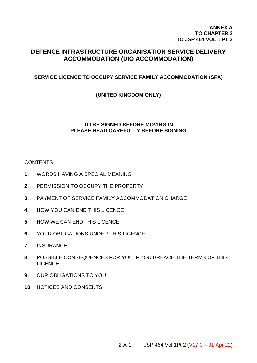## **DEFENCE INFRASTRUCTURE ORGANISATION SERVICE DELIVERY ACCOMMODATION (DIO ACCOMMODATION)**

#### **SERVICE LICENCE TO OCCUPY SERVICE FAMILY ACCOMMODATION (SFA)**

#### **(UNITED KINGDOM ONLY)**

**---------------------------------------------------------------------**

#### **TO BE SIGNED BEFORE MOVING IN PLEASE READ CAREFULLY BEFORE SIGNING**

**-----------------------------------------------------------------------**

#### CONTENTS

- **1.** WORDS HAVING A SPECIAL MEANING
- **2.** PERMISSION TO OCCUPY THE PROPERTY
- **3.** PAYMENT OF SERVICE FAMILY ACCOMMODATION CHARGE
- **4.** HOW YOU CAN END THIS LICENCE
- **5.** HOW WE CAN END THIS LICENCE
- **6.** YOUR OBLIGATIONS UNDER THIS LICENCE
- **7.** INSURANCE
- **8.** POSSIBLE CONSEQUENCES FOR YOU IF YOU BREACH THE TERMS OF THIS LICENCE
- **9.** OUR OBLIGATIONS TO YOU
- **10.** NOTICES AND CONSENTS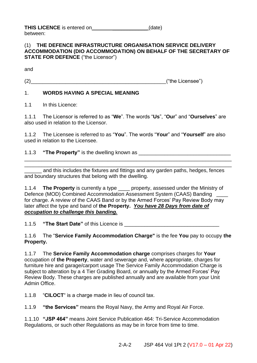**THIS LICENCE** is entered on  $(date)$ between:

#### (1) **THE DEFENCE INFRASTRUCTURE ORGANISATION SERVICE DELIVERY ACCOMMODATION (DIO ACCOMMODATION) ON BEHALF OF THE SECRETARY OF STATE FOR DEFENCE** ("the Licensor")

and

 $(2)$ 

#### 1. **WORDS HAVING A SPECIAL MEANING**

1.1 In this Licence:

1.1.1 The Licensor is referred to as "**We**". The words "**Us**", "**Our**" and "**Ourselves**" are also used in relation to the Licensor.

1.1.2 The Licensee is referred to as "**You**". The words "**Your**" and "**Yourself**" are also used in relation to the Licensee.

1.1.3 **"The Property"** is the dwelling known as \_\_\_\_\_\_\_\_\_\_\_\_\_\_\_\_\_\_\_\_\_\_\_\_\_\_\_\_\_\_\_\_

\_\_\_\_\_\_\_\_\_\_\_\_\_\_\_\_\_\_\_\_\_\_\_\_\_\_\_\_\_\_\_\_\_\_\_\_\_\_\_\_\_\_\_\_\_\_\_\_\_\_\_\_\_\_\_\_\_\_\_\_\_\_\_\_\_\_\_\_\_\_\_\_ and this includes the fixtures and fittings and any garden paths, hedges, fences and boundary structures that belong with the dwelling.

\_\_\_\_\_\_\_\_\_\_\_\_\_\_\_\_\_\_\_\_\_\_\_\_\_\_\_\_\_\_\_\_\_\_\_\_\_\_\_\_\_\_\_\_\_\_\_\_\_\_\_\_\_\_\_\_\_\_\_\_\_\_\_\_\_\_\_\_\_\_\_\_

1.1.4 **The Property** is currently a type \_\_\_\_ property, assessed under the Ministry of Defence (MOD) Combined Accommodation Assessment System (CAAS) Banding for charge. A review of the CAAS Band or by the Armed Forces' Pay Review Body may later affect the type and band of **the Property.** *You have 28 Days from date of occupation to challenge this banding.*

1.1.5 **"The Start Date"** of this Licence is \_\_\_\_\_\_\_\_\_\_\_\_\_\_\_\_\_\_\_\_\_\_\_\_\_\_\_\_\_\_\_\_\_

1.1.6 The "**Service Family Accommodation Charge"** is the fee **You** pay to occupy **the Property.** 

1.1.7 The **Service Family Accommodation charge** comprises charges for **Your** occupation of **the Property**, water and sewerage and, where appropriate, charges for furniture hire and garage/carport usage The Service Family Accommodation Charge is subject to alteration by a 4 Tier Grading Board, or annually by the Armed Forces' Pay Review Body. These charges are published annually and are available from your Unit Admin Office.

1.1.8 "**CILOCT**" is a charge made in lieu of council tax.

1.1.9 **"the Services"** means the Royal Navy, the Army and Royal Air Force.

1.1.10 **"JSP 464"** means Joint Service Publication 464: Tri-Service Accommodation Regulations, or such other Regulations as may be in force from time to time.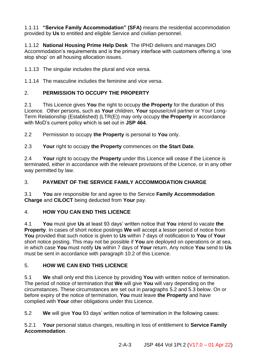1.1.11 **"Service Family Accommodation" (SFA)** means the residential accommodation provided by **Us** to entitled and eligible Service and civilian personnel.

1.1.12 **National Housing Prime Help Desk** The IPHD delivers and manages DIO Accommodation's requirements and is the primary interface with customers offering a 'one stop shop' on all housing allocation issues.

1.1.13 The singular includes the plural and vice versa.

1.1.14 The masculine includes the feminine and vice versa.

## 2. **PERMISSION TO OCCUPY THE PROPERTY**

2.1 This Licence gives **You** the right to occupy **the Property** for the duration of this Licence. Other persons, such as **Your** children, **Your** spouse/civil partner or Your Long-Term Relationship (Established) (LTR(E)) may only occupy **the Property** in accordance with MoD's current policy which is set out in **JSP 464**.

2.2 Permission to occupy **the Property** is personal to **You** only.

2.3 **Your** right to occupy **the Property** commences on **the Start Date**.

2.4 **Your** right to occupy the **Property** under this Licence will cease if the Licence is terminated, either in accordance with the relevant provisions of the Licence, or in any other way permitted by law.

## 3. **PAYMENT OF THE SERVICE FAMILY ACCOMMODATION CHARGE**

3.1 **You** are responsible for and agree to the Service **Family Accommodation Charge** and **CILOCT** being deducted from **Your** pay.

## 4. **HOW YOU CAN END THIS LICENCE**

4.1 **You** must give **Us** at least 93 days' written notice that **You** intend to vacate **the Property**. In cases of short notice postings **We** will accept a lesser period of notice from **You** provided that such notice is given to **Us** within 7 days of notification to **You** of **Your** short notice posting. This may not be possible if **You** are deployed on operations or at sea, in which case **You** must notify **Us** within 7 days of **Your** return. Any notice **You** send to **Us** must be sent in accordance with paragraph 10.2 of this Licence.

## 5. **HOW WE CAN END THIS LICENCE**

5.1 **We** shall only end this Licence by providing **You** with written notice of termination. The period of notice of termination that **We** will give **You** will vary depending on the circumstances. These circumstances are set out in paragraphs 5.2 and 5.3 below. On or before expiry of the notice of termination, **You** must leave **the Property** and have complied with **Your** other obligations under this Licence.

5.2 **We** will give **You** 93 days' written notice of termination in the following cases:

5.2.1 **Your** personal status changes, resulting in loss of entitlement to **Service Family Accommodation**.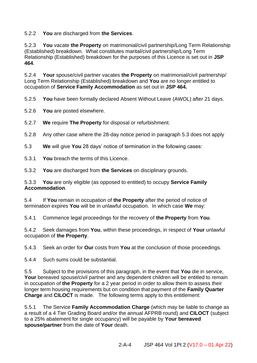#### 5.2.2 **You** are discharged from **the Services**.

5.2.3 **You** vacate **the Property** on matrimonial/civil partnership/Long Term Relationship (Established) breakdown. What constitutes marital/civil partnership/Long Term Relationship (Established) breakdown for the purposes of this Licence is set out in **JSP 464**.

5.2.4 **Your** spouse/civil partner vacates **the Property** on matrimonial/civil partnership/ Long Term Relationship (Established) breakdown and **You** are no longer entitled to occupation of **Service Family Accommodation** as set out in **JSP 464.**

5.2.5 **You** have been formally declared Absent Without Leave (AWOL) after 21 days.

- 5.2.6 **You** are posted elsewhere.
- 5.2.7 **We** require **The Property** for disposal or refurbishment.

5.2.8 Any other case where the 28-day notice period in paragraph 5.3 does not apply

- 5.3 **We** will give **You** 28 days' notice of termination in the following cases:
- 5.3.1 **You** breach the terms of this Licence.

5.3.2 **You** are discharged from **the Services** on disciplinary grounds.

5.3.3 **You** are only eligible (as opposed to entitled) to occupy **Service Family Accommodation**.

5.4 If **You** remain in occupation of **the Property** after the period of notice of termination expires **You** will be in unlawful occupation. In which case **We** may:

5.4.1 Commence legal proceedings for the recovery of **the Property** from **You**.

5.4.2 Seek damages from **You**, within these proceedings, in respect of **Your** unlawful occupation of **the Property**.

5.4.3 Seek an order for **Our** costs from **You** at the conclusion of those proceedings.

5.4.4 Such sums could be substantial.

5.5 Subject to the provisions of this paragraph, in the event that **You** die in service, Your bereaved spouse/civil partner and any dependent children will be entitled to remain in occupation of **the Property** for a 2 year period in order to allow them to assess their longer term housing requirements but on condition that payment of the **Family Quarter Charge** and **CILOCT** is made. The following terms apply to this entitlement:

5.5.1 The Service **Family Accommodation Charge** (which may be liable to change as a result of a 4 Tier Grading Board and/or the annual AFPRB round) and **CILOCT** (subject to a 25% abatement for single occupancy) will be payable by **Your bereaved spouse/partner** from the date of **Your** death.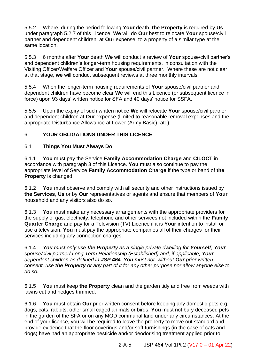5.5.2 Where, during the period following **Your** death, **the Property** is required by **Us** under paragraph 5.2.7 of this Licence, **We** will do **Our** best to relocate **Your** spouse/civil partner and dependent children, at **Our** expense, to a property of a similar type at the same location.

5.5.3 6 months after **Your** death **We** will conduct a review of **Your** spouse/civil partner's and dependent children's longer-term housing requirements, in consultation with the Visiting Officer/Welfare Officer and **Your** spouse/civil partner. Where these are not clear at that stage, **we** will conduct subsequent reviews at three monthly intervals.

5.5.4 When the longer-term housing requirements of **Your** spouse/civil partner and dependent children have become clear **We** will end this Licence (or subsequent licence in force) upon 93 days' written notice for SFA and 40 days' notice for SSFA.

5.5.5 Upon the expiry of such written notice **We** will relocate **Your** spouse/civil partner and dependent children at **Our** expense (limited to reasonable removal expenses and the appropriate Disturbance Allowance at Lower (Army Basic) rate).

## 6. **YOUR OBLIGATIONS UNDER THIS LICENCE**

## 6.1 **Things You Must Always Do**

6.1.1 **You** must pay the Service **Family Accommodation Charge** and **CILOCT** in accordance with paragraph 3 of this Licence. **You** must also continue to pay the appropriate level of Service **Family Accommodation Charge** if the type or band of **the Property** is changed.

6.1.2 **You** must observe and comply with all security and other instructions issued by **the Services**, **Us** or by **Our** representatives or agents and ensure that members of **Your**  household and any visitors also do so.

6.1.3 **You** must make any necessary arrangements with the appropriate providers for the supply of gas, electricity, telephone and other services not included within the **Family Quarter Charge** and pay for a Television (TV) Licence if it is **Your** intention to install or use a television. **You** must pay the appropriate companies all of their charges for their services including any connection charges.

6.1.4 *You must only use the Property as a single private dwelling for Yourself, Your spouse/civil partner/ Long Term Relationship (Established) and, if applicable, Your dependent children as defined in JSP 464. You must not, without Our prior written consent, use the Property or any part of it for any other purpose nor allow anyone else to do so.*

6.1.5 **You** must keep **the Property** clean and the garden tidy and free from weeds with lawns cut and hedges trimmed.

6.1.6 **You** must obtain **Our** prior written consent before keeping any domestic pets e.g. dogs, cats, rabbits, other small caged animals or birds. **You** must not bury deceased pets in the garden of the SFA or on any MOD communal land under any circumstances. At the end of your licence, you will be required to leave the property to move out standard and provide evidence that the floor coverings and/or soft furnishings (in the case of cats and dogs) have had an appropriate pesticide and/or deodorising treatment applied prior to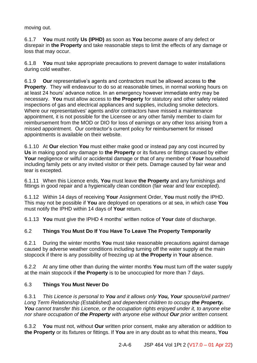moving out.

6.1.7 **You** must notify **Us (IPHD)** as soon as **You** become aware of any defect or disrepair in **the Property** and take reasonable steps to limit the effects of any damage or loss that may occur.

6.1.8 **You** must take appropriate precautions to prevent damage to water installations during cold weather.

6.1.9 **Our** representative's agents and contractors must be allowed access to **the Property**. They will endeavour to do so at reasonable times, in normal working hours on at least 24 hours' advance notice. In an emergency however immediate entry may be necessary. **You** must allow access to **the Property** for statutory and other safety related inspections of gas and electrical appliances and supplies, including smoke detectors. Where our representatives' agents and/or contractors have missed a maintenance appointment, it is not possible for the Licensee or any other family member to claim for reimbursement from the MOD or DIO for loss of earnings or any other loss arising from a missed appointment. Our contractor's current policy for reimbursement for missed appointments is available on their website.

6.1.10 At **Our** election **You** must either make good or instead pay any cost incurred by **Us** in making good any damage to **the Property** or its fixtures or fittings caused by either **Your** negligence or wilful or accidental damage or that of any member of **Your** household including family pets or any invited visitor or their pets. Damage caused by fair wear and tear is excepted.

6.1.11 When this Licence ends, **You** must leave **the Property** and any furnishings and fittings in good repair and a hygienically clean condition (fair wear and tear excepted).

6.1.12 Within 14 days of receiving **Your** Assignment Order, **You** must notify the IPHD. This may not be possible if **You** are deployed on operations or at sea, in which case **You** must notify the IPHD within 14 days of **Your** return.

6.1.13 **You** must give the IPHD 4 months' written notice of **Your** date of discharge.

## 6.2 **Things You Must Do If You Have To Leave The Property Temporarily**

6.2.1 During the winter months **You** must take reasonable precautions against damage caused by adverse weather conditions including turning off the water supply at the main stopcock if there is any possibility of freezing up at **the Property** in **Your** absence.

6.2.2 At any time other than during the winter months **You** must turn off the water supply at the main stopcock if **the Property** is to be unoccupied for more than 7 days.

## 6.3 **Things You Must Never Do**

6.3.1 *This Licence is personal to You and it allows only You, Your spouse/civil partner/ Long Term Relationship (Established) and dependent children to occupy the Property. You cannot transfer this Licence, or the occupation rights enjoyed under it, to anyone else nor share occupation of the Property with anyone else without Our prior written consent.* 

6.3.2 **You** must not, without **Our** written prior consent, make any alteration or addition to **the Property** or its fixtures or fittings. If **You** are in any doubt as to what this means, **You**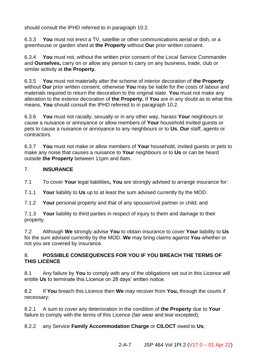should consult the IPHD referred to in paragraph 10.2.

6.3.3 **You** must not erect a TV, satellite or other communications aerial or dish, or a greenhouse or garden shed at **the Property** without **Our** prior written consent.

6.3.4 **You** must not, without the written prior consent of the Local Service Commander and **Ourselves,** carry on or allow any person to carry on any business, trade, club or similar activity at **the Property.**

6.3.5 **You** must not materially alter the scheme of interior decoration of **the Property** without **Our** prior written consent, otherwise **You** may be liable for the costs of labour and materials required to return the decoration to the original state. **You** must not make any alteration to the exterior decoration of **the Property.** If **You** are in any doubt as to what this means, **You** should consult the IPHD referred to in paragraph 10.2.

6.3.6 **You** must not racially, sexually or in any other way, harass **Your** neighbours or cause a nuisance or annoyance or allow members of **Your** household invited guests or pets to cause a nuisance or annoyance to any neighbours or to **Us**, **Our** staff, agents or contractors.

6.3.7 **You** must not make or allow members of **Your** household, invited guests or pets to make any noise that causes a nuisance to **Your** neighbours or to **Us** or can be heard outside **the Property** between 11pm and 8am.

#### 7. **INSURANCE**

7.1 To cover **Your** legal liabilities**, You** are strongly advised to arrange insurance for:

7.1.1 **Your** liability to **Us** up to at least the sum advised currently by the MOD.

7.1.2 **Your** personal property and that of any spouse/civil partner or child; and

7.1.3 **Your** liability to third parties in respect of injury to them and damage to their property.

7.2 Although **We** strongly advise **You** to obtain insurance to cover **Your** liability to **Us**  for the sum advised currently by the MOD. **We** may bring claims against **You** whether or not you are covered by insurance.

#### 8. **POSSIBLE CONSEQUENCES FOR YOU IF YOU BREACH THE TERMS OF THIS LICENCE**

8.1 Any failure by **You** to comply with any of the obligations set out in this Licence will entitle **Us** to terminate this Licence on 28 days' written notice.

8.2 If **You** breach this Licence then **We** may recover from **You,** through the courts if necessary:

8.2.1 A sum to cover any deterioration in the condition of **the Property** due to **Your**  failure to comply with the terms of this Licence (fair wear and tear excepted);

8.2.2 any Service **Family Accommodation Charge** or **CILOCT** owed to **Us**;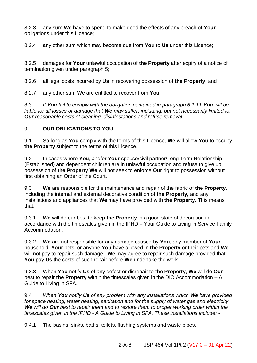8.2.3 any sum **We** have to spend to make good the effects of any breach of **Your**  obligations under this Licence;

8.2.4 any other sum which may become due from **You** to **Us** under this Licence;

8.2.5 damages for **Your** unlawful occupation of **the Property** after expiry of a notice of termination given under paragraph 5;

8.2.6 all legal costs incurred by **Us** in recovering possession of **the Property**; and

8.2.7 any other sum **We** are entitled to recover from **You**

8.3 *If You fail to comply with the obligation contained in paragraph 6.1.11 You will be liable for all losses or damage that We may suffer, including, but not necessarily limited to, Our reasonable costs of cleaning, disinfestations and refuse removal.*

#### 9. **OUR OBLIGATIONS TO YOU**

9.1 So long as **You** comply with the terms of this Licence, **We** will allow **You** to occupy **the Property** subject to the terms of this Licence.

9.2 In cases where **You**, and/or **Your** spouse/civil partner/Long Term Relationship (Established) and dependent children are in unlawful occupation and refuse to give up possession of **the Property We** will not seek to enforce **Our** right to possession without first obtaining an Order of the Court.

9.3 **We** are responsible for the maintenance and repair of the fabric of **the Property,**  including the internal and external decorative condition of **the Property,** and any installations and appliances that **We** may have provided with **the Property**. This means that:

9.3.1 **We** will do our best to keep **the Property** in a good state of decoration in accordance with the timescales given in the IPHD – Your Guide to Living in Service Family Accommodation.

9.3.2 **We** are not responsible for any damage caused by **You**, any member of **Your** household, **Your** pets, or anyone **You** have allowed in **the Property** or their pets and **We** will not pay to repair such damage. **We** may agree to repair such damage provided that **You** pay **Us** the costs of such repair before **We** undertake the work.

9.3.3 When **You** notify **Us** of any defect or disrepair to **the Property**, **We** will do **Our**  best to repair **the Property** within the timescales given in the DIO Accommodation – A Guide to Living in SFA.

9.4 *When You notify Us of any problem with any installations which We have provided for space heating, water heating, sanitation and for the supply of water gas and electricity We will do Our best to repair them and to restore them to proper working order within the timescales given in the IPHD - A Guide to Living in SFA. These installations include: -*

9.4.1 The basins, sinks, baths, toilets, flushing systems and waste pipes.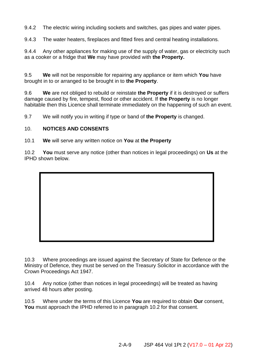9.4.2 The electric wiring including sockets and switches, gas pipes and water pipes.

9.4.3 The water heaters, fireplaces and fitted fires and central heating installations.

9.4.4 Any other appliances for making use of the supply of water, gas or electricity such as a cooker or a fridge that **We** may have provided with **the Property.** 

9.5 **We** will not be responsible for repairing any appliance or item which **You** have brought in to or arranged to be brought in to **the Property**.

9.6 **We** are not obliged to rebuild or reinstate **the Property** if it is destroyed or suffers damage caused by fire, tempest, flood or other accident. If **the Property** is no longer habitable then this Licence shall terminate immediately on the happening of such an event.

9.7 We will notify you in writing if type or band of **the Property** is changed.

#### 10. **NOTICES AND CONSENTS**

10.1 **We** will serve any written notice on **You** at **the Property**

10.2 **You** must serve any notice (other than notices in legal proceedings) on **Us** at the IPHD shown below.



10.3 Where proceedings are issued against the Secretary of State for Defence or the Ministry of Defence, they must be served on the Treasury Solicitor in accordance with the Crown Proceedings Act 1947.

10.4 Any notice (other than notices in legal proceedings) will be treated as having arrived 48 hours after posting.

10.5 Where under the terms of this Licence **You** are required to obtain **Our** consent, **You** must approach the IPHD referred to in paragraph 10.2 for that consent.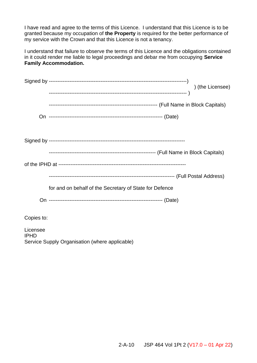I have read and agree to the terms of this Licence. I understand that this Licence is to be granted because my occupation of **the Property** is required for the better performance of my service with the Crown and that this Licence is not a tenancy.

I understand that failure to observe the terms of this Licence and the obligations contained in it could render me liable to legal proceedings and debar me from occupying **Service Family Accommodation.** 

|               | ) (the Licensee)                                        |
|---------------|---------------------------------------------------------|
|               |                                                         |
|               |                                                         |
|               |                                                         |
|               |                                                         |
|               |                                                         |
|               |                                                         |
|               |                                                         |
|               | for and on behalf of the Secretary of State for Defence |
|               |                                                         |
| Copies to:    |                                                         |
| 1. <i>.</i> . |                                                         |

Licensee IPHD Service Supply Organisation (where applicable)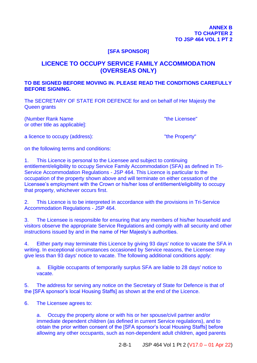#### **[SFA SPONSOR]**

## **LICENCE TO OCCUPY SERVICE FAMILY ACCOMMODATION (OVERSEAS ONLY)**

#### **TO BE SIGNED BEFORE MOVING IN. PLEASE READ THE CONDITIONS CAREFULLY BEFORE SIGNING.**

The SECRETARY OF STATE FOR DEFENCE for and on behalf of Her Majesty the Queen grants

(Number Rank Name "the Licensee" or other title as applicable]:

a licence to occupy (address): "the Property"

on the following terms and conditions:

1. This Licence is personal to the Licensee and subject to continuing entitlement/eligibility to occupy Service Family Accommodation (SFA) as defined in Tri-Service Accommodation Regulations - JSP 464. This Licence is particular to the occupation of the property shown above and will terminate on either cessation of the Licensee's employment with the Crown or his/her loss of entitlement/eligibility to occupy that property, whichever occurs first.

2. This Licence is to be interpreted in accordance with the provisions in Tri-Service Accommodation Regulations - JSP 464.

3. The Licensee is responsible for ensuring that any members of his/her household and visitors observe the appropriate Service Regulations and comply with all security and other instructions issued by and in the name of Her Majesty's authorities.

4. Either party may terminate this Licence by giving 93 days' notice to vacate the SFA in writing. In exceptional circumstances occasioned by Service reasons, the Licensee may give less than 93 days' notice to vacate. The following additional conditions apply:

a. Eligible occupants of temporarily surplus SFA are liable to 28 days' notice to vacate.

5. The address for serving any notice on the Secretary of State for Defence is that of the [SFA sponsor's local Housing Staffs] as shown at the end of the Licence.

6. The Licensee agrees to:

a. Occupy the property alone or with his or her spouse/civil partner and/or immediate dependent children (as defined in current Service regulations), and to obtain the prior written consent of the [SFA sponsor's local Housing Staffs] before allowing any other occupants, such as non-dependent adult children, aged parents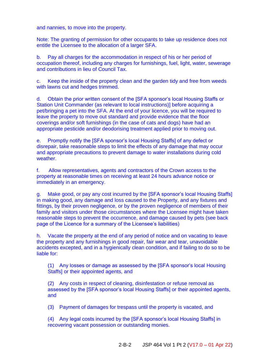and nannies, to move into the property.

Note: The granting of permission for other occupants to take up residence does not entitle the Licensee to the allocation of a larger SFA.

b. Pay all charges for the accommodation in respect of his or her period of occupation thereof, including any charges for furnishings, fuel, light, water, sewerage and contributions in lieu of Council Tax.

c. Keep the inside of the property clean and the garden tidy and free from weeds with lawns cut and hedges trimmed.

d. Obtain the prior written consent of the [SFA sponsor's local Housing Staffs or Station Unit Commander (as relevant to local instructions)] before acquiring a pet/bringing a pet into the SFA. At the end of your licence, you will be required to leave the property to move out standard and provide evidence that the floor coverings and/or soft furnishings (in the case of cats and dogs) have had an appropriate pesticide and/or deodorising treatment applied prior to moving out.

e. Promptly notify the [SFA sponsor's local Housing Staffs] of any defect or disrepair, take reasonable steps to limit the effects of any damage that may occur and appropriate precautions to prevent damage to water installations during cold weather.

f. Allow representatives, agents and contractors of the Crown access to the property at reasonable times on receiving at least 24 hours advance notice or immediately in an emergency.

g. Make good, or pay any cost incurred by the [SFA sponsor's local Housing Staffs] in making good, any damage and loss caused to the Property, and any fixtures and fittings, by their proven negligence, or by the proven negligence of members of their family and visitors under those circumstances where the Licensee might have taken reasonable steps to prevent the occurrence, and damage caused by pets (see back page of the Licence for a summary of the Licensee's liabilities)

h. Vacate the property at the end of any period of notice and on vacating to leave the property and any furnishings in good repair, fair wear and tear, unavoidable accidents excepted, and in a hygienically clean condition, and if failing to do so to be liable for:

(1) Any losses or damage as assessed by the [SFA sponsor's local Housing Staffs] or their appointed agents, and

(2) Any costs in respect of cleaning, disinfestation or refuse removal as assessed by the [SFA sponsor's local Housing Staffs] or their appointed agents, and

(3) Payment of damages for trespass until the property is vacated, and

(4) Any legal costs incurred by the [SFA sponsor's local Housing Staffs] in recovering vacant possession or outstanding monies.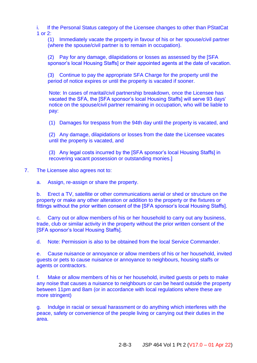i. If the Personal Status category of the Licensee changes to other than PStatCat 1 or 2:

(1) Immediately vacate the property in favour of his or her spouse/civil partner (where the spouse/civil partner is to remain in occupation).

(2) Pay for any damage, dilapidations or losses as assessed by the [SFA sponsor's local Housing Staffs] or their appointed agents at the date of vacation.

(3) Continue to pay the appropriate SFA Charge for the property until the period of notice expires or until the property is vacated if sooner.

Note: In cases of marital/civil partnership breakdown, once the Licensee has vacated the SFA, the [SFA sponsor's local Housing Staffs] will serve 93 days' notice on the spouse/civil partner remaining in occupation, who will be liable to pay:

(1) Damages for trespass from the 94th day until the property is vacated, and

(2) Any damage, dilapidations or losses from the date the Licensee vacates until the property is vacated, and

(3) Any legal costs incurred by the [SFA sponsor's local Housing Staffs] in recovering vacant possession or outstanding monies.]

7. The Licensee also agrees not to:

a. Assign, re-assign or share the property.

b. Erect a TV, satellite or other communications aerial or shed or structure on the property or make any other alteration or addition to the property or the fixtures or fittings without the prior written consent of the [SFA sponsor's local Housing Staffs].

c. Carry out or allow members of his or her household to carry out any business, trade, club or similar activity in the property without the prior written consent of the [SFA sponsor's local Housing Staffs].

d. Note: Permission is also to be obtained from the local Service Commander.

e. Cause nuisance or annoyance or allow members of his or her household, invited guests or pets to cause nuisance or annoyance to neighbours, housing staffs or agents or contractors.

f. Make or allow members of his or her household, invited guests or pets to make any noise that causes a nuisance to neighbours or can be heard outside the property between 11pm and 8am (or in accordance with local regulations where these are more stringent)

g. Indulge in racial or sexual harassment or do anything which interferes with the peace, safety or convenience of the people living or carrying out their duties in the area.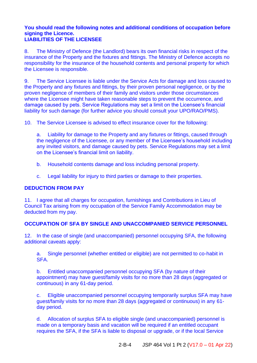#### **You should read the following notes and additional conditions of occupation before signing the Licence. LIABILITIES OF THE LICENSEE**

8. The Ministry of Defence (the Landlord) bears its own financial risks in respect of the insurance of the Property and the fixtures and fittings. The Ministry of Defence accepts no responsibility for the insurance of the household contents and personal property for which the Licensee is responsible.

9. The Service Licensee is liable under the Service Acts for damage and loss caused to the Property and any fixtures and fittings, by their proven personal negligence, or by the proven negligence of members of their family and visitors under those circumstances where the Licensee might have taken reasonable steps to prevent the occurrence, and damage caused by pets. Service Regulations may set a limit on the Licensee's financial liability for such damage (for further advice you should consult your UPO/RAO/PMS).

10. The Service Licensee is advised to effect insurance cover for the following:

a. Liability for damage to the Property and any fixtures or fittings, caused through the negligence of the Licensee, or any member of the Licensee's household including any invited visitors, and damage caused by pets. Service Regulations may set a limit on the Licensee's financial limit on liability.

- b. Household contents damage and loss including personal property.
- c. Legal liability for injury to third parties or damage to their properties.

#### **DEDUCTION FROM PAY**

11. I agree that all charges for occupation, furnishings and Contributions in Lieu of Council Tax arising from my occupation of the Service Family Accommodation may be deducted from my pay.

#### **OCCUPATION OF SFA BY SINGLE AND UNACCOMPANIED SERVICE PERSONNEL**

12. In the case of single (and unaccompanied) personnel occupying SFA, the following additional caveats apply:

a. Single personnel (whether entitled or eligible) are not permitted to co-habit in SFA.

b. Entitled unaccompanied personnel occupying SFA (by nature of their appointment) may have guest/family visits for no more than 28 days (aggregated or continuous) in any 61-day period.

c. Eligible unaccompanied personnel occupying temporarily surplus SFA may have guest/family visits for no more than 28 days (aggregated or continuous) in any 61 day period.

d. Allocation of surplus SFA to eligible single (and unaccompanied) personnel is made on a temporary basis and vacation will be required if an entitled occupant requires the SFA, if the SFA is liable to disposal or upgrade, or if the local Service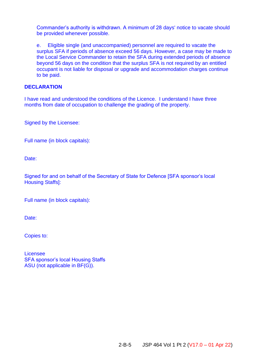Commander's authority is withdrawn. A minimum of 28 days' notice to vacate should be provided whenever possible.

e. Eligible single (and unaccompanied) personnel are required to vacate the surplus SFA if periods of absence exceed 56 days. However, a case may be made to the Local Service Commander to retain the SFA during extended periods of absence beyond 56 days on the condition that the surplus SFA is not required by an entitled occupant is not liable for disposal or upgrade and accommodation charges continue to be paid.

#### **DECLARATION**

I have read and understood the conditions of the Licence. I understand I have three months from date of occupation to challenge the grading of the property.

Signed by the Licensee:

Full name (in block capitals):

Date:

Signed for and on behalf of the Secretary of State for Defence [SFA sponsor's local Housing Staffs]:

Full name (in block capitals):

Date:

Copies to:

Licensee SFA sponsor's local Housing Staffs ASU (not applicable in BF(G)).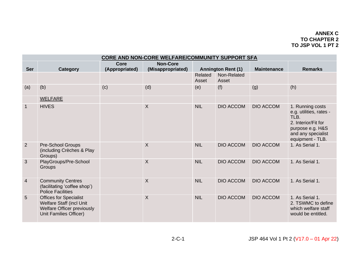#### **ANNEX C TO CHAPTER 2 TO JSP VOL 1 PT 2**

| CORE AND NON-CORE WELFARE/COMMUNITY SUPPORT SFA |                                                                                                                   |                               |                                      |                  |                           |                    |                                                                                                                                          |
|-------------------------------------------------|-------------------------------------------------------------------------------------------------------------------|-------------------------------|--------------------------------------|------------------|---------------------------|--------------------|------------------------------------------------------------------------------------------------------------------------------------------|
| <b>Ser</b>                                      | <b>Category</b>                                                                                                   | <b>Core</b><br>(Appropriated) | <b>Non-Core</b><br>(Misappropriated) |                  | <b>Annington Rent (1)</b> | <b>Maintenance</b> | <b>Remarks</b>                                                                                                                           |
|                                                 |                                                                                                                   |                               |                                      | Related<br>Asset | Non-Related<br>Asset      |                    |                                                                                                                                          |
| (a)                                             | (b)                                                                                                               | (c)                           | (d)                                  | (e)              | (f)                       | (g)                | (h)                                                                                                                                      |
|                                                 | <b>WELFARE</b>                                                                                                    |                               |                                      |                  |                           |                    |                                                                                                                                          |
| $\mathbf{1}$                                    | <b>HIVES</b>                                                                                                      |                               | $\sf X$                              | <b>NIL</b>       | <b>DIO ACCOM</b>          | <b>DIO ACCOM</b>   | 1. Running costs<br>e.g. utilities, rates -<br>TLB.<br>2. Interior/Fit for<br>purpose e.g. H&S<br>and any specialist<br>equipment - TLB. |
| 2                                               | Pre-School Groups<br>(including Crèches & Play<br>Groups)                                                         |                               | X                                    | <b>NIL</b>       | <b>DIO ACCOM</b>          | <b>DIO ACCOM</b>   | 1. As Serial 1.                                                                                                                          |
| 3                                               | PlayGroups/Pre-School<br>Groups                                                                                   |                               | $\overline{X}$                       | <b>NIL</b>       | <b>DIO ACCOM</b>          | <b>DIO ACCOM</b>   | 1. As Serial 1.                                                                                                                          |
| $\overline{4}$                                  | <b>Community Centres</b><br>(facilitating 'coffee shop')<br><b>Police Facilities</b>                              |                               | X                                    | <b>NIL</b>       | <b>DIO ACCOM</b>          | <b>DIO ACCOM</b>   | 1. As Serial 1.                                                                                                                          |
| 5                                               | <b>Offices for Specialist</b><br>Welfare Staff (incl Unit<br>Welfare Officer previously<br>Unit Families Officer) |                               | $\sf X$                              | <b>NIL</b>       | <b>DIO ACCOM</b>          | <b>DIO ACCOM</b>   | 1. As Serial 1.<br>2. TSWMC to define<br>which welfare staff<br>would be entitled.                                                       |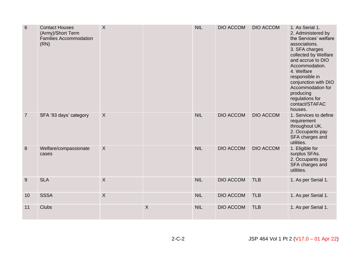| 6              | <b>Contact Houses</b><br>(Army)/Short Term<br><b>Families Accommodation</b><br>(RN) | $\sf X$          |                           | <b>NIL</b> | <b>DIO ACCOM</b> | <b>DIO ACCOM</b> | 1. As Serial 1.<br>2. Administered by<br>the Services' welfare<br>associations.<br>3. SFA charges<br>collected by Welfare<br>and accrue to DIO<br>Accommodation.<br>4. Welfare<br>responsible in<br>conjunction with DIO<br>Accommodation for<br>producing<br>regulations for<br>contact/STAFAC<br>houses. |
|----------------|-------------------------------------------------------------------------------------|------------------|---------------------------|------------|------------------|------------------|------------------------------------------------------------------------------------------------------------------------------------------------------------------------------------------------------------------------------------------------------------------------------------------------------------|
| $\overline{7}$ | SFA '93 days' category                                                              | $\boldsymbol{X}$ |                           | <b>NIL</b> | <b>DIO ACCOM</b> | <b>DIO ACCOM</b> | 1. Services to define<br>requirement<br>throughout UK.<br>2. Occupants pay<br>SFA charges and<br>utilities.                                                                                                                                                                                                |
| 8              | Welfare/compassionate<br>cases                                                      | $\chi$           |                           | <b>NIL</b> | <b>DIO ACCOM</b> | <b>DIO ACCOM</b> | 1. Eligible for<br>surplus SFAs.<br>2. Occupants pay<br>SFA charges and<br>utilities.                                                                                                                                                                                                                      |
| 9              | <b>SLA</b>                                                                          | $\sf X$          |                           | <b>NIL</b> | <b>DIO ACCOM</b> | <b>TLB</b>       | 1. As per Serial 1.                                                                                                                                                                                                                                                                                        |
| 10             | <b>SSSA</b>                                                                         | $\overline{X}$   |                           | <b>NIL</b> | <b>DIO ACCOM</b> | <b>TLB</b>       | 1. As per Serial 1.                                                                                                                                                                                                                                                                                        |
| 11             | Clubs                                                                               |                  | $\boldsymbol{\mathsf{X}}$ | <b>NIL</b> | <b>DIO ACCOM</b> | <b>TLB</b>       | 1. As per Serial 1.                                                                                                                                                                                                                                                                                        |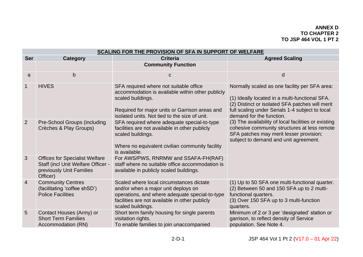#### **ANNEX D TO CHAPTER 2 TO JSP 464 VOL 1 PT 2**

|                | <b>SCALING FOR THE PROVISION OF SFA IN SUPPORT OF WELFARE</b>                                                       |                                                                                                                                                                                                                    |                                                                                                                                                                                                                                   |  |  |  |  |
|----------------|---------------------------------------------------------------------------------------------------------------------|--------------------------------------------------------------------------------------------------------------------------------------------------------------------------------------------------------------------|-----------------------------------------------------------------------------------------------------------------------------------------------------------------------------------------------------------------------------------|--|--|--|--|
| <b>Ser</b>     | <b>Category</b>                                                                                                     | <b>Criteria</b>                                                                                                                                                                                                    | <b>Agreed Scaling</b>                                                                                                                                                                                                             |  |  |  |  |
|                |                                                                                                                     | <b>Community Function</b>                                                                                                                                                                                          |                                                                                                                                                                                                                                   |  |  |  |  |
| a              | $\mathsf b$                                                                                                         | $\mathbf C$                                                                                                                                                                                                        | d                                                                                                                                                                                                                                 |  |  |  |  |
| $\mathbf{1}$   | <b>HIVES</b>                                                                                                        | SFA required where not suitable office<br>accommodation is available within other publicly<br>scaled buildings.<br>Required for major units or Garrison areas and<br>isolated units. Not tied to the size of unit. | Normally scaled as one facility per SFA area:<br>(1) Ideally located in a multi-functional SFA.<br>(2) Distinct or isolated SFA patches will merit<br>full scaling under Serials 1-4 subject to local<br>demand for the function. |  |  |  |  |
| $\overline{2}$ | Pre-School Groups (including<br>Crèches & Play Groups)                                                              | SFA required where adequate special-to-type<br>facilities are not available in other publicly<br>scaled buildings.<br>Where no equivalent civilian community facility<br>is available.                             | (3) The availability of local facilities or existing<br>cohesive community structures at less remote<br>SFA patches may merit lesser provision;<br>subject to demand and unit agreement.                                          |  |  |  |  |
| $\mathbf{3}$   | <b>Offices for Specialist Welfare</b><br>Staff (incl Unit Welfare Officer -<br>previously Unit Families<br>Officer) | For AWS/PWS, RNRMW and SSAFA-FH(RAF)<br>staff where no suitable office accommodation is<br>available in publicly scaled buildings.                                                                                 |                                                                                                                                                                                                                                   |  |  |  |  |
| $\overline{4}$ | <b>Community Centres</b><br>(facilitating 'coffee shSD')<br><b>Police Facilities</b>                                | Scaled where local circumstances dictate<br>and/or when a major unit deploys on<br>operations, and where adequate special-to-type<br>facilities are not available in other publicly<br>scaled buildings.           | (1) Up to 50 SFA one multi-functional quarter.<br>(2) Between 50 and 150 SFA up to 2 multi-<br>functional quarters.<br>(3) Over 150 SFA up to 3 multi-function<br>quarters.                                                       |  |  |  |  |
| 5              | Contact Houses (Army) or<br><b>Short Term Families</b><br>Accommodation (RN)                                        | Short term family housing for single parents<br>visitation rights.<br>To enable families to join unaccompanied                                                                                                     | Minimum of 2 or 3 per 'designated' station or<br>garrison, to reflect density of Service<br>population. See Note 4.                                                                                                               |  |  |  |  |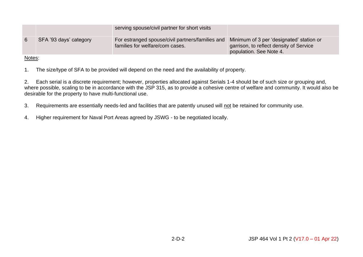|   |                        | serving spouse/civil partner for short visits                                       |                                                                                                                |
|---|------------------------|-------------------------------------------------------------------------------------|----------------------------------------------------------------------------------------------------------------|
|   | SFA '93 days' category | For estranged spouse/civil partners/families and<br>families for welfare/com cases. | Minimum of 3 per 'designated' station or<br>garrison, to reflect density of Service<br>population. See Note 4. |
| . |                        |                                                                                     |                                                                                                                |

Notes:

1. The size/type of SFA to be provided will depend on the need and the availability of property.

2. Each serial is a discrete requirement; however, properties allocated against Serials 1-4 should be of such size or grouping and, where possible, scaling to be in accordance with the JSP 315, as to provide a cohesive centre of welfare and community. It would also be desirable for the property to have multi-functional use.

3. Requirements are essentially needs-led and facilities that are patently unused will not be retained for community use.

4. Higher requirement for Naval Port Areas agreed by JSWG - to be negotiated locally.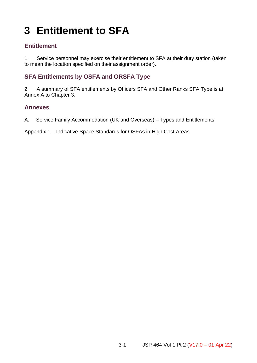# <span id="page-33-0"></span>**3 Entitlement to SFA**

## **Entitlement**

1. Service personnel may exercise their entitlement to SFA at their duty station (taken to mean the location specified on their assignment order).

## **SFA Entitlements by OSFA and ORSFA Type**

2. A summary of SFA entitlements by Officers SFA and Other Ranks SFA Type is at Annex A to Chapter 3.

## **Annexes**

A. Service Family Accommodation (UK and Overseas) – Types and Entitlements

Appendix 1 – Indicative Space Standards for OSFAs in High Cost Areas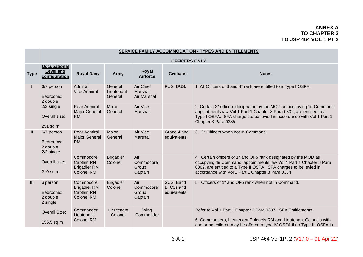#### **ANNEX A TO CHAPTER 3 TO JSP 464 VOL 1 PT 2**

|             | SERVICE FAMILY ACCOMMODATION - TYPES AND ENTITLEMENTS |                                                                     |                                  |                                      |                                        |                                                                                                                                                                                                                                                                             |  |  |  |  |  |
|-------------|-------------------------------------------------------|---------------------------------------------------------------------|----------------------------------|--------------------------------------|----------------------------------------|-----------------------------------------------------------------------------------------------------------------------------------------------------------------------------------------------------------------------------------------------------------------------------|--|--|--|--|--|
|             | <b>OFFICERS ONLY</b>                                  |                                                                     |                                  |                                      |                                        |                                                                                                                                                                                                                                                                             |  |  |  |  |  |
| <b>Type</b> | Occupational<br><b>Level and</b><br>configuration     | <b>Royal Navy</b>                                                   | Army                             | Royal<br><b>Airforce</b>             | <b>Civilians</b>                       | <b>Notes</b>                                                                                                                                                                                                                                                                |  |  |  |  |  |
| ı           | 6/7 person<br>Bedrooms:<br>2 double                   | Admiral<br><b>Vice Admiral</b>                                      | General<br>Lieutenant<br>General | Air Chief<br>Marshal<br>Air Marshal  | PUS, DUS.                              | 1. All Officers of 3 and 4* rank are entitled to a Type I OSFA.                                                                                                                                                                                                             |  |  |  |  |  |
|             | 2/3 single<br>Overall size:<br>251 sq m               | <b>Rear Admiral</b><br><b>Major General</b><br><b>RM</b>            | Major<br>General                 | Air Vice-<br>Marshal                 |                                        | 2. Certain 2* officers designated by the MOD as occupying 'In Command'<br>appointments iaw Vol 1 Part 1 Chapter 3 Para 0302, are entitled to a<br>Type I OSFA. SFA charges to be levied in accordance with Vol 1 Part 1<br>Chapter 3 Para 0335.                             |  |  |  |  |  |
| Ш           | 6/7 person<br>Bedrooms:<br>2 double<br>2/3 single     | <b>Rear Admiral</b><br><b>Major General</b><br><b>RM</b>            | Major<br>General                 | Air Vice-<br>Marshal                 | Grade 4 and<br>equivalents             | 3. 2* Officers when not In Command.                                                                                                                                                                                                                                         |  |  |  |  |  |
|             | Overall size:<br>210 sq m                             | Commodore<br>Captain RN<br><b>Brigadier RM</b><br><b>Colonel RM</b> | <b>Brigadier</b><br>Colonel      | Air<br>Commodore<br>Group<br>Captain |                                        | 4. Certain officers of 1 <sup>*</sup> and OF5 rank designated by the MOD as<br>occupying 'In Command' appointments iaw Vol 1 Part 1 Chapter 3 Para<br>0302, are entitled to a Type II OSFA. SFA charges to be levied in<br>accordance with Vol 1 Part 1 Chapter 3 Para 0334 |  |  |  |  |  |
| III         | 6 person<br>Bedrooms:<br>2 double<br>2 single         | Commodore<br><b>Brigadier RM</b><br>Captain RN<br><b>Colonel RM</b> | <b>Brigadier</b><br>Colonel      | Air<br>Commodore<br>Group<br>Captain | SCS, Band<br>B, C1s and<br>equivalents | 5. Officers of 1 <sup>*</sup> and OF5 rank when not In Command.                                                                                                                                                                                                             |  |  |  |  |  |
|             | <b>Overall Size:</b><br>155.5 sq m                    | Commander<br>Lieutenant<br><b>Colonel RM</b>                        | Lieutenant<br>Colonel            | Wing<br>Commander                    |                                        | Refer to Vol 1 Part 1 Chapter 3 Para 0337- SFA Entitlements.<br>6. Commanders, Lieutenant Colonels RM and Lieutenant Colonels with<br>one or no children may be offered a type IV OSFA if no Type III OSFA is                                                               |  |  |  |  |  |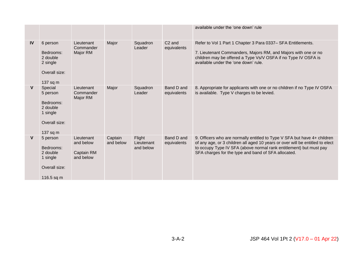|              |                                                                                       |                                                    |                      |                                   |                                   | available under the 'one down' rule                                                                                                                                                                                                                                                    |
|--------------|---------------------------------------------------------------------------------------|----------------------------------------------------|----------------------|-----------------------------------|-----------------------------------|----------------------------------------------------------------------------------------------------------------------------------------------------------------------------------------------------------------------------------------------------------------------------------------|
| IV           | 6 person<br>Bedrooms:<br>2 double<br>2 single<br>Overall size:<br>137 sq m            | Lieutenant<br>Commander<br>Major RM                | Major                | Squadron<br>Leader                | C <sub>2</sub> and<br>equivalents | Refer to Vol 1 Part 1 Chapter 3 Para 0337 - SFA Entitlements.<br>7. Lieutenant Commanders, Majors RM, and Majors with one or no<br>children may be offered a Type Vs/V OSFA if no Type IV OSFA is<br>available under the 'one down' rule.                                              |
| $\mathbf v$  | Special<br>5 person<br>Bedrooms:<br>2 double<br>1 single<br>Overall size:<br>137 sq m | Lieutenant<br>Commander<br>Major RM                | Major                | Squadron<br>Leader                | Band D and<br>equivalents         | 8. Appropriate for applicants with one or no children if no Type IV OSFA<br>is available. Type V charges to be levied.                                                                                                                                                                 |
| $\mathsf{V}$ | 5 person<br>Bedrooms:<br>2 double<br>1 single<br>Overall size:<br>116.5 sq m          | Lieutenant<br>and below<br>Captain RM<br>and below | Captain<br>and below | Flight<br>Lieutenant<br>and below | Band D and<br>equivalents         | 9. Officers who are normally entitled to Type V SFA but have 4+ children<br>of any age, or 3 children all aged 10 years or over will be entitled to elect<br>to occupy Type IV SFA (above normal rank entitlement) but must pay<br>SFA charges for the type and band of SFA allocated. |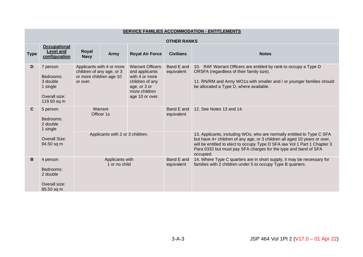|             | <b>SERVICE FAMILIES ACCOMMODATION - ENTITLEMENTS</b>                          |                                     |                                                        |                                                                                                                                    |                          |                                                                                                                                                                                                                                                                                                                  |  |
|-------------|-------------------------------------------------------------------------------|-------------------------------------|--------------------------------------------------------|------------------------------------------------------------------------------------------------------------------------------------|--------------------------|------------------------------------------------------------------------------------------------------------------------------------------------------------------------------------------------------------------------------------------------------------------------------------------------------------------|--|
|             |                                                                               |                                     |                                                        |                                                                                                                                    | <b>OTHER RANKS</b>       |                                                                                                                                                                                                                                                                                                                  |  |
| <b>Type</b> | <b>Occupational</b><br><b>Level and</b><br>configuration                      | Royal<br><b>Navy</b>                | Army                                                   | <b>Royal Air Force</b>                                                                                                             | <b>Civilians</b>         | <b>Notes</b>                                                                                                                                                                                                                                                                                                     |  |
| D           | 7 person<br>Bedrooms:<br>3 double<br>1 single<br>Overall size:<br>119.50 sq m | or more children age 10<br>or over. | Applicants with 4 or more<br>children of any age, or 3 | <b>Warrant Officers</b><br>and applicants<br>with 4 or more<br>children of any<br>age, or 3 or<br>more children<br>age 10 or over. | Band E and<br>equivalent | 10. RAF Warrant Officers are entitled by rank to occupy a Type D<br>ORSFA (regardless of their family size).<br>11. RN/RM and Army WO1s with smaller and / or younger families should<br>be allocated a Type D, where available.                                                                                 |  |
| C.          | Warrant<br>5 person<br>Officer 1s<br>Bedrooms:<br>2 double<br>1 single        |                                     |                                                        |                                                                                                                                    | Band E and<br>equivalent | 12. See Notes 13 and 14.                                                                                                                                                                                                                                                                                         |  |
|             | <b>Overall Size:</b><br>94.50 sq m                                            |                                     | Applicants with 2 or 3 children.                       |                                                                                                                                    |                          | 13. Applicants, including WOs, who are normally entitled to Type C SFA<br>but have 4+ children of any age, or 3 children all aged 10 years or over,<br>will be entitled to elect to occupy Type D SFA iaw Vol 1 Part 1 Chapter 3<br>Para 0332 but must pay SFA charges for the type and band of SFA<br>occupied. |  |
| B           | 4 person<br>Bedrooms:<br>2 double<br>Overall size:<br>85.50 sq m              |                                     | Applicants with<br>1 or no child                       |                                                                                                                                    | Band E and<br>equivalent | 14. Where Type C quarters are in short supply, it may be necessary for<br>families with 2 children under 5 to occupy Type B quarters.                                                                                                                                                                            |  |

### 3-A-3 JSP 464 Vol 1Pt 2 (V17.0 – 01 Apr 22)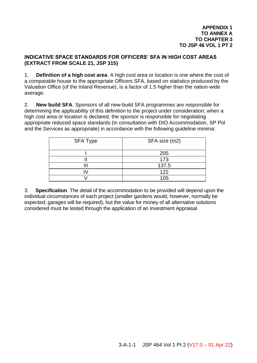#### **INDICATIVE SPACE STANDARDS FOR OFFICERS' SFA IN HIGH COST AREAS (EXTRACT FROM SCALE 21, JSP 315)**

1. **Definition of a high cost area**. A high cost area or location is one where the cost of a comparable house to the appropriate Officers SFA, based on statistics produced by the Valuation Office (of the Inland Revenue), is a factor of 1.5 higher than the nation-wide average.

2. **New build SFA**. Sponsors of all new-build SFA programmes are responsible for determining the applicability of this definition to the project under consideration; when a high cost area or location is declared, the sponsor is responsible for negotiating appropriate reduced space standards (in consultation with DIO Accommodation, SP Pol and the Services as appropriate) in accordance with the following guideline minima:

| <b>SFA Type</b> | SFA size (m2) |
|-----------------|---------------|
|                 | 205           |
|                 | 173           |
|                 | 137.5         |
|                 | 122           |
|                 | 105           |

3. **Specification**. The detail of the accommodation to be provided will depend upon the individual circumstances of each project (smaller gardens would, however, normally be expected; garages will be required), but the value for money of all alternative solutions considered must be tested through the application of an Investment Appraisal.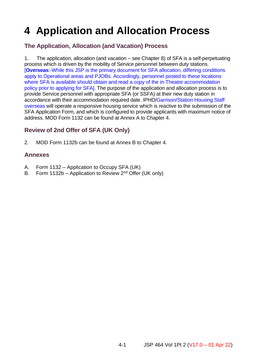# **4 Application and Allocation Process**

### **The Application, Allocation (and Vacation) Process**

1. The application, allocation (and vacation – see Chapter 8) of SFA is a self-perpetuating process which is driven by the mobility of Service personnel between duty stations. [**Overseas**:-While this JSP is the primary document for SFA allocation, differing conditions apply to Operational areas and PJOBs. Accordingly, personnel posted to these locations where SFA is available should obtain and read a copy of the in-Theatre accommodation policy prior to applying for SFA]. The purpose of the application and allocation process is to provide Service personnel with appropriate SFA (or SSFA) at their new duty station in accordance with their accommodation required date. IPHD/Garrison/Station Housing Staff overseas will operate a responsive housing service which is reactive to the submission of the SFA Application Form, and which is configured to provide applicants with maximum notice of address. MOD Form 1132 can be found at Annex A to Chapter 4.

### **Review of 2nd Offer of SFA (UK Only)**

2. MOD Form 1132b can be found at Annex B to Chapter 4.

### **Annexes**

- A. Form 1132 Application to Occupy SFA (UK)
- B. Form 1132b Application to Review  $2^{nd}$  Offer (UK only)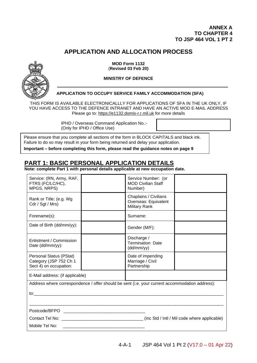#### **ANNEX A TO CHAPTER 4 TO JSP 464 VOL 1 PT 2**

### **APPLICATION AND ALLOCATION PROCESS**



**MOD Form 1132** (**Revised 03 Feb 20)**

#### **MINISTRY OF DEFENCE**

#### **APPLICATION TO OCCUPY SERVICE FAMILY ACCOMMODATION (SFA)**

THIS FORM IS AVAILABLE ELECTRONICALLLY FOR APPLICATIONS OF SFA IN THE UK ONLY, IF YOU HAVE ACCESS TO THE DEFENCE INTRANET AND HAVE AN ACTIVE MOD E-MAIL ADDRESS Please go to: [https://e1132.domis-r.r.mil.uk](https://emea01.safelinks.protection.outlook.com/?url=https%3A%2F%2Fe1132.domis-r.r.mil.uk&data=02%7C01%7C%7Ce1a61b294c804c9faed308d65c55e36f%7Cbe7760ed5953484bae95d0a16dfa09e5%7C0%7C0%7C636797921285716925&sdata=eDdLiCkIx87eBpjvM9E7BqY7M2DW2BQVGW%2FjbSH8dlw%3D&reserved=0) for more details

> IPHD / Overseas Command Application No.:- (Only for IPHD / Office Use)

Please ensure that you complete all sections of the form in BLOCK CAPITALS and black ink. Failure to do so may result in your form being returned and delay your application. **Important – before completing this form, please read the guidance notes on page 9**

### **PART 1: BASIC PERSONAL APPLICATION DETAILS**

**Note: complete Part 1 with personal details applicable at new occupation date.**

| Service: (RN, Army, RAF,<br>FTRS (FC/LC/HC),<br>MPGS, NRPS)                                    |  | Service Number: (or<br><b>MOD Civilian Staff</b><br>Number)           |  |  |  |
|------------------------------------------------------------------------------------------------|--|-----------------------------------------------------------------------|--|--|--|
| Rank or Title: (e.g. Wg<br>Cdr / Sgt / Mrs)                                                    |  | Chaplains / Civilians<br>Overseas: Equivalent<br><b>Military Rank</b> |  |  |  |
| Forename(s):                                                                                   |  | Surname:                                                              |  |  |  |
| Date of Birth (dd/mm/yy):                                                                      |  | Gender (M/F):                                                         |  |  |  |
| Enlistment / Commission<br>Date (dd/mm/yy):                                                    |  | Discharge /<br><b>Termination Date</b><br>(dd/mm/yy)                  |  |  |  |
| Personal Status (PStat)<br>Category (JSP 752 Ch 1<br>Sect 4) on occupation:                    |  | Date of impending<br>Marriage / Civil<br>Partnership                  |  |  |  |
| E-Mail address: (if applicable)                                                                |  |                                                                       |  |  |  |
| Address where correspondence / offer should be sent (i.e. your current accommodation address): |  |                                                                       |  |  |  |
|                                                                                                |  |                                                                       |  |  |  |
| Postcode/BFPO                                                                                  |  |                                                                       |  |  |  |
|                                                                                                |  |                                                                       |  |  |  |
| Mobile Tel No:                                                                                 |  |                                                                       |  |  |  |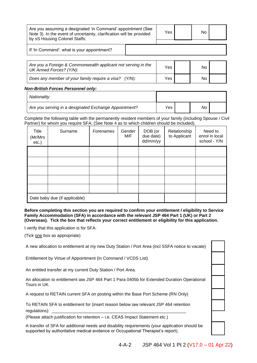| Are you assuming a designated 'in Command' appointment (See<br>Note 3). In the event of uncertainty, clarification will be provided<br>by sS Housing Colonel Staffs. |  |  | No. |  |
|----------------------------------------------------------------------------------------------------------------------------------------------------------------------|--|--|-----|--|
|                                                                                                                                                                      |  |  |     |  |
| If 'In Command': what is your appointment?                                                                                                                           |  |  |     |  |

| Are you a Foreign & Commonwealth applicant not serving in the<br>UK Armed Forces? (Y/N): | Yes | No. |  |
|------------------------------------------------------------------------------------------|-----|-----|--|
| Does any member of your family require a visa? (Y/N):                                    | Yes | No. |  |

#### *Non-British Forces Personnel only:*

| Nationality                                           |     |    |  |
|-------------------------------------------------------|-----|----|--|
| Are you serving in a designated Exchange Appointment? | Yes | No |  |

Complete the following table with the permanently resident members of your family (including Spouse / Civil Partner) for whom you require SFA; (See Note 4 as to which children should be included).

| <b>Title</b><br>(Mr/Mrs<br>etc.) | Surname                       | Forenames | Gender<br>M/F | DOB (or<br>due date)<br>dd/mm/yy | Relationship<br>to Applicant | Need to<br>enrol in local<br>school - Y/N |
|----------------------------------|-------------------------------|-----------|---------------|----------------------------------|------------------------------|-------------------------------------------|
|                                  |                               |           |               |                                  |                              |                                           |
|                                  |                               |           |               |                                  |                              |                                           |
|                                  |                               |           |               |                                  |                              |                                           |
|                                  |                               |           |               |                                  |                              |                                           |
|                                  |                               |           |               |                                  |                              |                                           |
|                                  | Date baby due (if applicable) |           |               |                                  |                              |                                           |

**Before completing this section you are required to confirm your entitlement / eligibility to Service Family Accommodation (SFA) in accordance with the relevant JSP 464 Part 1 (UK) or Part 2 (Overseas). Tick the box that reflects your correct entitlement or eligibility for this application.**

I verify that this application is for SFA:

(Tick one box as appropriate)

A new allocation to entitlement at my new Duty Station / Port Area (incl SSFA notice to vacate)

Entitlement by Virtue of Appointment (In Command / VCDS List)

An entitled transfer at my current Duty Station / Port Area.

An allocation to entitlement iaw JSP 464 Part 1 Para 0405b for Extended Duration Operational Tours in UK.

A request to RETAIN current SFA on posting within the Base Port Scheme (RN Only)

To RETAIN SFA to entitlement for (insert reason below iaw relevant JSP 464 retention regulations):

(Please attach justification for retention – i.e. CEAS Impact Statement etc.)

A transfer of SFA for additional needs and disability requirements (your application should be supported by authoritative medical evidence or Occupational Therapist's report).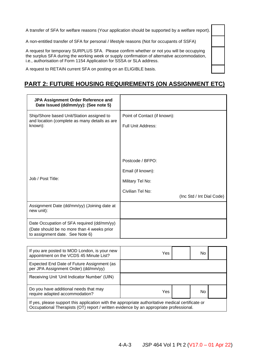A transfer of SFA for welfare reasons (Your application should be supported by a welfare report).

A non-entitled transfer of SFA for personal / lifestyle reasons (Not for occupants of SSFA)

A request for temporary SURPLUS SFA. Please confirm whether or not you will be occupying the surplus SFA during the working week or supply confirmation of alternative accommodation, i.e., authorisation of Form 1154 Application for SSSA or SLA address.

A request to RETAIN current SFA on posting on an ELIGIBLE basis.

### **PART 2: FUTURE HOUSING REQUIREMENTS (ON ASSIGNMENT ETC)**

| JPA Assignment Order Reference and<br>Date Issued (dd/mm/yy): (See note 5)                                                  |                                                                                                            |
|-----------------------------------------------------------------------------------------------------------------------------|------------------------------------------------------------------------------------------------------------|
| Ship/Shore based Unit/Station assigned to<br>and location (complete as many details as are<br>known):                       | Point of Contact (if known):<br>Full Unit Address:                                                         |
| Job / Post Title:                                                                                                           | Postcode / BFPO:<br>Email (if known):<br>Military Tel No:<br>Civilian Tel No:<br>(Inc Std / Int Dial Code) |
| Assignment Date (dd/mm/yy) (Joining date at<br>new unit):                                                                   |                                                                                                            |
| Date Occupation of SFA required (dd/mm/yy)<br>(Date should be no more than 4 weeks prior<br>to assignment date. See Note 6) |                                                                                                            |

| If you are posted to MOD London, is your new<br>appointment on the VCDS 45 Minute List?                                                                                                     | Yes |  | No. |  |
|---------------------------------------------------------------------------------------------------------------------------------------------------------------------------------------------|-----|--|-----|--|
| Expected End Date of Future Assignment (as<br>per JPA Assignment Order) (dd/mm/yy)                                                                                                          |     |  |     |  |
| Receiving Unit 'Unit Indicator Number' (UIN)                                                                                                                                                |     |  |     |  |
| Do you have additional needs that may<br>require adapted accommodation?                                                                                                                     | Yes |  | No. |  |
| If yes, please support this application with the appropriate authoritative medical certificate or<br>Occupational Therapists (OT) report / written evidence by an appropriate professional. |     |  |     |  |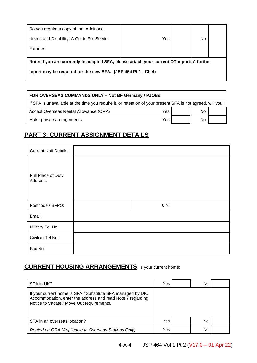| Do you require a copy of the 'Additional                                                   |     |  |     |  |  |
|--------------------------------------------------------------------------------------------|-----|--|-----|--|--|
| Needs and Disability: A Guide For Service                                                  | Yes |  | No. |  |  |
| Families                                                                                   |     |  |     |  |  |
| Note: If you are currently in adapted SFA, please attach your current OT report; A further |     |  |     |  |  |
| report may be required for the new SFA. (JSP 464 Pt 1 - Ch 4)                              |     |  |     |  |  |

| FOR OVERSEAS COMMANDS ONLY - Not BF Germany / PJOBs                                                         |     |  |    |  |
|-------------------------------------------------------------------------------------------------------------|-----|--|----|--|
| If SFA is unavailable at the time you require it, or retention of your present SFA is not agreed, will you: |     |  |    |  |
| Accept Overseas Rental Allowance (ORA)                                                                      | Yes |  | No |  |
| Yes<br>No<br>Make private arrangements                                                                      |     |  |    |  |

### **PART 3: CURRENT ASSIGNMENT DETAILS**

| <b>Current Unit Details:</b>   |      |  |
|--------------------------------|------|--|
| Full Place of Duty<br>Address: |      |  |
| Postcode / BFPO:               | UIN: |  |
| Email:                         |      |  |
| Military Tel No:               |      |  |
| Civilian Tel No:               |      |  |
| Fax No:                        |      |  |

## **CURRENT HOUSING ARRANGEMENTS** Is your current home:

| SFA in UK?                                                                                                                                                             | Yes | No |  |
|------------------------------------------------------------------------------------------------------------------------------------------------------------------------|-----|----|--|
| If your current home is SFA / Substitute SFA managed by DIO<br>Accommodation, enter the address and read Note 7 regarding<br>Notice to Vacate / Move Out requirements. |     |    |  |
| SFA in an overseas location?                                                                                                                                           | Yes | No |  |
| Rented on ORA (Applicable to Overseas Stations Only)                                                                                                                   |     | No |  |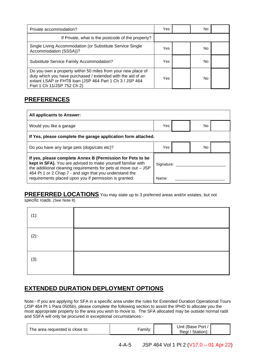| Private accommodation?                                                                                                                                                                                               | Yes | No. |  |
|----------------------------------------------------------------------------------------------------------------------------------------------------------------------------------------------------------------------|-----|-----|--|
| If Private, what is the postcode of the property?                                                                                                                                                                    |     |     |  |
| Single Living Accommodation (or Substitute Service Single<br>Accommodation (SSSA))?                                                                                                                                  | Yes | No. |  |
| Substitute Service Family Accommodation?                                                                                                                                                                             | Yes | No  |  |
| Do you own a property within 50 miles from your new place of<br>duty which you have purchased / extended with the aid of an<br>extant LSAP or FHTB loan (JSP 464 Part 1 Ch 3 / JSP 464<br>Part 1 Ch 11/JSP 752 Ch 2) | Yes | No  |  |

### **PREFERENCES**

| <b>All applicants to Answer:</b>                                                                                                                                                                                                                                                                                   |                     |  |           |  |  |  |
|--------------------------------------------------------------------------------------------------------------------------------------------------------------------------------------------------------------------------------------------------------------------------------------------------------------------|---------------------|--|-----------|--|--|--|
| Would you like a garage                                                                                                                                                                                                                                                                                            | Yes                 |  | No.       |  |  |  |
| If Yes, please complete the garage application form attached.                                                                                                                                                                                                                                                      |                     |  |           |  |  |  |
| Do you have any large pets (dogs/cats etc)?                                                                                                                                                                                                                                                                        | Yes                 |  | <b>No</b> |  |  |  |
| If yes, please complete Annex B (Permission for Pets to be<br>kept in SFA). You are advised to make yourself familiar with<br>the additional cleaning requirements for pets at move out - JSP<br>464 Pt 1 or 2 Chap 7 - and sign that you understand the<br>requirements placed upon you if permission is granted. | Signature:<br>Name: |  |           |  |  |  |

### **PREFERRED LOCATIONS** You may state up to 3 preferred areas and/or estates, but not

specific roads. (See Note 8)

| $(1)$ : |  |
|---------|--|
| $(2)$ : |  |
| $(3)$ : |  |

### **EXTENDED DURATION DEPLOYMENT OPTIONS**

Note:- If you are applying for SFA in a specific area under the rules for Extended Duration Operational Tours (JSP 464 Pt 1 Para 0505b), please complete the following section to assist the IPHD to allocate you the most appropriate property to the area you wish to move to. The SFA allocated may be outside normal radii and SSFA will only be procured in exceptional circumstances:-

| The area requested is close to: | amily: | Unit (Base Port /<br>Regt / Station): |
|---------------------------------|--------|---------------------------------------|
|---------------------------------|--------|---------------------------------------|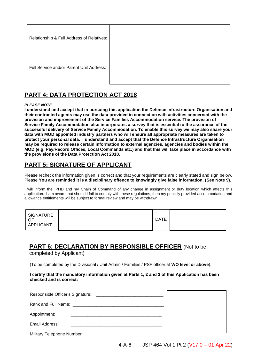| Relationship & Full Address of Relatives: |  |
|-------------------------------------------|--|
| Full Service and/or Parent Unit Address:  |  |

### **PART 4: DATA PROTECTION ACT 2018**

#### *PLEASE NOTE*

**I understand and accept that in pursuing this application the Defence Infrastructure Organisation and their contracted agents may use the data provided in connection with activities concerned with the provision and improvement of the Service Families Accommodation service. The provision of Service Family Accommodation also incorporates a survey that is essential to the assurance of the successful delivery of Service Family Accommodation. To enable this survey we may also share your data with MOD appointed industry partners who will ensure all appropriate measures are taken to protect your personal data. I understand and accept that the Defence Infrastructure Organisation may be required to release certain information to external agencies, agencies and bodies within the MOD (e.g. Pay/Record Offices, Local Commands etc.) and that this will take place in accordance with the provisions of the Data Protection Act 2018.**

### **PART 5: SIGNATURE OF APPLICANT**

Please recheck the information given is correct and that your requirements are clearly stated and sign below. Please **You are reminded it is a disciplinary offence to knowingly give false information. (See Note 9).**

I will inform the IPHD and my Chain of Command of any change in assignment or duty location which affects this application. I am aware that should I fail to comply with these regulations, then my publicly provided accommodation and allowance entitlements will be subject to formal review and may be withdrawn.

| <b>SIGNATURE</b><br><b>DATE</b><br>OF<br><b>APPLICANT</b> |  |
|-----------------------------------------------------------|--|
|-----------------------------------------------------------|--|

### **PART 6: DECLARATION BY RESPONSIBLE OFFICER** (Not to be

completed by Applicant)

(To be completed by the Divisional / Unit Admin / Families / PSF officer at **WO level or above**).

**I certify that the mandatory information given at Parts 1, 2 and 3 of this Application has been checked and is correct:**

| Responsible Officer's Signature: |  |
|----------------------------------|--|
|                                  |  |
| Appointment:                     |  |
| Email Address:                   |  |
| Military Telephone Number:       |  |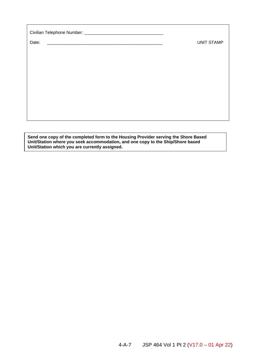Date: \_\_\_\_\_\_\_\_\_\_\_\_\_\_\_\_\_\_\_\_\_\_\_\_\_\_\_\_\_\_\_\_\_\_\_\_\_\_\_\_\_\_\_\_\_\_\_\_ UNIT STAMP

**Send one copy of the completed form to the Housing Provider serving the Shore Based Unit/Station where you seek accommodation, and one copy to the Ship/Shore based Unit/Station which you are currently assigned.**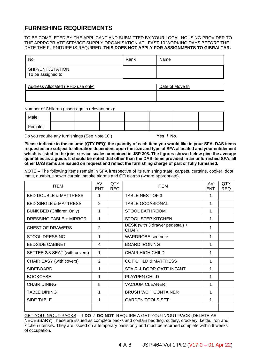### **FURNISHING REQUIREMENTS**

TO BE COMPLETED BY THE APPLICANT AND SUBMITTED BY YOUR LOCAL HOUSING PROVIDER TO THE APPROPRIATE SERVICE SUPPLY ORGANISATION AT LEAST 10 WORKING DAYS BEFORE THE DATE THE FURNITURE IS REQUIRED. **THIS DOES NOT APPLY FOR ASSIGNMENTS TO GIBRALTAR.**

| No                                      | Rank | Name |
|-----------------------------------------|------|------|
| SHIP/UNIT/STATION<br>To be assigned to: |      |      |

| Address Allocated (IPHD use only) | Date of Move In |
|-----------------------------------|-----------------|
|                                   |                 |

Number of Children (insert age in relevant box):

| Male:   |  |  |  |  |
|---------|--|--|--|--|
| Female: |  |  |  |  |

Do you require any furnishings (See Note 10.) **Yes / No**.

**Please indicate in the column [QTY REQ] the quantity of each item you would like in your SFA. DAS items requested are subject to alteration dependent upon the size and type of SFA allocated and your entitlement which is listed in the joint service scales contained in JSP 308. The figures shown below give the average quantities as a guide. It should be noted that other than the DAS items provided in an unfurnished SFA, all other DAS items are issued on request and reflect the furnishing charge of part or fully furnished.** 

**NOTE –** The following items remain in SFA irrespective of its furnishing state: carpets, curtains, cooker, door mats, dustbin, shower curtain, smoke alarms and CO alarms (where appropriate).

| <b>ITEM</b>                      | AV<br><b>ENT</b> | QTY<br>REQ. | <b>ITEM</b>                                     | AV<br><b>ENT</b> | QTY<br>REQ. |
|----------------------------------|------------------|-------------|-------------------------------------------------|------------------|-------------|
| <b>BED DOUBLE &amp; MATTRESS</b> | 1                |             | TABLE NEST OF 3                                 | 1                |             |
| <b>BED SINGLE &amp; MATTRESS</b> | $\overline{2}$   |             | <b>TABLE OCCASIONAL</b>                         | 1                |             |
| <b>BUNK BED (Children Only)</b>  | 1                |             | <b>STOOL BATHROOM</b>                           | 1                |             |
| DRESSING TABLE + MIRROR          | 1                |             | <b>STOOL STEP KITCHEN</b>                       | 1                |             |
| <b>CHEST OF DRAWERS</b>          | 2                |             | DESK (with 3 drawer pedestal) +<br><b>CHAIR</b> | 1                |             |
| <b>STOOL DRESSING</b>            | 1                |             | WARDROBE see note                               | 1                |             |
| <b>BEDSIDE CABINET</b>           | 4                |             | <b>BOARD IRONING</b>                            | 1                |             |
| SETTEE 2/3 SEAT (with covers)    | 1                |             | <b>CHAIR HIGH CHILD</b>                         | 1                |             |
| CHAIR EASY (with covers)         | 2                |             | <b>COT CHILD &amp; MATTRESS</b>                 | 1                |             |
| <b>SIDEBOARD</b>                 | 1                |             | STAIR & DOOR GATE INFANT                        | 1                |             |
| <b>BOOKCASE</b>                  | 1                |             | <b>PLAYPEN CHILD</b>                            | 1                |             |
| <b>CHAIR DINING</b>              | 8                |             | <b>VACUUM CLEANER</b>                           | 1                |             |
| <b>TABLE DINING</b>              | 1                |             | <b>BRUSH WC + CONTAINER</b>                     | 1                |             |
| <b>SIDE TABLE</b>                | 1                |             | <b>GARDEN TOOLS SET</b>                         | 1                |             |
|                                  |                  |             |                                                 |                  |             |

GET-YOU-IN/OUT-PACKS – **I DO / DO NOT** REQUIRE A GET-YOU-IN/OUT-PACK (DELETE AS NECESSARY) These are issued as complete packs and contain bedding, cutlery, crockery, kettle, iron and kitchen utensils. They are issued on a temporary basis only and must be returned complete within 6 weeks of occupation.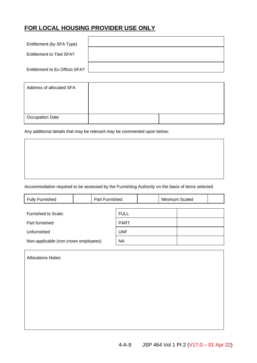### **FOR LOCAL HOUSING PROVIDER USE ONLY**

| Entitlement (by SFA Type)      |  |
|--------------------------------|--|
| Entitlement to Tied SFA?       |  |
|                                |  |
| Entitlement to Ex Officio SFA? |  |

| Address of allocated SFA |  |
|--------------------------|--|
| <b>Occupation Date</b>   |  |

Any additional details that may be relevant may be commented upon below:

#### Accommodation required to be assessed by the Furnishing Authority on the basis of items selected

| . II.<br>.<br>ully<br>ne<br>טור<br>. | -<br>______ |  | $\sim$<br>- - - - - - -<br>чес<br>_ _ _ _ _ |  |
|--------------------------------------|-------------|--|---------------------------------------------|--|
|--------------------------------------|-------------|--|---------------------------------------------|--|

| Furnished to Scale:                  | <b>FULL</b> |  |
|--------------------------------------|-------------|--|
| Part furnished                       | <b>PART</b> |  |
| Unfurnished                          | <b>UNF</b>  |  |
| Non-applicable (non crown employees) | <b>NA</b>   |  |

| <b>Allocations Notes:</b> |
|---------------------------|
|                           |
|                           |
|                           |
|                           |
|                           |
|                           |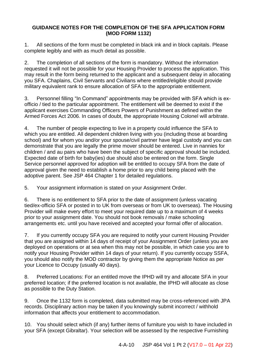#### **GUIDANCE NOTES FOR THE COMPLETION OF THE SFA APPLICATION FORM (MOD FORM 1132)**

1. All sections of the form must be completed in black ink and in block capitals. Please complete legibly and with as much detail as possible.

2. The completion of all sections of the form is mandatory. Without the information requested it will not be possible for your Housing Provider to process the application. This may result in the form being returned to the applicant and a subsequent delay in allocating you SFA. Chaplains, Civil Servants and Civilians where entitled/eligible should provide military equivalent rank to ensure allocation of SFA to the appropriate entitlement.

3. Personnel filling "In Command" appointments may be provided with SFA which is exofficio / tied to the particular appointment. The entitlement will be deemed to exist if the applicant exercises Commanding Officers Powers of Punishment as defined within the Armed Forces Act 2006. In cases of doubt, the appropriate Housing Colonel will arbitrate.

4. The number of people expecting to live in a property could influence the SFA to which you are entitled. All dependent children living with you (including those at boarding school) and for whom you and/or your spouse/civil partner have legal custody and you can demonstrate that you are legally the prime mover should be entered. Live in nannies for children / and au pairs who have been the subject of specific approval should be included. Expected date of birth for baby(ies) due should also be entered on the form. Single Service personnel approved for adoption will be entitled to occupy SFA from the date of approval given the need to establish a home prior to any child being placed with the adoptive parent. See JSP 464 Chapter 1 for detailed regulations.

5. Your assignment information is stated on your Assignment Order.

6. There is no entitlement to SFA prior to the date of assignment (unless vacating tied/ex-officio SFA or posted in to UK from overseas or from UK to overseas). The Housing Provider will make every effort to meet your required date up to a maximum of 4 weeks prior to your assignment date. You should not book removals / make schooling arrangements etc. until you have received and accepted your formal offer of allocation.

7. If you currently occupy SFA you are required to notify your current Housing Provider that you are assigned within 14 days of receipt of your Assignment Order (unless you are deployed on operations or at sea when this may not be possible, in which case you are to notify your Housing Provider within 14 days of your return). If you currently occupy SSFA, you should also notify the MOD contractor by giving them the appropriate Notice as per your Licence to Occupy (usually 40 days).

8. Preferred Locations: For an entitled move the IPHD will try and allocate SFA in your preferred location; if the preferred location is not available, the IPHD will allocate as close as possible to the Duty Station.

9. Once the 1132 form is completed, data submitted may be cross-referenced with JPA records. Disciplinary action may be taken if you knowingly submit incorrect / withhold information that affects your entitlement to accommodation.

10. You should select which (if any) further items of furniture you wish to have included in your SFA (except Gibraltar). Your selection will be assessed by the respective Furnishing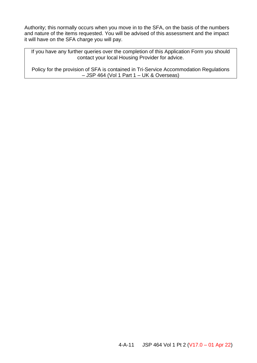Authority; this normally occurs when you move in to the SFA, on the basis of the numbers and nature of the items requested. You will be advised of this assessment and the impact it will have on the SFA charge you will pay.

If you have any further queries over the completion of this Application Form you should contact your local Housing Provider for advice.

Policy for the provision of SFA is contained in Tri-Service Accommodation Regulations – JSP 464 (Vol 1 Part 1 – UK & Overseas)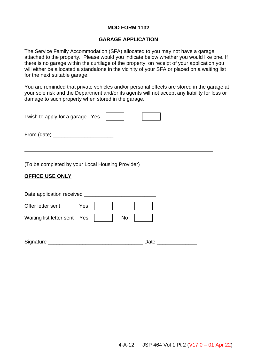#### **MOD FORM 1132**

#### **GARAGE APPLICATION**

The Service Family Accommodation (SFA) allocated to you may not have a garage attached to the property. Please would you indicate below whether you would like one. If there is no garage within the curtilage of the property, on receipt of your application you will either be allocated a standalone in the vicinity of your SFA or placed on a waiting list for the next suitable garage.

You are reminded that private vehicles and/or personal effects are stored in the garage at your sole risk and the Department and/or its agents will not accept any liability for loss or damage to such property when stored in the garage.

| I wish to apply for a garage Yes |  |  |
|----------------------------------|--|--|
| From (date)                      |  |  |

(To be completed by your Local Housing Provider)

#### **OFFICE USE ONLY**

| Date application received    |     |    |      |  |
|------------------------------|-----|----|------|--|
| Offer letter sent            | Yes |    |      |  |
| Waiting list letter sent Yes |     | No |      |  |
| Signature                    |     |    | Date |  |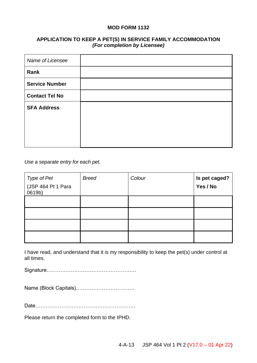#### **MOD FORM 1132**

#### **APPLICATION TO KEEP A PET(S) IN SERVICE FAMILY ACCOMMODATION**  *(For completion by Licensee)*

| Name of Licensee      |  |
|-----------------------|--|
| Rank                  |  |
| <b>Service Number</b> |  |
| <b>Contact Tel No</b> |  |
| <b>SFA Address</b>    |  |
|                       |  |
|                       |  |
|                       |  |

*Use a separate entry for each pet.*

| Type of Pet<br>(JSP 464 Pt 1 Para<br>0619 <sub>b</sub> | <b>Breed</b> | Colour | Is pet caged?<br>Yes / No |
|--------------------------------------------------------|--------------|--------|---------------------------|
|                                                        |              |        |                           |
|                                                        |              |        |                           |
|                                                        |              |        |                           |
|                                                        |              |        |                           |

I have read, and understand that it is my responsibility to keep the pet(s) under control at all times.

Signature…………………………………………….

Name (Block Capitals)…………………………….

Date………………………………………………….

Please return the completed form to the IPHD.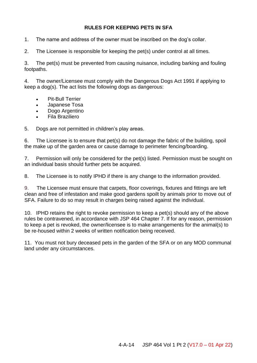#### **RULES FOR KEEPING PETS IN SFA**

1. The name and address of the owner must be inscribed on the dog's collar.

2. The Licensee is responsible for keeping the pet(s) under control at all times.

3. The pet(s) must be prevented from causing nuisance, including barking and fouling footpaths.

4. The owner/Licensee must comply with the Dangerous Dogs Act 1991 if applying to keep a dog(s). The act lists the following dogs as dangerous:

- Pit-Bull Terrier
- Japanese Tosa
- Dogo Argentino
- Fila Braziliero

5. Dogs are not permitted in children's play areas.

6. The Licensee is to ensure that pet(s) do not damage the fabric of the building, spoil the make up of the garden area or cause damage to perimeter fencing/boarding.

7. Permission will only be considered for the pet(s) listed. Permission must be sought on an individual basis should further pets be acquired.

8. The Licensee is to notify IPHD if there is any change to the information provided.

9. The Licensee must ensure that carpets, floor coverings, fixtures and fittings are left clean and free of infestation and make good gardens spoilt by animals prior to move out of SFA. Failure to do so may result in charges being raised against the individual.

10. IPHD retains the right to revoke permission to keep a pet(s) should any of the above rules be contravened, in accordance with JSP 464 Chapter 7. If for any reason, permission to keep a pet is revoked, the owner/licensee is to make arrangements for the animal(s) to be re-housed within 2 weeks of written notification being received.

11. You must not bury deceased pets in the garden of the SFA or on any MOD communal land under any circumstances.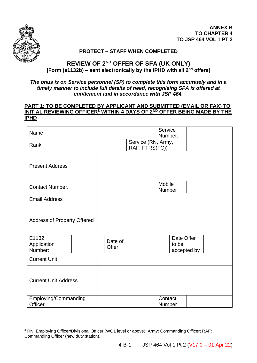

**ANNEX B TO CHAPTER 4 TO JSP 464 VOL 1 PT 2**

#### **PROTECT – STAFF WHEN COMPLETED**

#### **REVIEW OF 2ND OFFER OF SFA (UK ONLY)** [**Form (e1132b) – sent electronically by the IPHD with all 2nd offers**]

#### *The onus is on Service personnel (SP) to complete this form accurately and in a timely manner to include full details of need, recognising SFA is offered at entitlement and in accordance with JSP 464.*

#### **PART 1: TO BE COMPLETED BY APPLICANT AND SUBMITTED (EMAIL OR FAX) TO INITIAL REVIEWING OFFICER<sup>8</sup> WITHIN 4 DAYS OF 2ND OFFER BEING MADE BY THE IPHD**

| Name                            |                                    |                  |                                      | Service<br>Number:                 |  |
|---------------------------------|------------------------------------|------------------|--------------------------------------|------------------------------------|--|
| Rank                            |                                    |                  | Service (RN, Army,<br>RAF, FTRS(FC)) |                                    |  |
| <b>Present Address</b>          |                                    |                  |                                      |                                    |  |
| Contact Number.                 |                                    |                  |                                      | Mobile<br>Number                   |  |
| <b>Email Address</b>            |                                    |                  |                                      |                                    |  |
|                                 | <b>Address of Property Offered</b> |                  |                                      |                                    |  |
| E1132<br>Application<br>Number: |                                    | Date of<br>Offer |                                      | Date Offer<br>to be<br>accepted by |  |
| <b>Current Unit</b>             |                                    |                  |                                      |                                    |  |
| <b>Current Unit Address</b>     |                                    |                  |                                      |                                    |  |
| <b>Officer</b>                  | Employing/Commanding               |                  |                                      | Contact<br>Number                  |  |

<sup>8</sup> RN: Employing Officer/Divisional Officer (WO1 level or above): Army: Commanding Officer; RAF: Commanding Officer (new duty station).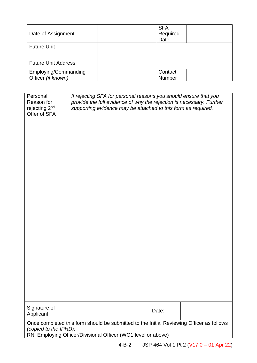| Date of Assignment                         | <b>SFA</b><br>Required<br>Date |
|--------------------------------------------|--------------------------------|
| <b>Future Unit</b>                         |                                |
| <b>Future Unit Address</b>                 |                                |
| Employing/Commanding<br>Officer (if known) | Contact<br>Number              |

| Personal<br>Reason for<br>rejecting 2 <sup>nd</sup><br>Offer of SFA                                                                                                                | If rejecting SFA for personal reasons you should ensure that you<br>provide the full evidence of why the rejection is necessary. Further<br>supporting evidence may be attached to this form as required. |  |  |  |
|------------------------------------------------------------------------------------------------------------------------------------------------------------------------------------|-----------------------------------------------------------------------------------------------------------------------------------------------------------------------------------------------------------|--|--|--|
|                                                                                                                                                                                    |                                                                                                                                                                                                           |  |  |  |
|                                                                                                                                                                                    |                                                                                                                                                                                                           |  |  |  |
|                                                                                                                                                                                    |                                                                                                                                                                                                           |  |  |  |
|                                                                                                                                                                                    |                                                                                                                                                                                                           |  |  |  |
|                                                                                                                                                                                    |                                                                                                                                                                                                           |  |  |  |
|                                                                                                                                                                                    |                                                                                                                                                                                                           |  |  |  |
|                                                                                                                                                                                    |                                                                                                                                                                                                           |  |  |  |
|                                                                                                                                                                                    |                                                                                                                                                                                                           |  |  |  |
| Signature of<br>Applicant:                                                                                                                                                         | Date:                                                                                                                                                                                                     |  |  |  |
| Once completed this form should be submitted to the Initial Reviewing Officer as follows<br>(copied to the IPHD):<br>RN: Employing Officer/Divisional Officer (WO1 level or above) |                                                                                                                                                                                                           |  |  |  |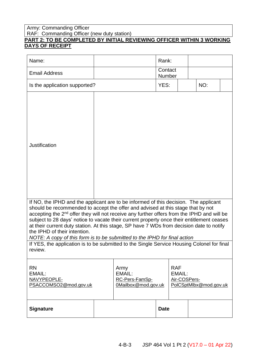### Army: Commanding Officer

RAF: Commanding Officer (new duty station)

#### **PART 2: TO BE COMPLETED BY INITIAL REVIEWING OFFICER WITHIN 3 WORKING DAYS OF RECEIPT**

| Name:                                                                                                                                                                                                                                                                                                                                                                                                                                                                                                      |                                                         |  | Rank:                                |  |                        |     |  |
|------------------------------------------------------------------------------------------------------------------------------------------------------------------------------------------------------------------------------------------------------------------------------------------------------------------------------------------------------------------------------------------------------------------------------------------------------------------------------------------------------------|---------------------------------------------------------|--|--------------------------------------|--|------------------------|-----|--|
| <b>Email Address</b>                                                                                                                                                                                                                                                                                                                                                                                                                                                                                       |                                                         |  | Contact<br><b>Number</b>             |  |                        |     |  |
| Is the application supported?                                                                                                                                                                                                                                                                                                                                                                                                                                                                              |                                                         |  | YES:                                 |  |                        | NO: |  |
| Justification                                                                                                                                                                                                                                                                                                                                                                                                                                                                                              |                                                         |  |                                      |  |                        |     |  |
| If NO, the IPHD and the applicant are to be informed of this decision. The applicant<br>should be recommended to accept the offer and advised at this stage that by not<br>accepting the 2 <sup>nd</sup> offer they will not receive any further offers from the IPHD and will be<br>subject to 28 days' notice to vacate their current property once their entitlement ceases<br>at their current duty station. At this stage, SP have 7 WDs from decision date to notify<br>the IPHD of their intention. |                                                         |  |                                      |  |                        |     |  |
| NOTE: A copy of this form is to be submitted to the IPHD for final action<br>If YES, the application is to be submitted to the Single Service Housing Colonel for final<br>review.                                                                                                                                                                                                                                                                                                                         |                                                         |  |                                      |  |                        |     |  |
| <b>RN</b><br>EMAIL:<br>NAVYPEOPLE-<br>PSACCOMSO2@mod.gov.uk                                                                                                                                                                                                                                                                                                                                                                                                                                                | Army<br>EMAIL:<br>RC-Pers-FamSp-<br>0Mailbox@mod.gov.uk |  | <b>RAF</b><br>EMAIL:<br>Air-COSPers- |  | PolCSptMlbx@mod.gov.uk |     |  |
| <b>Signature</b>                                                                                                                                                                                                                                                                                                                                                                                                                                                                                           |                                                         |  | <b>Date</b>                          |  |                        |     |  |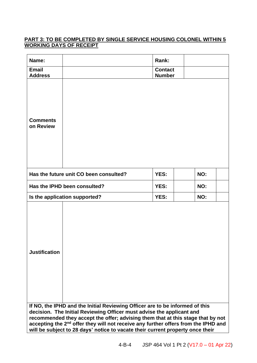#### **PART 3: TO BE COMPLETED BY SINGLE SERVICE HOUSING COLONEL WITHIN 5 WORKING DAYS OF RECEIPT**

| Name:                                                                                                                                                                                                                                                                                                                                      |                                                                                | Rank:                           |     |  |
|--------------------------------------------------------------------------------------------------------------------------------------------------------------------------------------------------------------------------------------------------------------------------------------------------------------------------------------------|--------------------------------------------------------------------------------|---------------------------------|-----|--|
| <b>Email</b><br><b>Address</b>                                                                                                                                                                                                                                                                                                             |                                                                                | <b>Contact</b><br><b>Number</b> |     |  |
| <b>Comments</b><br>on Review                                                                                                                                                                                                                                                                                                               |                                                                                |                                 |     |  |
|                                                                                                                                                                                                                                                                                                                                            | Has the future unit CO been consulted?                                         | YES:                            | NO: |  |
|                                                                                                                                                                                                                                                                                                                                            | Has the IPHD been consulted?                                                   | YES:                            | NO: |  |
|                                                                                                                                                                                                                                                                                                                                            | Is the application supported?                                                  | YES:                            | NO: |  |
| <b>Justification</b>                                                                                                                                                                                                                                                                                                                       |                                                                                |                                 |     |  |
| If NO, the IPHD and the Initial Reviewing Officer are to be informed of this<br>decision. The Initial Reviewing Officer must advise the applicant and<br>recommended they accept the offer; advising them that at this stage that by not<br>accepting the 2 <sup>nd</sup> offer they will not receive any further offers from the IPHD and |                                                                                |                                 |     |  |
|                                                                                                                                                                                                                                                                                                                                            | will be subject to 28 days' notice to vacate their current property once their |                                 |     |  |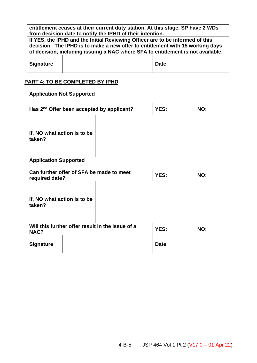**entitlement ceases at their current duty station. At this stage, SP have 2 WDs from decision date to notify the IPHD of their intention.**

**If YES, the IPHD and the Initial Reviewing Officer are to be informed of this decision. The IPHD is to make a new offer to entitlement with 15 working days of decision, including issuing a NAC where SFA to entitlement is not available.**

| <sup>l</sup> Signature<br><b>Date</b> |  |
|---------------------------------------|--|
|---------------------------------------|--|

#### **PART 4: TO BE COMPLETED BY IPHD**

| <b>Application Not Supported</b>                                          |                                                       |             |     |  |  |
|---------------------------------------------------------------------------|-------------------------------------------------------|-------------|-----|--|--|
|                                                                           | Has 2 <sup>nd</sup> Offer been accepted by applicant? | YES:        | NO: |  |  |
| If, NO what action is to be<br>taken?                                     |                                                       |             |     |  |  |
| <b>Application Supported</b>                                              |                                                       |             |     |  |  |
| Can further offer of SFA be made to meet<br>YES:<br>NO:<br>required date? |                                                       |             |     |  |  |
| If, NO what action is to be<br>taken?                                     |                                                       |             |     |  |  |
| NAC?                                                                      | Will this further offer result in the issue of a      | YES:        | NO: |  |  |
| <b>Signature</b>                                                          |                                                       | <b>Date</b> |     |  |  |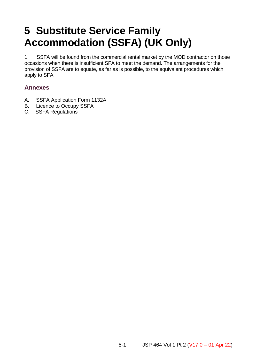## **5 Substitute Service Family Accommodation (SSFA) (UK Only)**

1. SSFA will be found from the commercial rental market by the MOD contractor on those occasions when there is insufficient SFA to meet the demand. The arrangements for the provision of SSFA are to equate, as far as is possible, to the equivalent procedures which apply to SFA.

### **Annexes**

- A. SSFA Application Form 1132A
- B. Licence to Occupy SSFA
- C. SSFA Regulations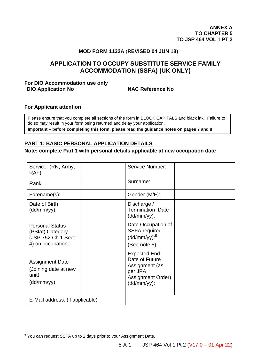#### **MOD FORM 1132A** (**REVISED 04 JUN 18)**

### **APPLICATION TO OCCUPY SUBSTITUTE SERVICE FAMILY ACCOMMODATION (SSFA) (UK ONLY)**

#### **For DIO Accommodation use only DIO Application No NAC Reference No**

#### **For Applicant attention**

Please ensure that you complete all sections of the form in BLOCK CAPITALS and black ink. Failure to do so may result in your form being returned and delay your application.

**Important – before completing this form, please read the guidance notes on pages 7 and 8**

#### **PART 1: BASIC PERSONAL APPLICATION DETAILS**

#### **Note: complete Part 1 with personal details applicable at new occupation date**

| Service: (RN, Army,<br>RAF)                                                           | Service Number:                                                                                                  |
|---------------------------------------------------------------------------------------|------------------------------------------------------------------------------------------------------------------|
| Rank:                                                                                 | Surname:                                                                                                         |
| Forename(s):                                                                          | Gender (M/F):                                                                                                    |
| Date of Birth<br>$(dd/mm/yy)$ :                                                       | Discharge /<br><b>Termination Date</b><br>(dd/mm/yy):                                                            |
| <b>Personal Status</b><br>(PStat) Category<br>(JSP 752 Ch 1 Sect<br>4) on occupation: | Date Occupation of<br><b>SSFA required</b><br>(dd/mm/yy). <sup>9</sup><br>(See note 5)                           |
| <b>Assignment Date</b><br>(Joining date at new<br>unit)<br>$(dd/mm/yy)$ :             | <b>Expected End</b><br>Date of Future<br>Assignment (as<br>per JPA<br><b>Assignment Order)</b><br>$(dd/mm/yy)$ : |
| E-Mail address: (if applicable)                                                       |                                                                                                                  |

<sup>&</sup>lt;sup>9</sup> You can request SSFA up to 2 days prior to your Assignment Date.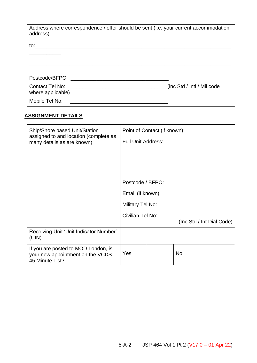| Address where correspondence / offer should be sent (i.e. your current accommodation<br>address): |                            |
|---------------------------------------------------------------------------------------------------|----------------------------|
| to:                                                                                               |                            |
|                                                                                                   |                            |
|                                                                                                   |                            |
| Postcode/BFPO                                                                                     |                            |
| Contact Tel No:<br>where applicable)                                                              | (inc Std / Intl / Mil code |
| Mobile Tel No:                                                                                    |                            |

#### **ASSIGNMENT DETAILS**

| Ship/Shore based Unit/Station                                                              | Point of Contact (if known): |  |           |                           |
|--------------------------------------------------------------------------------------------|------------------------------|--|-----------|---------------------------|
| assigned to and location (complete as<br>many details as are known):                       | <b>Full Unit Address:</b>    |  |           |                           |
|                                                                                            |                              |  |           |                           |
|                                                                                            |                              |  |           |                           |
|                                                                                            |                              |  |           |                           |
|                                                                                            | Postcode / BFPO:             |  |           |                           |
|                                                                                            | Email (if known):            |  |           |                           |
|                                                                                            | Military Tel No:             |  |           |                           |
|                                                                                            | Civilian Tel No:             |  |           |                           |
|                                                                                            |                              |  |           | (Inc Std / Int Dial Code) |
| Receiving Unit 'Unit Indicator Number'<br>(UIN)                                            |                              |  |           |                           |
| If you are posted to MOD London, is<br>your new appointment on the VCDS<br>45 Minute List? | Yes                          |  | <b>No</b> |                           |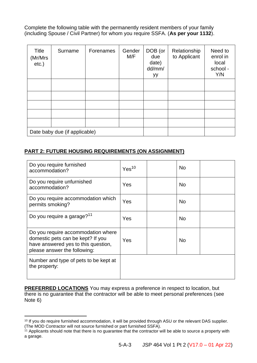Complete the following table with the permanently resident members of your family (including Spouse / Civil Partner) for whom you require SSFA. (**As per your 1132**).

| Title<br>(Mr/Mrs<br>$etc.$ ) | Surname                       | Forenames | Gender<br>M/F | DOB (or<br>due<br>date)<br>dd/mm/<br>уу | Relationship<br>to Applicant | Need to<br>enrol in<br>local<br>school -<br>Y/N |
|------------------------------|-------------------------------|-----------|---------------|-----------------------------------------|------------------------------|-------------------------------------------------|
|                              |                               |           |               |                                         |                              |                                                 |
|                              |                               |           |               |                                         |                              |                                                 |
|                              |                               |           |               |                                         |                              |                                                 |
|                              |                               |           |               |                                         |                              |                                                 |
|                              |                               |           |               |                                         |                              |                                                 |
|                              | Date baby due (if applicable) |           |               |                                         |                              |                                                 |

#### **PART 2: FUTURE HOUSING REQUIREMENTS (ON ASSIGNMENT)**

| Do you require furnished<br>accommodation?                                                                                                     | Yes <sup>10</sup> | <b>No</b> |  |
|------------------------------------------------------------------------------------------------------------------------------------------------|-------------------|-----------|--|
| Do you require unfurnished<br>accommodation?                                                                                                   | Yes               | <b>No</b> |  |
| Do you require accommodation which<br>permits smoking?                                                                                         | Yes               | <b>No</b> |  |
| Do you require a garage? <sup>11</sup>                                                                                                         | Yes               | <b>No</b> |  |
| Do you require accommodation where<br>domestic pets can be kept? If you<br>have answered yes to this question,<br>please answer the following: | Yes               | <b>No</b> |  |
| Number and type of pets to be kept at<br>the property:                                                                                         |                   |           |  |

**PREFERRED LOCATIONS** You may express a preference in respect to location, but there is no guarantee that the contractor will be able to meet personal preferences (see Note 6)

<sup>&</sup>lt;sup>10</sup> If you do require furnished accommodation, it will be provided through ASU or the relevant DAS supplier. (The MOD Contractor will not source furnished or part furnished SSFA).

 $11$  Applicants should note that there is no guarantee that the contractor will be able to source a property with a garage.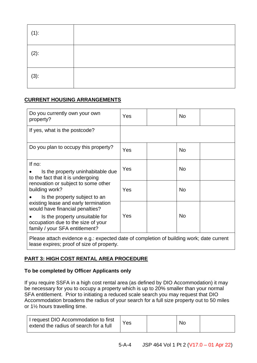| $(1)$ : |  |
|---------|--|
| $(2)$ : |  |
| $(3)$ : |  |

### **CURRENT HOUSING ARRANGEMENTS**

| Do you currently own your own<br>property?                                                                                                                                        | Yes | <b>No</b> |  |
|-----------------------------------------------------------------------------------------------------------------------------------------------------------------------------------|-----|-----------|--|
| If yes, what is the postcode?                                                                                                                                                     |     |           |  |
| Do you plan to occupy this property?                                                                                                                                              | Yes | <b>No</b> |  |
| If no:<br>Is the property uninhabitable due<br>to the fact that it is undergoing<br>renovation or subject to some other<br>building work?<br>Is the property subject to an        | Yes | No        |  |
|                                                                                                                                                                                   | Yes | <b>No</b> |  |
| existing lease and early termination<br>would have financial penalties?<br>Is the property unsuitable for<br>occupation due to the size of your<br>family / your SFA entitlement? | Yes | <b>No</b> |  |

Please attach evidence e.g.: expected date of completion of building work; date current lease expires; proof of size of property.

### **PART 3: HIGH COST RENTAL AREA PROCEDURE**

#### **To be completed by Officer Applicants only**

If you require SSFA in a high cost rental area (as defined by DIO Accommodation) it may be necessary for you to occupy a property which is up to 20% smaller than your normal SFA entitlement. Prior to initiating a reduced scale search you may request that DIO Accommodation broadens the radius of your search for a full size property out to 50 miles or 1½ hours travelling time.

|  | I request DIO Accommodation to first<br>extend the radius of search for a full | $V_{\text{ES}}$ |  | No |  |
|--|--------------------------------------------------------------------------------|-----------------|--|----|--|
|--|--------------------------------------------------------------------------------|-----------------|--|----|--|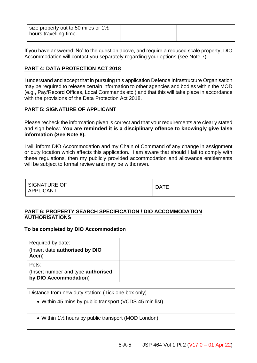| size property out to 50 miles or $1\frac{1}{2}$<br>hours travelling time. |  |  |
|---------------------------------------------------------------------------|--|--|
|                                                                           |  |  |

If you have answered 'No' to the question above, and require a reduced scale property, DIO Accommodation will contact you separately regarding your options (see Note 7).

#### **PART 4: DATA PROTECTION ACT 2018**

I understand and accept that in pursuing this application Defence Infrastructure Organisation may be required to release certain information to other agencies and bodies within the MOD (e.g., Pay/Record Offices, Local Commands etc.) and that this will take place in accordance with the provisions of the Data Protection Act 2018.

#### **PART 5: SIGNATURE OF APPLICANT**

Please recheck the information given is correct and that your requirements are clearly stated and sign below. **You are reminded it is a disciplinary offence to knowingly give false information (See Note 8).**

I will inform DIO Accommodation and my Chain of Command of any change in assignment or duty location which affects this application. I am aware that should I fail to comply with these regulations, then my publicly provided accommodation and allowance entitlements will be subject to formal review and may be withdrawn.

| SIGNATURE OF<br><b>APPLICANT</b> |  | <b>DATE</b> |  |
|----------------------------------|--|-------------|--|
|----------------------------------|--|-------------|--|

#### **PART 6: PROPERTY SEARCH SPECIFICATION / DIO ACCOMMODATION AUTHORISATIONS**

#### **To be completed by DIO Accommodation**

| Required by date:<br>(Insert date authorised by DIO<br>Accn)         |  |
|----------------------------------------------------------------------|--|
| Pets:<br>(Insert number and type authorised<br>by DIO Accommodation) |  |

| Distance from new duty station: (Tick one box only)            |  |  |  |
|----------------------------------------------------------------|--|--|--|
| • Within 45 mins by public transport (VCDS 45 min list)        |  |  |  |
| • Within $1\frac{1}{2}$ hours by public transport (MOD London) |  |  |  |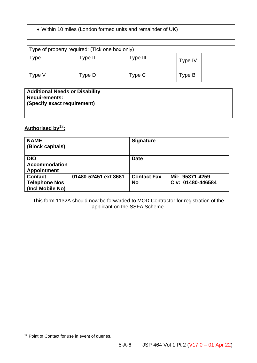### • Within 10 miles (London formed units and remainder of UK)

| Type of property required: (Tick one box only) |  |         |  |          |  |         |  |
|------------------------------------------------|--|---------|--|----------|--|---------|--|
| Type I                                         |  | Type II |  | Type III |  | Type IV |  |
| Type V                                         |  | Type D  |  | Type C   |  | Type B  |  |

| <b>Additional Needs or Disability</b> |  |
|---------------------------------------|--|
| <b>Requirements:</b>                  |  |
| (Specify exact requirement)           |  |
|                                       |  |

### **Authorised by**12**:**

| <b>NAME</b><br>(Block capitals)                            |                      | <b>Signature</b>                |                                      |
|------------------------------------------------------------|----------------------|---------------------------------|--------------------------------------|
| <b>DIO</b><br><b>Accommodation</b><br><b>Appointment</b>   |                      | <b>Date</b>                     |                                      |
| <b>Contact</b><br><b>Telephone Nos</b><br>(Incl Mobile No) | 01480-52451 ext 8681 | <b>Contact Fax</b><br><b>No</b> | Mil: 95371-4259<br>Civ: 01480-446584 |

This form 1132A should now be forwarded to MOD Contractor for registration of the applicant on the SSFA Scheme.

<sup>&</sup>lt;sup>12</sup> Point of Contact for use in event of queries.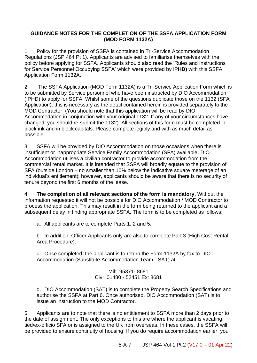#### **GUIDANCE NOTES FOR THE COMPLETION OF THE SSFA APPLICATION FORM (MOD FORM 1132A)**

1. Policy for the provision of SSFA is contained in Tri-Service Accommodation Regulations (JSP 464 Pt 1). Applicants are advised to familiarise themselves with the policy before applying for SSFA. Applicants should also read the 'Rules and Instructions for Service Personnel Occupying SSFA' which were provided by IP**HD)** with this SSFA Application Form 1132A.

2. The SSFA Application (MOD Form 1132A) is a Tri-Service Application Form which is to be submitted by Service personnel who have been instructed by DIO Accommodation (IPHD) to apply for SSFA. Whilst some of the questions duplicate those on the 1132 (SFA Application), this is necessary as the detail contained herein is provided separately to the MOD Contractor. (You should note that this application will be read by DIO Accommodation in conjunction with your original 1132. If any of your circumstances have changed, you should re-submit the 1132). All sections of this form must be completed in black ink and in block capitals. Please complete legibly and with as much detail as possible.

3. SSFA will be provided by DIO Accommodation on those occasions when there is insufficient or inappropriate Service Family Accommodation (SFA) available. DIO Accommodation utilises a civilian contractor to provide accommodation from the commercial rental market. It is intended that SSFA will broadly equate to the provision of SFA (outside London – no smaller than 10% below the indicative square meterage of an individual's entitlement); however, applicants should be aware that there is no security of tenure beyond the first 6 months of the lease.

4. **The completion of all relevant sections of the form is mandatory.** Without the information requested it will not be possible for DIO Accommodation / MOD Contractor to process the application. This may result in the form being returned to the applicant and a subsequent delay in finding appropriate SSFA. The form is to be completed as follows:

a. All applicants are to complete Parts 1, 2 and 5.

b. In addition, Officer Applicants only are also to complete Part 3 (High Cost Rental Area Procedure).

c. Once completed, the applicant is to return the Form 1132A by fax to DIO Accommodation (Substitute Accommodation Team - SAT) at:

#### Mil: 95371- 8681 Civ: 01480 - 52451 Ex: 8681

d. DIO Accommodation (SAT) is to complete the Property Search Specifications and authorise the SSFA at Part 6. Once authorised, DIO Accommodation (SAT) is to issue an instruction to the MOD Contractor.

5. Applicants are to note that there is no entitlement to SSFA more than 2 days prior to the date of assignment. The only exceptions to this are where the applicant is vacating tied/ex-officio SFA or is assigned to the UK from overseas. In these cases, the SSFA will be provided to ensure continuity of housing. If you do require accommodation earlier, you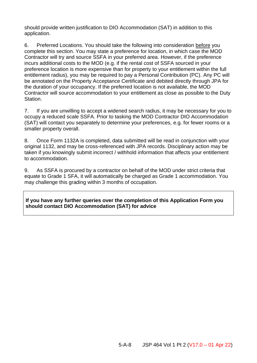should provide written justification to DIO Accommodation (SAT) in addition to this application.

6. Preferred Locations. You should take the following into consideration before you complete this section. You may state a preference for location, in which case the MOD Contractor will try and source SSFA in your preferred area. However, if the preference incurs additional costs to the MOD (e.g. if the rental cost of SSFA sourced in your preference location is more expensive than for property to your entitlement within the full entitlement radius), you may be required to pay a Personal Contribution (PC). Any PC will be annotated on the Property Acceptance Certificate and debited directly through JPA for the duration of your occupancy. If the preferred location is not available, the MOD Contractor will source accommodation to your entitlement as close as possible to the Duty Station.

7. If you are unwilling to accept a widened search radius, it may be necessary for you to occupy a reduced scale SSFA. Prior to tasking the MOD Contractor DIO Accommodation (SAT) will contact you separately to determine your preferences, e.g. for fewer rooms or a smaller property overall.

8. Once Form 1132A is completed, data submitted will be read in conjunction with your original 1132, and may be cross-referenced with JPA records. Disciplinary action may be taken if you knowingly submit incorrect / withhold information that affects your entitlement to accommodation.

9. As SSFA is procured by a contractor on behalf of the MOD under strict criteria that equate to Grade 1 SFA, it will automatically be charged as Grade 1 accommodation. You may challenge this grading within 3 months of occupation.

**If you have any further queries over the completion of this Application Form you should contact DIO Accommodation (SAT) for advice**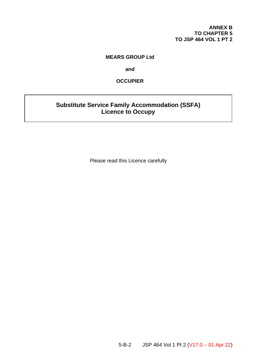**ANNEX B TO CHAPTER 5 TO JSP 464 VOL 1 PT 2**

#### **MEARS GROUP Ltd**

**and**

**OCCUPIER**

### **Substitute Service Family Accommodation (SSFA) Licence to Occupy**

Please read this Licence carefully

5-B-2 JSP 464 Vol 1 Pt 2 (V17.0 – 01 Apr 22)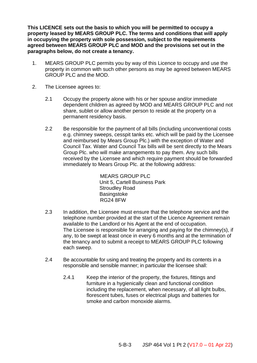**This LICENCE sets out the basis to which you will be permitted to occupy a property leased by MEARS GROUP PLC. The terms and conditions that will apply in occupying the property with sole possession, subject to the requirements agreed between MEARS GROUP PLC and MOD and the provisions set out in the paragraphs below, do not create a tenancy.**

- 1. MEARS GROUP PLC permits you by way of this Licence to occupy and use the property in common with such other persons as may be agreed between MEARS GROUP PLC and the MOD.
- 2. The Licensee agrees to:
	- 2.1 Occupy the property alone with his or her spouse and/or immediate dependent children as agreed by MOD and MEARS GROUP PLC and not share, sublet or allow another person to reside at the property on a permanent residency basis.
	- 2.2 Be responsible for the payment of all bills (including unconventional costs e.g. chimney sweeps, cesspit tanks etc. which will be paid by the Licensee and reimbursed by Mears Group Plc.) with the exception of Water and Council Tax. Water and Council Tax bills will be sent directly to the Mears Group Plc. who will make arrangements to pay them. Any such bills received by the Licensee and which require payment should be forwarded immediately to Mears Group Plc. at the following address:

MEARS GROUP PLC Unit 5, Cartell Business Park Stroudley Road **Basingstoke** RG24 8FW

- 2.3 In addition, the Licensee must ensure that the telephone service and the telephone number provided at the start of the Licence Agreement remain available to the Landlord or his Agent at the end of occupation. The Licensee is responsible for arranging and paying for the chimney(s), if any, to be swept at least once in every 6 months and at the termination of the tenancy and to submit a receipt to MEARS GROUP PLC following each sweep.
- 2.4 Be accountable for using and treating the property and its contents in a responsible and sensible manner; in particular the licensee shall:
	- 2.4.1 Keep the interior of the property, the fixtures, fittings and furniture in a hygienically clean and functional condition including the replacement, when necessary, of all light bulbs, florescent tubes, fuses or electrical plugs and batteries for smoke and carbon monoxide alarms.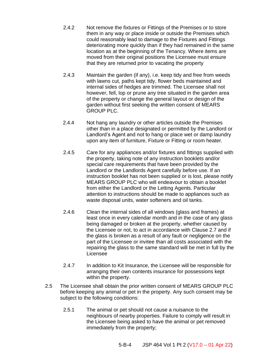- 2.4.2 Not remove the fixtures or Fittings of the Premises or to store them in any way or place inside or outside the Premises which could reasonably lead to damage to the Fixtures and Fittings deteriorating more quickly than if they had remained in the same location as at the beginning of the Tenancy. Where items are moved from their original positions the Licensee must ensure that they are returned prior to vacating the property
- 2.4.3 Maintain the garden (if any), i.e. keep tidy and free from weeds with lawns cut, paths kept tidy, flower beds maintained and internal sides of hedges are trimmed. The Licensee shall not however, fell, lop or prune any tree situated in the garden area of the property or change the general layout or design of the garden without first seeking the written consent of MEARS GROUP PLC.
- 2.4.4 Not hang any laundry or other articles outside the Premises other than in a place designated or permitted by the Landlord or Landlord's Agent and not to hang or place wet or damp laundry upon any item of furniture, Fixture or Fitting or room heater.
- 2.4.5 Care for any appliances and/or fixtures and fittings supplied with the property, taking note of any instruction booklets and/or special care requirements that have been provided by the Landlord or the Landlords Agent carefully before use. If an instruction booklet has not been supplied or is lost, please notify MEARS GROUP PLC who will endeavour to obtain a booklet from either the Landlord or the Letting Agents. Particular attention to instructions should be made to appliances such as waste disposal units, water softeners and oil tanks.
- 2.4.6 Clean the internal sides of all windows (glass and frames) at least once in every calendar month and in the case of any glass being damaged or broken at the property, whether caused by the Licensee or not, to act in accordance with Clause 2.7 and if the glass is broken as a result of any fault or negligence on the part of the Licensee or invitee than all costs associated with the repairing the glass to the same standard will be met in full by the Licensee
- 2.4.7 In addition to Kit Insurance, the Licensee will be responsible for arranging their own contents insurance for possessions kept within the property.
- 2.5 The Licensee shall obtain the prior written consent of MEARS GROUP PLC before keeping any animal or pet in the property. Any such consent may be subject to the following conditions:
	- 2.5.1 The animal or pet should not cause a nuisance to the neighbours of nearby properties. Failure to comply will result in the Licensee being asked to have the animal or pet removed immediately from the property;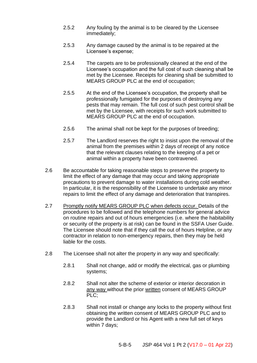- 2.5.2 Any fouling by the animal is to be cleared by the Licensee immediately;
- 2.5.3 Any damage caused by the animal is to be repaired at the Licensee's expense;
- 2.5.4 The carpets are to be professionally cleaned at the end of the Licensee's occupation and the full cost of such cleaning shall be met by the Licensee. Receipts for cleaning shall be submitted to MEARS GROUP PLC at the end of occupation;
- 2.5.5 At the end of the Licensee's occupation, the property shall be professionally fumigated for the purposes of destroying any pests that may remain. The full cost of such pest control shall be met by the Licensee, with receipts for such work submitted to MEARS GROUP PLC at the end of occupation.
- 2.5.6 The animal shall not be kept for the purposes of breeding;
- 2.5.7 The Landlord reserves the right to insist upon the removal of the animal from the premises within 2 days of receipt of any notice that the relevant clauses relating to the keeping of a pet or animal within a property have been contravened.
- 2.6 Be accountable for taking reasonable steps to preserve the property to limit the effect of any damage that may occur and taking appropriate precautions to prevent damage to water installations during cold weather. In particular, it is the responsibility of the Licensee to undertake any minor repairs to limit the effect of any damage and deterioration that transpires.
- 2.7 Promptly notify MEARS GROUP PLC when defects occur. Details of the procedures to be followed and the telephone numbers for general advice on routine repairs and out of hours emergencies (i.e. where the habitability or security of the property is at risk) can be found in the SSFA User Guide. The Licensee should note that if they call the out of hours Helpline, or any contractor in relation to non-emergency repairs, then they may be held liable for the costs.
- 2.8 The Licensee shall not alter the property in any way and specifically:
	- 2.8.1 Shall not change, add or modify the electrical, gas or plumbing systems;
	- 2.8.2 Shall not alter the scheme of exterior or interior decoration in any way without the prior written consent of MEARS GROUP PLC;
	- 2.8.3 Shall not install or change any locks to the property without first obtaining the written consent of MEARS GROUP PLC and to provide the Landlord or his Agent with a new full set of keys within 7 days;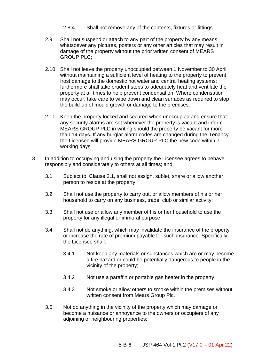- 2.8.4 Shall not remove any of the contents, fixtures or fittings.
- 2.9 Shall not suspend or attach to any part of the property by any means whatsoever any pictures, posters or any other articles that may result in damage of the property without the prior written consent of MEARS GROUP PLC;
- 2.10 Shall not leave the property unoccupied between 1 November to 30 April without maintaining a sufficient level of heating to the property to prevent frost damage to the domestic hot water and central heating systems; furthermore shall take prudent steps to adequately heat and ventilate the property at all times to help prevent condensation. Where condensation may occur, take care to wipe down and clean surfaces as required to stop the build-up of mould growth or damage to the premises.
- 2.11 Keep the property locked and secured when unoccupied and ensure that any security alarms are set whenever the property is vacant and inform MEARS GROUP PLC in writing should the property be vacant for more than 14 days. If any burglar alarm codes are changed during the Tenancy the Licensee will provide MEARS GROUP PLC the new code within 7 working days;
- 3 In addition to occupying and using the property the Licensee agrees to behave responsibly and considerately to others at all times; and:
	- 3.1 Subject to Clause 2.1, shall not assign, sublet, share or allow another person to reside at the property;
	- 3.2 Shall not use the property to carry out, or allow members of his or her household to carry on any business, trade, club or similar activity;
	- 3.3 Shall not use or allow any member of his or her household to use the property for any illegal or immoral purpose;
	- 3.4 Shall not do anything, which may invalidate the insurance of the property or increase the rate of premium payable for such insurance. Specifically, the Licensee shall:
		- 3.4.1 Not keep any materials or substances which are or may become a fire hazard or could be potentially dangerous to people in the vicinity of the property;
		- 3.4.2 Not use a paraffin or portable gas heater in the property.
		- 3.4.3 Not smoke or allow others to smoke within the premises without written consent from Mears Group Plc.
	- 3.5 Not do anything in the vicinity of the property which may damage or become a nuisance or annoyance to the owners or occupiers of any adjoining or neighbouring properties;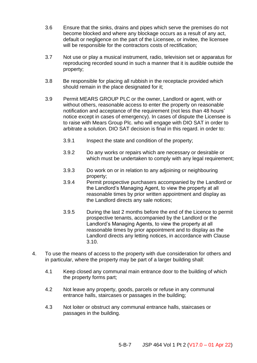- 3.6 Ensure that the sinks, drains and pipes which serve the premises do not become blocked and where any blockage occurs as a result of any act, default or negligence on the part of the Licensee, or invitee, the licensee will be responsible for the contractors costs of rectification;
- 3.7 Not use or play a musical instrument, radio, television set or apparatus for reproducing recorded sound in such a manner that it is audible outside the property;
- 3.8 Be responsible for placing all rubbish in the receptacle provided which should remain in the place designated for it;
- 3.9 Permit MEARS GROUP PLC or the owner, Landlord or agent, with or without others, reasonable access to enter the property on reasonable notification and acceptance of the requirement (not less than 48 hours' notice except in cases of emergency). In cases of dispute the Licensee is to raise with Mears Group Plc. who will engage with DIO SAT in order to arbitrate a solution. DIO SAT decision is final in this regard. in order to:
	- 3.9.1 Inspect the state and condition of the property;
	- 3.9.2 Do any works or repairs which are necessary or desirable or which must be undertaken to comply with any legal requirement;
	- 3.9.3 Do work on or in relation to any adjoining or neighbouring property;
	- 3.9.4 Permit prospective purchasers accompanied by the Landlord or the Landlord's Managing Agent, to view the property at all reasonable times by prior written appointment and display as the Landlord directs any sale notices;
	- 3.9.5 During the last 2 months before the end of the Licence to permit prospective tenants, accompanied by the Landlord or the Landlord's Managing Agents, to view the property at all reasonable times by prior appointment and to display as the Landlord directs any letting notices, in accordance with Clause 3.10.
- 4. To use the means of access to the property with due consideration for others and in particular, where the property may be part of a larger building shall:
	- 4.1 Keep closed any communal main entrance door to the building of which the property forms part;
	- 4.2 Not leave any property, goods, parcels or refuse in any communal entrance halls, staircases or passages in the building;
	- 4.3 Not loiter or obstruct any communal entrance halls, staircases or passages in the building.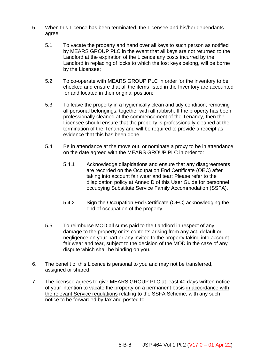- 5. When this Licence has been terminated, the Licensee and his/her dependants agree:
	- 5.1 To vacate the property and hand over all keys to such person as notified by MEARS GROUP PLC in the event that all keys are not returned to the Landlord at the expiration of the Licence any costs incurred by the Landlord in replacing of locks to which the lost keys belong, will be borne by the Licensee;
	- 5.2 To co-operate with MEARS GROUP PLC in order for the inventory to be checked and ensure that all the items listed in the Inventory are accounted for and located in their original position;
	- 5.3 To leave the property in a hygienically clean and tidy condition; removing all personal belongings, together with all rubbish. If the property has been professionally cleaned at the commencement of the Tenancy, then the Licensee should ensure that the property is professionally cleaned at the termination of the Tenancy and will be required to provide a receipt as evidence that this has been done.
	- 5.4 Be in attendance at the move out, or nominate a proxy to be in attendance on the date agreed with the MEARS GROUP PLC in order to:
		- 5.4.1 Acknowledge dilapidations and ensure that any disagreements are recorded on the Occupation End Certificate (OEC) after taking into account fair wear and tear; Please refer to the dilapidation policy at Annex D of this User Guide for personnel occupying Substitute Service Family Accommodation (SSFA).
		- 5.4.2 Sign the Occupation End Certificate (OEC) acknowledging the end of occupation of the property
	- 5.5 To reimburse MOD all sums paid to the Landlord in respect of any damage to the property or its contents arising from any act, default or negligence on your part or any invitee to the property taking into account fair wear and tear, subject to the decision of the MOD in the case of any dispute which shall be binding on you.
- 6. The benefit of this Licence is personal to you and may not be transferred, assigned or shared.
- 7. The licensee agrees to give MEARS GROUP PLC at least 40 days written notice of your intention to vacate the property on a permanent basis in accordance with the relevant Service regulations relating to the SSFA Scheme, with any such notice to be forwarded by fax and posted to: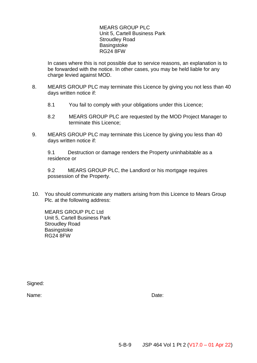MEARS GROUP PLC Unit 5, Cartell Business Park Stroudley Road **Basingstoke** RG24 8FW

In cases where this is not possible due to service reasons, an explanation is to be forwarded with the notice. In other cases, you may be held liable for any charge levied against MOD.

- 8. MEARS GROUP PLC may terminate this Licence by giving you not less than 40 days written notice if:
	- 8.1 You fail to comply with your obligations under this Licence;
	- 8.2 MEARS GROUP PLC are requested by the MOD Project Manager to terminate this Licence;
- 9. MEARS GROUP PLC may terminate this Licence by giving you less than 40 days written notice if:

9.1 Destruction or damage renders the Property uninhabitable as a residence or

9.2 MEARS GROUP PLC, the Landlord or his mortgage requires possession of the Property.

10. You should communicate any matters arising from this Licence to Mears Group Plc. at the following address:

MEARS GROUP PLC Ltd. Unit 5, Cartell Business Park Stroudley Road **Basingstoke** RG24 8FW

Signed:

Name: **Name:**  $\blacksquare$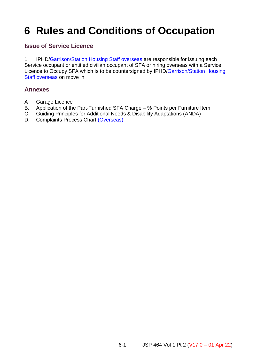## **6 Rules and Conditions of Occupation**

## **Issue of Service Licence**

1. IPHD/Garrison/Station Housing Staff overseas are responsible for issuing each Service occupant or entitled civilian occupant of SFA or hiring overseas with a Service Licence to Occupy SFA which is to be countersigned by IPHD/Garrison/Station Housing Staff overseas on move in.

### **Annexes**

- A Garage Licence
- B. Application of the Part-Furnished SFA Charge % Points per Furniture Item
- C. Guiding Principles for Additional Needs & Disability Adaptations (ANDA)
- D. Complaints Process Chart (Overseas)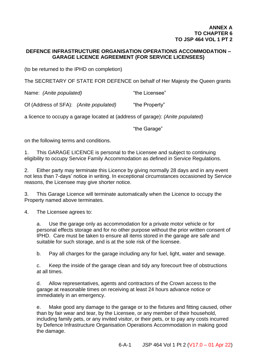#### **ANNEX A TO CHAPTER 6 TO JSP 464 VOL 1 PT 2**

#### **DEFENCE INFRASTRUCTURE ORGANISATION OPERATIONS ACCOMMODATION – GARAGE LICENCE AGREEMENT (FOR SERVICE LICENSEES)**

(to be returned to the IPHD on completion)

The SECRETARY OF STATE FOR DEFENCE on behalf of Her Majesty the Queen grants

Name: *(Anite populated)* We will be the Licensee"

Of (Address of SFA): *(Anite populated)* "the Property"

a licence to occupy a garage located at (address of garage): *(Anite populated)*

"the Garage"

on the following terms and conditions.

1. This GARAGE LICENCE is personal to the Licensee and subject to continuing eligibility to occupy Service Family Accommodation as defined in Service Regulations.

2. Either party may terminate this Licence by giving normally 28 days and in any event not less than 7-days' notice in writing. In exceptional circumstances occasioned by Service reasons, the Licensee may give shorter notice.

3. This Garage Licence will terminate automatically when the Licence to occupy the Property named above terminates.

4. The Licensee agrees to:

a. Use the garage only as accommodation for a private motor vehicle or for personal effects storage and for no other purpose without the prior written consent of IPHD. Care must be taken to ensure all items stored in the garage are safe and suitable for such storage, and is at the sole risk of the licensee.

b. Pay all charges for the garage including any for fuel, light, water and sewage.

c. Keep the inside of the garage clean and tidy any forecourt free of obstructions at all times.

d. Allow representatives, agents and contractors of the Crown access to the garage at reasonable times on receiving at least 24 hours advance notice or immediately in an emergency.

e. Make good any damage to the garage or to the fixtures and fitting caused, other than by fair wear and tear, by the Licensee, or any member of their household, including family pets, or any invited visitor, or their pets, or to pay any costs incurred by Defence Infrastructure Organisation Operations Accommodation in making good the damage.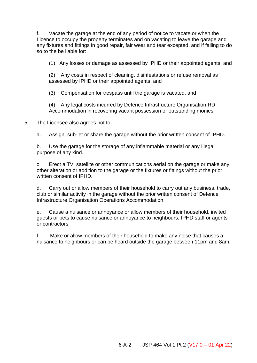f. Vacate the garage at the end of any period of notice to vacate or when the Licence to occupy the property terminates and on vacating to leave the garage and any fixtures and fittings in good repair, fair wear and tear excepted, and if failing to do so to the be liable for:

(1) Any losses or damage as assessed by IPHD or their appointed agents, and

(2) Any costs in respect of cleaning, disinfestations or refuse removal as assessed by IPHD or their appointed agents, and

(3) Compensation for trespass until the garage is vacated, and

(4) Any legal costs incurred by Defence Infrastructure Organisation RD Accommodation in recovering vacant possession or outstanding monies.

5. The Licensee also agrees not to:

a. Assign, sub-let or share the garage without the prior written consent of IPHD.

b. Use the garage for the storage of any inflammable material or any illegal purpose of any kind.

c. Erect a TV, satellite or other communications aerial on the garage or make any other alteration or addition to the garage or the fixtures or fittings without the prior written consent of IPHD.

d. Carry out or allow members of their household to carry out any business, trade, club or similar activity in the garage without the prior written consent of Defence Infrastructure Organisation Operations Accommodation.

e. Cause a nuisance or annoyance or allow members of their household, invited guests or pets to cause nuisance or annoyance to neighbours, IPHD staff or agents or contractors.

f. Make or allow members of their household to make any noise that causes a nuisance to neighbours or can be heard outside the garage between 11pm and 8am.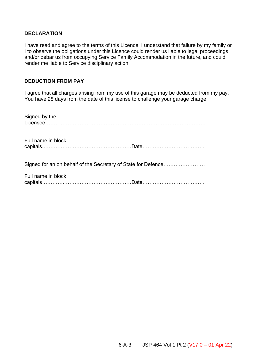#### **DECLARATION**

I have read and agree to the terms of this Licence. I understand that failure by my family or I to observe the obligations under this Licence could render us liable to legal proceedings and/or debar us from occupying Service Family Accommodation in the future, and could render me liable to Service disciplinary action.

#### **DEDUCTION FROM PAY**

I agree that all charges arising from my use of this garage may be deducted from my pay. You have 28 days from the date of this license to challenge your garage charge.

| Signed by the      |  |
|--------------------|--|
| Full name in block |  |
|                    |  |
| Full name in block |  |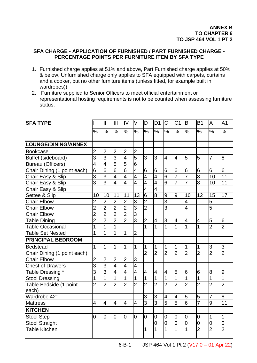#### **SFA CHARGE - APPLICATION OF FURNISHED / PART FURNISHED CHARGE - PERCENTAGE POINTS PER FURNITURE ITEM BY SFA TYPE**

- 1. Furnished charge applies at 51% and above, Part Furnished charge applies at 50% & below, Unfurnished charge only applies to SFA equipped with carpets, curtains and a cooker, but no other furniture items (unless fitted, for example built in wardrobes))
- 2. Furniture supplied to Senior Officers to meet official entertainment or representational hosting requirements is not to be counted when assessing furniture status.

| <b>SFA TYPE</b>             |                         | $\mathbf{II}$           | III            | IV                       | V              | D              | D <sub>1</sub>          | C              | C <sub>1</sub>          | B                       | <b>B1</b>      | A              | A <sub>1</sub> |
|-----------------------------|-------------------------|-------------------------|----------------|--------------------------|----------------|----------------|-------------------------|----------------|-------------------------|-------------------------|----------------|----------------|----------------|
|                             | $\%$                    | $\%$                    | $\%$           | $\%$                     | $\frac{0}{0}$  | $\frac{0}{0}$  | $\%$                    | $\%$           | $\%$                    | $\frac{0}{0}$           | $\%$           | $\frac{0}{0}$  | $\frac{0}{0}$  |
| LOUNGE/DINING/ANNEX         |                         |                         |                |                          |                |                |                         |                |                         |                         |                |                |                |
| <b>Bookcase</b>             | $\overline{2}$          | $\overline{2}$          | $\overline{2}$ | 2                        | 2              |                |                         |                |                         |                         |                |                |                |
| Buffet (sideboard)          | $\overline{3}$          | $\overline{3}$          | $\overline{3}$ | $\overline{4}$           | $\overline{5}$ | $\overline{3}$ | 3                       | $\overline{4}$ | $\overline{4}$          | 5                       | 5              | $\overline{7}$ | 8              |
| <b>Bureau (Officers)</b>    | $\overline{\mathbf{4}}$ | 4                       | $\overline{5}$ | $\overline{5}$           | 6              |                |                         |                |                         |                         |                |                |                |
| Chair Dining (1 point each) | 6                       | 6                       | 6              | 6                        | $\overline{4}$ | 6              | 6                       | 6              | 6                       | 6                       | 6              | 6              | 6              |
| Chair Easy & Slip           | $\overline{3}$          | $\overline{3}$          | 4              | $\overline{4}$           | $\overline{4}$ | $\overline{4}$ | 4                       | $\overline{6}$ | 7                       | 7                       | 8              | 10             | 11             |
| Chair Easy & Slip           | $\overline{3}$          | $\overline{3}$          | 4              | $\overline{4}$           | $\overline{4}$ | 4              | $\overline{4}$          | 6              | $\overline{7}$          | $\overline{7}$          | 8              | 10             | 11             |
| Chair Easy & Slip           |                         |                         |                |                          |                | 4              | $\overline{4}$          |                |                         |                         |                |                |                |
| Settee & Slip               | 10                      | 10                      | 11             | 11                       | 13             | 6              | 8                       | 9              | 9                       | 10                      | 12             | 15             | 17             |
| <b>Chair Elbow</b>          | $\overline{2}$          | $\overline{2}$          | $\overline{2}$ | $\overline{2}$           | $\overline{3}$ | $\overline{2}$ |                         | $\overline{3}$ |                         | 4                       |                | $\overline{5}$ |                |
| <b>Chair Elbow</b>          | $\overline{2}$          | $\overline{2}$          | $\overline{2}$ | $\overline{2}$           | $\overline{3}$ | $\overline{2}$ |                         | $\overline{3}$ |                         | $\overline{\mathbf{4}}$ |                | $\overline{5}$ |                |
| <b>Chair Elbow</b>          | $\overline{2}$          | $\overline{2}$          | $\overline{2}$ | $\overline{2}$           | 3              |                |                         |                |                         |                         |                |                |                |
| <b>Table Dining</b>         | $\overline{2}$          | $\overline{2}$          | $\overline{2}$ | $\overline{2}$           | $\overline{3}$ | $\overline{2}$ | 4                       | 3              | $\overline{\mathbf{4}}$ | 4                       | 4              | 5              | 6              |
| <b>Table Occasional</b>     | $\overline{1}$          | $\overline{1}$          | $\overline{1}$ |                          |                | 1              | 1                       | $\overline{1}$ | $\overline{1}$          | $\overline{1}$          | $\overline{1}$ | $\overline{2}$ | $\overline{2}$ |
| <b>Table Set Nested</b>     | 1                       | 1                       | 1              | 1                        | $\overline{2}$ |                |                         |                |                         |                         |                |                |                |
| <b>PRINCIPAL BEDROOM</b>    |                         |                         |                |                          |                |                |                         |                |                         |                         |                |                |                |
| <b>Bedstead</b>             | 1                       | 1                       | 1              | 1                        | 1              | 1              | 1                       | 1              | 1                       | 1                       | 1              | 3              | 3              |
| Chair Dining (1 point each) |                         |                         |                |                          |                | $\overline{2}$ | $\overline{2}$          | $\overline{2}$ | $\overline{2}$          | $\overline{2}$          | $\overline{2}$ | $\overline{2}$ | $\overline{2}$ |
| <b>Chair Elbow</b>          | $\overline{2}$          | $\overline{2}$          | $\overline{2}$ | $\overline{2}$           | 3              |                |                         |                |                         |                         |                |                |                |
| <b>Chest of Drawers</b>     | $\overline{3}$          | $\overline{3}$          | $\overline{4}$ | $\overline{4}$           | $\overline{4}$ |                |                         |                |                         |                         |                |                |                |
| Table Dressing *            | $\overline{3}$          | $\overline{3}$          | $\overline{4}$ | $\overline{4}$           | $\overline{4}$ | $\overline{4}$ | $\overline{\mathbf{4}}$ | $\overline{4}$ | $\overline{5}$          | 6                       | 6              | $\overline{8}$ | 9              |
| <b>Stool Dressing</b>       | 1                       | $\overline{\mathbf{1}}$ | $\overline{1}$ | $\overline{1}$           | $\overline{1}$ | 1              | $\overline{1}$          | $\overline{1}$ | 1                       | $\overline{1}$          | $\overline{1}$ | 1              | $\overline{1}$ |
| Table Bedside (1 point      | $\overline{2}$          | $\overline{2}$          | $\overline{2}$ | $\overline{2}$           | $\overline{2}$ | $\overline{2}$ | $\overline{2}$          | $\overline{2}$ | $\overline{2}$          | $\overline{2}$          | $\overline{2}$ | $\overline{2}$ | $\overline{2}$ |
| each)                       |                         |                         |                |                          |                |                |                         |                |                         |                         |                |                |                |
| Wardrobe 42"                |                         |                         |                |                          |                | 3              | 3                       | $\overline{4}$ | $\overline{4}$          | 5                       | 5              | 7              | 8              |
| <b>Mattress</b>             | 4                       | 4                       | 4              | $\overline{\mathcal{A}}$ | $\overline{4}$ | $\overline{3}$ | $\overline{3}$          | $\overline{5}$ | $\overline{5}$          | $\overline{6}$          | $\overline{7}$ | 9              | 11             |
| <b>KITCHEN</b>              |                         |                         |                |                          |                |                |                         |                |                         |                         |                |                |                |
| <b>Stool Step</b>           | 0                       | $\overline{0}$          | $\overline{0}$ | $\overline{0}$           | $\overline{0}$ | $\overline{0}$ | $\mathbf 0$             | 0              | $\mathbf 0$             | $\overline{0}$          | $\mathbf 0$    | 1              | $\mathbf 1$    |
| <b>Stool Straight</b>       |                         |                         |                |                          |                |                | 0                       | $\overline{0}$ | $\overline{0}$          | $\overline{0}$          | $\overline{0}$ | $\overline{0}$ | $\mathbf 0$    |
| Table Kitchen               |                         |                         |                |                          |                | 1              | 1                       | $\overline{1}$ | 1                       | $\overline{1}$          | $\overline{2}$ | $\overline{2}$ | $\overline{2}$ |

6-B-1 JSP 464 Vol 1 Pt 2 (V17.0 – 01 Apr 22)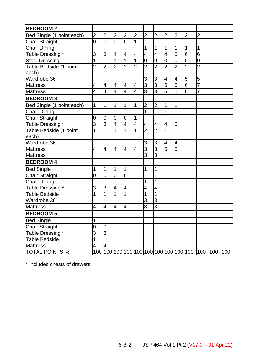| <b>BEDROOM2</b>           |                |                         |                          |                |                         |                |                |                |                         |                                     |                |     |     |
|---------------------------|----------------|-------------------------|--------------------------|----------------|-------------------------|----------------|----------------|----------------|-------------------------|-------------------------------------|----------------|-----|-----|
| Bed Single (1 point each) | $\overline{2}$ | $\overline{2}$          | $\overline{2}$           | $\overline{2}$ | $\overline{2}$          | $\overline{2}$ | $\overline{2}$ | $\overline{2}$ | $\overline{2}$          | $\overline{2}$                      | $\overline{2}$ |     |     |
| Chair Straight            | $\overline{0}$ | $\overline{0}$          | $\overline{0}$           | $\overline{0}$ | 1                       |                |                |                |                         |                                     |                |     |     |
| <b>Chair Dining</b>       |                |                         |                          |                |                         | 1              | 1              | 1              | 1                       | 1                                   | 1              |     |     |
| Table Dressing *          | 3              | 3                       | $\overline{4}$           | $\overline{4}$ | $\overline{4}$          | $\overline{4}$ | $\overline{4}$ | $\overline{4}$ | $\overline{5}$          | 6                                   | 6              |     |     |
| <b>Stool Dressing</b>     | 1              | $\mathbf 1$             | $\overline{1}$           | 1              | $\mathbf 1$             | $\overline{0}$ | $\overline{0}$ | $\mathbf 0$    | $\overline{0}$          | $\overline{0}$                      | $\overline{0}$ |     |     |
| Table Bedside (1 point    | $\overline{2}$ | $\overline{2}$          | $\overline{2}$           | $\overline{2}$ | $\overline{2}$          | $\overline{2}$ | $\overline{2}$ | $\overline{2}$ | $\overline{2}$          | $\overline{2}$                      | $\overline{2}$ |     |     |
| each)                     |                |                         |                          |                |                         |                |                |                |                         |                                     |                |     |     |
| Wardrobe 36"              |                |                         |                          |                |                         | 3              | 3              | $\overline{4}$ | $\overline{\mathbf{4}}$ | 5                                   | 5              |     |     |
| <b>Mattress</b>           | 4              | $\overline{4}$          | $\overline{4}$           | $\overline{4}$ | $\overline{4}$          | $\overline{3}$ | 3              | $\overline{5}$ | $\overline{5}$          | 6                                   | $\overline{7}$ |     |     |
| <b>Mattress</b>           | $\overline{4}$ | $\overline{\mathbf{4}}$ | $\overline{4}$           | $\overline{4}$ | $\overline{\mathbf{4}}$ | $\overline{3}$ | $\overline{3}$ | $\overline{5}$ | 5                       | $\overline{6}$                      | $\overline{7}$ |     |     |
| <b>BEDROOM3</b>           |                |                         |                          |                |                         |                |                |                |                         |                                     |                |     |     |
| Bed Single (1 point each) | 1              | 1                       | 1                        | 1              | 1                       | $\overline{2}$ | $\overline{2}$ | 1              | 1                       |                                     |                |     |     |
| <b>Chair Dining</b>       |                |                         |                          |                |                         | 1              | 1              | $\overline{1}$ | 1                       |                                     |                |     |     |
| Chair Straight            | 0              | 0                       | 0                        | $\mathbf 0$    | 1                       |                |                |                |                         |                                     |                |     |     |
| Table Dressing *          | 3              | 3                       | $\overline{\mathbf{4}}$  | $\overline{4}$ | $\overline{4}$          | 4              | $\overline{4}$ | $\overline{4}$ | 5                       |                                     |                |     |     |
| Table Bedside (1 point    | 1              | $\overline{1}$          | $\overline{1}$           | 1              | $\overline{1}$          | $\overline{2}$ | $\overline{2}$ | $\overline{1}$ | $\overline{1}$          |                                     |                |     |     |
| each)                     |                |                         |                          |                |                         |                |                |                |                         |                                     |                |     |     |
| Wardrobe 36"              |                |                         |                          |                |                         | 3              | 3              | $\overline{4}$ | $\overline{\mathbf{4}}$ |                                     |                |     |     |
| <b>Mattress</b>           | 4              | 4                       | 4                        | 4              | 4                       | 3              | 3              | $\overline{5}$ | $\overline{5}$          |                                     |                |     |     |
| <b>Mattress</b>           |                |                         |                          |                |                         | 3              | 3              |                |                         |                                     |                |     |     |
| <b>BEDROOM 4</b>          |                |                         |                          |                |                         |                |                |                |                         |                                     |                |     |     |
| <b>Bed Single</b>         | 1              | 1                       | 1                        | 1              |                         | 1              | 1              |                |                         |                                     |                |     |     |
| Chair Straight            | 0              | $\overline{0}$          | $\overline{0}$           | $\overline{0}$ |                         |                |                |                |                         |                                     |                |     |     |
| <b>Chair Dining</b>       |                |                         |                          |                |                         | 1              | 1              |                |                         |                                     |                |     |     |
| Table Dressing *          | 3              | 3                       | 4                        | $\overline{4}$ |                         | 4              | 4              |                |                         |                                     |                |     |     |
| <b>Table Bedside</b>      | 1              | $\overline{1}$          | $\overline{1}$           | 1              |                         | 1              | $\overline{1}$ |                |                         |                                     |                |     |     |
| Wardrobe 36"              |                |                         |                          |                |                         | 3              | 3              |                |                         |                                     |                |     |     |
| <b>Mattress</b>           | $\overline{4}$ | $\overline{4}$          | $\overline{\mathcal{A}}$ | 4              |                         | $\overline{3}$ | $\overline{3}$ |                |                         |                                     |                |     |     |
| <b>BEDROOM 5</b>          |                |                         |                          |                |                         |                |                |                |                         |                                     |                |     |     |
| <b>Bed Single</b>         | 1              | 1                       |                          |                |                         |                |                |                |                         |                                     |                |     |     |
| <b>Chair Straight</b>     | 0              | $\overline{0}$          |                          |                |                         |                |                |                |                         |                                     |                |     |     |
| Table Dressing *          | 3              | 3                       |                          |                |                         |                |                |                |                         |                                     |                |     |     |
| <b>Table Bedside</b>      | 1              | 1                       |                          |                |                         |                |                |                |                         |                                     |                |     |     |
| <b>Mattress</b>           | 4              | $\overline{4}$          |                          |                |                         |                |                |                |                         |                                     |                |     |     |
| TOTAL POINTS %            | 100            |                         |                          |                |                         |                |                |                |                         | 100 100 100 100 100 100 100 100 100 | 100            | 100 | 100 |

\* Includes chests of drawers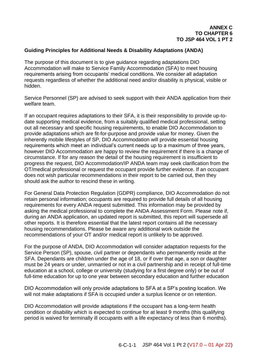#### **ANNEX C TO CHAPTER 6 TO JSP 464 VOL 1 PT 2**

#### **Guiding Principles for Additional Needs & Disability Adaptations (ANDA)**

The purpose of this document is to give guidance regarding adaptations DIO Accommodation will make to Service Family Accommodation (SFA) to meet housing requirements arising from occupants' medical conditions. We consider all adaptation requests regardless of whether the additional need and/or disability is physical, visible or hidden.

Service Personnel (SP) are advised to seek support with their ANDA application from their welfare team.

If an occupant requires adaptations to their SFA, it is their responsibility to provide up-todate supporting medical evidence, from a suitably qualified medical professional, setting out all necessary and specific housing requirements, to enable DIO Accommodation to provide adaptations which are fit-for-purpose and provide value for money. Given the inherently mobile lifestyles of SP, DIO Accommodation will provide essential housing requirements which meet an individual's current needs up to a maximum of three years, however DIO Accommodation are happy to review the requirement if there is a change of circumstance. If for any reason the detail of the housing requirement is insufficient to progress the request, DIO Accommodation/IP ANDA team may seek clarification from the OT/medical professional or request the occupant provide further evidence. If an occupant does not wish particular recommendations in their report to be carried out, then they should ask the author to rescind these in writing.

For General Data Protection Regulation (GDPR) compliance, DIO Accommodation do not retain personal information; occupants are required to provide full details of all housing requirements for every ANDA request submitted. This information may be provided by asking the medical professional to complete the ANDA Assessment Form. Please note if, during an ANDA application, an updated report is submitted, this report will supersede all other reports. It is therefore essential that the latest report contains all the necessary housing recommendations. Please be aware any additional work outside the recommendations of your OT and/or medical report is unlikely to be approved.

For the purpose of ANDA, DIO Accommodation will consider adaptation requests for the Service Person (SP), spouse, civil partner or dependants who permanently reside at the SFA. Dependants are children under the age of 18, or if over that age, a son or daughter must be 24 years or under, unmarried or not in a civil partnership and in receipt of full-time education at a school, college or university (studying for a first degree only) or be out of full-time education for up to one year between secondary education and further education

DIO Accommodation will only provide adaptations to SFA at a SP's posting location. We will not make adaptations if SFA is occupied under a surplus licence or on retention.

DIO Accommodation will provide adaptations if the occupant has a long-term health condition or disability which is expected to continue for at least 9 months (this qualifying period is waived for terminally ill occupants with a life expectancy of less than 6 months).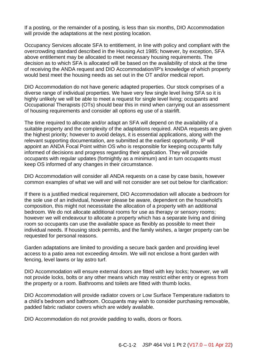If a posting, or the remainder of a posting, is less than six months, DIO Accommodation will provide the adaptations at the next posting location.

Occupancy Services allocate SFA to entitlement, in line with policy and compliant with the overcrowding standard described in the Housing Act 1985; however, by exception, SFA above entitlement may be allocated to meet necessary housing requirements. The decision as to which SFA is allocated will be based on the availability of stock at the time of receiving the ANDA request and DIO Accommodation/IP's knowledge of which property would best meet the housing needs as set out in the OT and/or medical report.

DIO Accommodation do not have generic adapted properties. Our stock comprises of a diverse range of individual properties. We have very few single level living SFA so it is highly unlikely we will be able to meet a request for single level living; occupants and Occupational Therapists (OTs) should bear this in mind when carrying out an assessment of housing requirements and consider all options eg use of a stairlift.

The time required to allocate and/or adapt an SFA will depend on the availability of a suitable property and the complexity of the adaptations required. ANDA requests are given the highest priority; however to avoid delays, it is essential applications, along with the relevant supporting documentation, are submitted at the earliest opportunity. IP will appoint an ANDA Focal Point within OS who is responsible for keeping occupants fully informed of decisions and progress regarding their application. They will provide occupants with regular updates (fortnightly as a minimum) and in turn occupants must keep OS informed of any changes in their circumstance.

DIO Accommodation will consider all ANDA requests on a case by case basis, however common examples of what we will and will not consider are set out below for clarification:

If there is a justified medical requirement, DIO Accommodation will allocate a bedroom for the sole use of an individual, however please be aware, dependent on the household's composition, this might not necessitate the allocation of a property with an additional bedroom. We do not allocate additional rooms for use as therapy or sensory rooms; however we will endeavour to allocate a property which has a separate living and dining room so occupants can use the available space as flexibly as possible to meet their individual needs. If housing stock permits, and the family wishes, a larger property can be requested for personal reasons.

Garden adaptations are limited to providing a secure back garden and providing level access to a patio area not exceeding 4mx4m. We will not enclose a front garden with fencing, level lawns or lay astro turf.

DIO Accommodation will ensure external doors are fitted with key locks; however, we will not provide locks, bolts or any other means which may restrict either entry or egress from the property or a room. Bathrooms and toilets are fitted with thumb locks.

DIO Accommodation will provide radiator covers or Low Surface Temperature radiators to a child's bedroom and bathroom. Occupants may wish to consider purchasing removable, padded fabric radiator covers which are widely available.

DIO Accommodation do not provide padding to walls, doors or floors.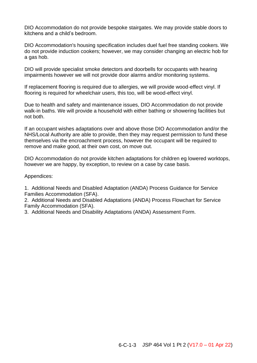DIO Accommodation do not provide bespoke stairgates. We may provide stable doors to kitchens and a child's bedroom.

DIO Accommodation's housing specification includes duel fuel free standing cookers. We do not provide induction cookers; however, we may consider changing an electric hob for a gas hob.

DIO will provide specialist smoke detectors and doorbells for occupants with hearing impairments however we will not provide door alarms and/or monitoring systems.

If replacement flooring is required due to allergies, we will provide wood-effect vinyl. If flooring is required for wheelchair users, this too, will be wood-effect vinyl.

Due to health and safety and maintenance issues, DIO Accommodation do not provide walk-in baths. We will provide a household with either bathing or showering facilities but not both.

If an occupant wishes adaptations over and above those DIO Accommodation and/or the NHS/Local Authority are able to provide, then they may request permission to fund these themselves via the encroachment process, however the occupant will be required to remove and make good, at their own cost, on move out.

DIO Accommodation do not provide kitchen adaptations for children eg lowered worktops, however we are happy, by exception, to review on a case by case basis.

Appendices:

1. Additional Needs and Disabled Adaptation (ANDA) Process Guidance for Service Families Accommodation (SFA).

2. Additional Needs and Disabled Adaptations (ANDA) Process Flowchart for Service Family Accommodation (SFA).

3. Additional Needs and Disability Adaptations (ANDA) Assessment Form.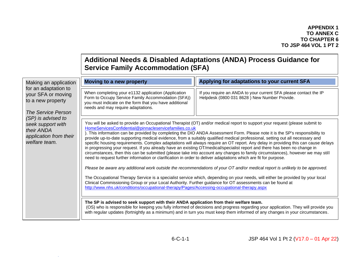## **Additional Needs & Disabled Adaptations (ANDA) Process Guidance for Service Family Accommodation (SFA)**

| Making an application                                                                            | Applying for adaptations to your current SFA<br>Moving to a new property                                                                                                                                                                                                                                                                                                                                                                                                        |                                                                                                                                                                                                                                                                                                                                                                                                                                                                                                                                                                                                                                                                                                                                                                                                                                                                                                                                                                                                                                                                   |  |  |  |  |
|--------------------------------------------------------------------------------------------------|---------------------------------------------------------------------------------------------------------------------------------------------------------------------------------------------------------------------------------------------------------------------------------------------------------------------------------------------------------------------------------------------------------------------------------------------------------------------------------|-------------------------------------------------------------------------------------------------------------------------------------------------------------------------------------------------------------------------------------------------------------------------------------------------------------------------------------------------------------------------------------------------------------------------------------------------------------------------------------------------------------------------------------------------------------------------------------------------------------------------------------------------------------------------------------------------------------------------------------------------------------------------------------------------------------------------------------------------------------------------------------------------------------------------------------------------------------------------------------------------------------------------------------------------------------------|--|--|--|--|
| for an adaptation to<br>your SFA or moving<br>to a new property<br>The Service Person            | When completing your e1132 application (Application<br>If you require an ANDA to your current SFA please contact the IP<br>Helpdesk (0800 031 8628) New Number Provide.<br>Form to Occupy Service Family Accommodation (SFA))<br>you must indicate on the form that you have additional<br>needs and may require adaptations.                                                                                                                                                   |                                                                                                                                                                                                                                                                                                                                                                                                                                                                                                                                                                                                                                                                                                                                                                                                                                                                                                                                                                                                                                                                   |  |  |  |  |
| (SP) is advised to<br>seek support with<br>their ANDA<br>application from their<br>welfare team. | HomeServicesConfidential@pinnacleservicefamilies.co.uk<br>need to request further information or clarification in order to deliver adaptations which are fit for purpose.<br>Clinical Commissioning Group or your Local Authority. Further guidance for OT assessments can be found at<br>http://www.nhs.uk/conditions/occupational-therapy/Pages/Accessing-occupational-therapy.aspx<br>The SP is advised to seek support with their ANDA application from their welfare team. | You will be asked to provide an Occupational Therapist (OT) and/or medical report to support your request (please submit to<br>. This information can be provided by completing the DIO ANDA Assessment Form. Please note it is the SP's responsibility to<br>provide up-to-date supporting medical evidence, from a suitably qualified medical professional, setting out all necessary and<br>specific housing requirements. Complex adaptations will always require an OT report. Any delay in providing this can cause delays<br>in progressing your request. If you already have an existing OT/medical/specialist report and there has been no change in<br>circumstances, then this can be submitted (please take into account any changes to family circumstances), however we may still<br>Please be aware any additional work outside the recommendations of your OT and/or medical report is unlikely to be approved.<br>The Occupational Therapy Service is a specialist service which, depending on your needs, will either be provided by your local |  |  |  |  |
|                                                                                                  |                                                                                                                                                                                                                                                                                                                                                                                                                                                                                 | (OS) who is responsible for keeping you fully informed of decisions and progress regarding your application. They will provide you<br>with regular updates (fortnightly as a minimum) and in turn you must keep them informed of any changes in your circumstances.                                                                                                                                                                                                                                                                                                                                                                                                                                                                                                                                                                                                                                                                                                                                                                                               |  |  |  |  |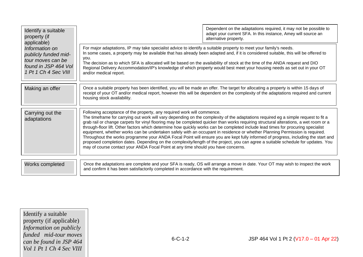| Identify a suitable<br>property (if<br>applicable)                                                          |                                                                                                                                                                                                                                                                                                         | Dependent on the adaptations required, it may not be possible to<br>adapt your current SFA. In this instance, Amey will source an<br>alternative property.                                                                                                                                                                                                                                                                                                                                                                                                                                                                                                                                                                                                                                                             |  |  |  |
|-------------------------------------------------------------------------------------------------------------|---------------------------------------------------------------------------------------------------------------------------------------------------------------------------------------------------------------------------------------------------------------------------------------------------------|------------------------------------------------------------------------------------------------------------------------------------------------------------------------------------------------------------------------------------------------------------------------------------------------------------------------------------------------------------------------------------------------------------------------------------------------------------------------------------------------------------------------------------------------------------------------------------------------------------------------------------------------------------------------------------------------------------------------------------------------------------------------------------------------------------------------|--|--|--|
| Information on<br>publicly funded mid-<br>tour moves can be<br>found in JSP 464 Vol<br>1 Pt 1 Ch 4 Sec VIII | you.<br>and/or medical report.                                                                                                                                                                                                                                                                          | For major adaptations, IP may take specialist advice to identify a suitable property to meet your family's needs.<br>In some cases, a property may be available that has already been adapted and, if it is considered suitable, this will be offered to<br>The decision as to which SFA is allocated will be based on the availability of stock at the time of the ANDA request and DIO<br>Regional Delivery Accommodation/IP's knowledge of which property would best meet your housing needs as set out in your OT                                                                                                                                                                                                                                                                                                  |  |  |  |
| Making an offer                                                                                             | Once a suitable property has been identified, you will be made an offer. The target for allocating a property is within 15 days of<br>receipt of your OT and/or medical report, however this will be dependent on the complexity of the adaptations required and current<br>housing stock availability. |                                                                                                                                                                                                                                                                                                                                                                                                                                                                                                                                                                                                                                                                                                                                                                                                                        |  |  |  |
| Carrying out the<br>adaptations                                                                             | Following acceptance of the property, any required work will commence.<br>may of course contact your ANDA Focal Point at any time should you have concerns.                                                                                                                                             | The timeframe for carrying out work will vary depending on the complexity of the adaptations required eg a simple request to fit a<br>grab rail or change carpets for vinyl flooring may be completed quicker than works requiring structural alterations, a wet room or a<br>through-floor lift. Other factors which determine how quickly works can be completed include lead times for procuring specialist<br>equipment, whether works can be undertaken safely with an occupant in residence or whether Planning Permission is required.<br>Throughout the works programme your ANDA Focal Point will ensure you are kept fully informed of progress, including the start and<br>proposed completion dates. Depending on the complexity/length of the project, you can agree a suitable schedule for updates. You |  |  |  |
| Works completed                                                                                             | and confirm it has been satisfactorily completed in accordance with the requirement.                                                                                                                                                                                                                    | Once the adaptations are complete and your SFA is ready, OS will arrange a move in date. Your OT may wish to inspect the work                                                                                                                                                                                                                                                                                                                                                                                                                                                                                                                                                                                                                                                                                          |  |  |  |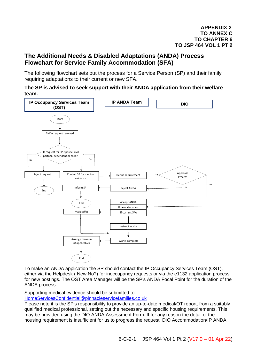## **The Additional Needs & Disabled Adaptations (ANDA) Process Flowchart for Service Family Accommodation (SFA)**

The following flowchart sets out the process for a Service Person (SP) and their family requiring adaptations to their current or new SFA.

#### **The SP is advised to seek support with their ANDA application from their welfare team.**



To make an ANDA application the SP should contact the IP Occupancy Services Team (OST), either via the Helpdesk ( New No?) for inoccupancy requests or via the e1132 application process for new postings. The OST Area Manager will be the SP's ANDA Focal Point for the duration of the ANDA process.

Supporting medical evidence should be submitted to [HomeServicesConfidential@pinnacleservicefamilies.co.uk](mailto:HomeServicesConfidential@pinnacleservicefamilies.co.uk)

Please note it is the SP's responsibility to provide an up-to-date medical/OT report, from a suitably qualified medical professional, setting out the necessary and specific housing requirements. This may be provided using the DIO ANDA Assessment Form. If for any reason the detail of the housing requirement is insufficient for us to progress the request, DIO Accommodation/IP ANDA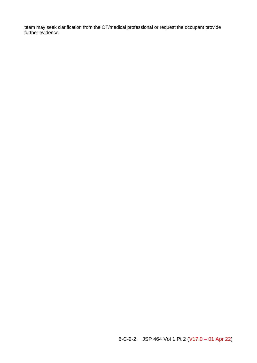team may seek clarification from the OT/medical professional or request the occupant provide further evidence.

6-C-2-2 JSP 464 Vol 1 Pt 2 (V17.0 – 01 Apr 22)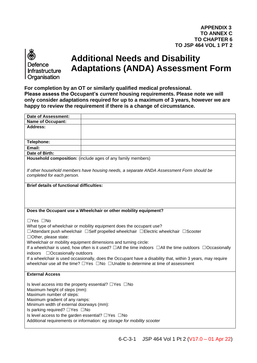**APPENDIX 3 TO ANNEX C TO CHAPTER 6 TO JSP 464 VOL 1 PT 2**

## **Defence** Infrastructure Organisation

## **Additional Needs and Disability Adaptations (ANDA) Assessment Form**

**For completion by an OT or similarly qualified medical professional. Please assess the Occupant's** *current* **housing requirements. Please note we will only consider adaptations required for up to a maximum of 3 years, however we are happy to review the requirement if there is a change of circumstance.**

| <b>Date of Assessment:</b>                                        |                                                                                                                             |
|-------------------------------------------------------------------|-----------------------------------------------------------------------------------------------------------------------------|
| <b>Name of Occupant:</b>                                          |                                                                                                                             |
| Address:                                                          |                                                                                                                             |
|                                                                   |                                                                                                                             |
|                                                                   |                                                                                                                             |
| Telephone:                                                        |                                                                                                                             |
| Email:                                                            |                                                                                                                             |
| Date of Birth:                                                    |                                                                                                                             |
|                                                                   | Household composition: (include ages of any family members)                                                                 |
| completed for each person.                                        | If other household members have housing needs, a separate ANDA Assessment Form should be                                    |
| <b>Brief details of functional difficulties:</b>                  |                                                                                                                             |
|                                                                   |                                                                                                                             |
|                                                                   |                                                                                                                             |
|                                                                   |                                                                                                                             |
|                                                                   | Does the Occupant use a Wheelchair or other mobility equipment?                                                             |
|                                                                   |                                                                                                                             |
| $\Box Y$ es $\Box$ No                                             |                                                                                                                             |
|                                                                   | What type of wheelchair or mobility equipment does the occupant use?                                                        |
|                                                                   | □Attendant push wheelchair □Self propelled wheelchair □Electric wheelchair □Scooter                                         |
| □Other, please state:                                             |                                                                                                                             |
|                                                                   | Wheelchair or mobility equipment dimensions and turning circle:                                                             |
|                                                                   | If a wheelchair is used, how often is it used? $\Box$ All the time indoors $\Box$ All the time outdoors $\Box$ Occasionally |
|                                                                   |                                                                                                                             |
|                                                                   | If a wheelchair is used occasionally, does the Occupant have a disability that, within 3 years, may require                 |
|                                                                   | wheelchair use all the time? $\Box$ Yes $\Box$ No $\Box$ Unable to determine at time of assessment                          |
|                                                                   |                                                                                                                             |
| <b>External Access</b>                                            |                                                                                                                             |
|                                                                   |                                                                                                                             |
| Is level access into the property essential? $\Box$ Yes $\Box$ No |                                                                                                                             |
| Maximum height of steps (mm):                                     |                                                                                                                             |
| Maximum number of steps:<br>Maximum gradient of any ramps:        |                                                                                                                             |
| Minimum width of external doorways (mm):                          |                                                                                                                             |
| Is parking required? □Yes □No                                     |                                                                                                                             |
| Is level access to the garden essential? □Yes □No                 |                                                                                                                             |
|                                                                   | Additional requirements or information: eg storage for mobility scooter                                                     |
|                                                                   |                                                                                                                             |
|                                                                   |                                                                                                                             |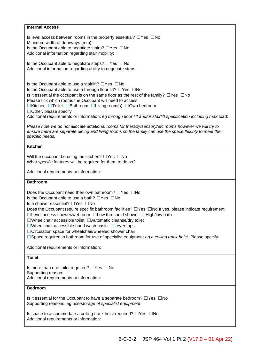## **Internal Access** Is level access between rooms in the property essential?  $\square$  Yes  $\square$  No Minimum width of doorways (mm): Is the Occupant able to negotiate stairs? ☐Yes ☐No Additional information regarding stair mobility: Is the Occupant able to negotiate steps? ☐Yes ☐No Additional information regarding ability to negotiate steps: Is the Occupant able to use a stairlift? ☐Yes ☐No Is the Occupant able to use a through floor lift? ☐Yes ☐No Is it essential the occupant is on the same floor as the rest of the family?  $\Box$ Yes  $\Box$ No Please tick which rooms the Occupant will need to access: ☐Kitchen ☐Toilet ☐Bathroom ☐Living room(s) ☐Own bedroom ☐Other, please specify Additional requirements or information: *eg through floor lift and/or stairlift specification including max* load: *Please note we do not allocate additional rooms for therapy/sensory/etc rooms however we will try to ensure there are separate dining and living rooms so the family can use the space flexibly to meet their specific needs.* **Kitchen** Will the occupant be using the kitchen? □Yes □No What *specific* features will be required for them to do so? Additional requirements or information: **Bathroom** Does the Occupant need their own bathroom? ☐Yes ☐No Is the Occupant able to use a bath? ☐Yes ☐No Is a shower essential? ☐Yes ☐No Does the Occupant require specific bathroom facilities? □Yes □No If yes, please indicate requirement: ☐Level access shower/wet room ☐Low threshold shower ☐High/low bath ☐Wheelchair accessible toilet ☐Automatic cleanse/dry toilet ☐Wheelchair accessible hand wash basin ☐Lever taps □Circulation space for wheelchair/wheeled shower chair ☐Space required in bathroom for use of specialist equipment *eg a ceiling track hoist*. Please specify: Additional requirements or information: **Toilet** Is more than one toilet required? ☐Yes ☐No Supporting reason: Additional requirements or information: **Bedroom** Is it essential for the Occupant to have a separate bedroom? ☐Yes ☐No Supporting reasons: *eg use/storage of specialist equipment* Is space to accommodate a ceiling track hoist required? ☐Yes ☐No Additional requirements or information: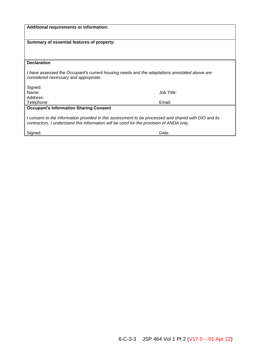| Additional requirements or information:                                                              |                                                                                              |  |  |  |  |  |
|------------------------------------------------------------------------------------------------------|----------------------------------------------------------------------------------------------|--|--|--|--|--|
|                                                                                                      |                                                                                              |  |  |  |  |  |
|                                                                                                      |                                                                                              |  |  |  |  |  |
| Summary of essential features of property:                                                           |                                                                                              |  |  |  |  |  |
|                                                                                                      |                                                                                              |  |  |  |  |  |
|                                                                                                      |                                                                                              |  |  |  |  |  |
|                                                                                                      |                                                                                              |  |  |  |  |  |
| <b>Declaration</b>                                                                                   |                                                                                              |  |  |  |  |  |
|                                                                                                      |                                                                                              |  |  |  |  |  |
|                                                                                                      | I have assessed the Occupant's current housing needs and the adaptations annotated above are |  |  |  |  |  |
| considered necessary and appropriate.                                                                |                                                                                              |  |  |  |  |  |
|                                                                                                      |                                                                                              |  |  |  |  |  |
| Signed:                                                                                              |                                                                                              |  |  |  |  |  |
| Name:                                                                                                | Job Title:                                                                                   |  |  |  |  |  |
| Address:                                                                                             |                                                                                              |  |  |  |  |  |
| Telephone:                                                                                           | Email:                                                                                       |  |  |  |  |  |
|                                                                                                      |                                                                                              |  |  |  |  |  |
| <b>Occupant's Information Sharing Consent</b>                                                        |                                                                                              |  |  |  |  |  |
|                                                                                                      |                                                                                              |  |  |  |  |  |
| I consent to the information provided in this assessment to be processed and shared with DIO and its |                                                                                              |  |  |  |  |  |
|                                                                                                      | contractors. I understand this information will be used for the provision of ANDA only.      |  |  |  |  |  |
|                                                                                                      |                                                                                              |  |  |  |  |  |
| Signed:                                                                                              | Date:                                                                                        |  |  |  |  |  |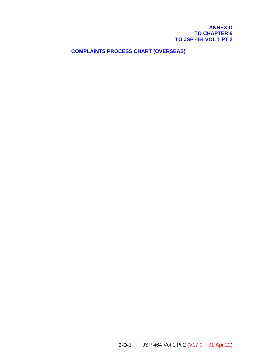#### **ANNEX D TO CHAPTER 6 TO JSP 464 VOL 1 PT 2**

**COMPLAINTS PROCESS CHART (OVERSEAS)**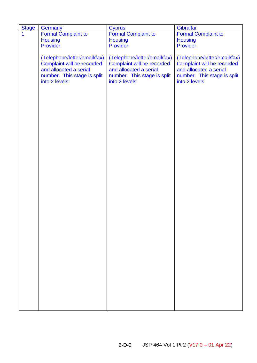| <b>Stage</b> | <b>Germany</b>               | <b>Cyprus</b>                | <b>Gibraltar</b>             |
|--------------|------------------------------|------------------------------|------------------------------|
| $\mathbf{1}$ | <b>Formal Complaint to</b>   | <b>Formal Complaint to</b>   | <b>Formal Complaint to</b>   |
|              | <b>Housing</b>               | <b>Housing</b>               | <b>Housing</b>               |
|              | Provider.                    | Provider.                    | Provider.                    |
|              |                              |                              |                              |
|              | (Telephone/letter/email/fax) | (Telephone/letter/email/fax) | (Telephone/letter/email/fax) |
|              | Complaint will be recorded   | Complaint will be recorded   | Complaint will be recorded   |
|              | and allocated a serial       | and allocated a serial       | and allocated a serial       |
|              | number. This stage is split  | number. This stage is split  | number. This stage is split  |
|              | into 2 levels:               | into 2 levels:               | into 2 levels:               |
|              |                              |                              |                              |
|              |                              |                              |                              |
|              |                              |                              |                              |
|              |                              |                              |                              |
|              |                              |                              |                              |
|              |                              |                              |                              |
|              |                              |                              |                              |
|              |                              |                              |                              |
|              |                              |                              |                              |
|              |                              |                              |                              |
|              |                              |                              |                              |
|              |                              |                              |                              |
|              |                              |                              |                              |
|              |                              |                              |                              |
|              |                              |                              |                              |
|              |                              |                              |                              |
|              |                              |                              |                              |
|              |                              |                              |                              |
|              |                              |                              |                              |
|              |                              |                              |                              |
|              |                              |                              |                              |
|              |                              |                              |                              |
|              |                              |                              |                              |
|              |                              |                              |                              |
|              |                              |                              |                              |
|              |                              |                              |                              |
|              |                              |                              |                              |
|              |                              |                              |                              |
|              |                              |                              |                              |
|              |                              |                              |                              |
|              |                              |                              |                              |
|              |                              |                              |                              |
|              |                              |                              |                              |
|              |                              |                              |                              |
|              |                              |                              |                              |
|              |                              |                              |                              |
|              |                              |                              |                              |
|              |                              |                              |                              |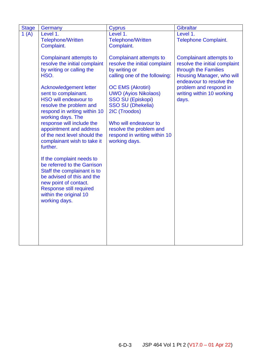| <b>Stage</b> | Germany                                                                                                                                                                                                                                                                                                  | <b>Cyprus</b>                                                                                                                                                                                                                         | <b>Gibraltar</b>                                                                                                                                 |
|--------------|----------------------------------------------------------------------------------------------------------------------------------------------------------------------------------------------------------------------------------------------------------------------------------------------------------|---------------------------------------------------------------------------------------------------------------------------------------------------------------------------------------------------------------------------------------|--------------------------------------------------------------------------------------------------------------------------------------------------|
| 1(A)         | Level 1.                                                                                                                                                                                                                                                                                                 | Level 1.                                                                                                                                                                                                                              | Level 1.                                                                                                                                         |
|              | <b>Telephone/Written</b>                                                                                                                                                                                                                                                                                 | <b>Telephone/Written</b>                                                                                                                                                                                                              | <b>Telephone Complaint.</b>                                                                                                                      |
|              | Complaint.                                                                                                                                                                                                                                                                                               | Complaint.                                                                                                                                                                                                                            |                                                                                                                                                  |
|              | <b>Complainant attempts to</b><br>resolve the initial complaint<br>by writing or calling the<br>HSO.                                                                                                                                                                                                     | <b>Complainant attempts to</b><br>resolve the initial complaint<br>by writing or<br>calling one of the following:                                                                                                                     | <b>Complainant attempts to</b><br>resolve the initial complaint<br>through the Families<br>Housing Manager, who will<br>endeavour to resolve the |
|              | <b>Acknowledgement letter</b><br>sent to complainant.<br><b>HSO will endeavour to</b><br>resolve the problem and<br>respond in writing within 10<br>working days. The<br>response will include the<br>appointment and address<br>of the next level should the<br>complainant wish to take it<br>further. | <b>OC EMS (Akrotiri)</b><br><b>UWO (Ayios Nikolaos)</b><br><b>SSO SU (Episkopi)</b><br><b>SSO SU (Dhekelia)</b><br>2IC (Troodos)<br>Who will endeavour to<br>resolve the problem and<br>respond in writing within 10<br>working days. | problem and respond in<br>writing within 10 working<br>days.                                                                                     |
|              | If the complaint needs to<br>be referred to the Garrison<br>Staff the complainant is to<br>be advised of this and the<br>new point of contact.<br><b>Response still required</b><br>within the original 10<br>working days.                                                                              |                                                                                                                                                                                                                                       |                                                                                                                                                  |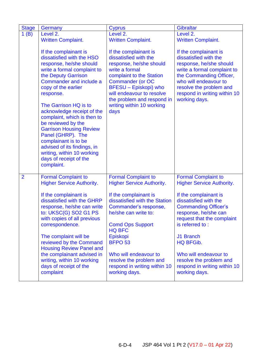| <b>Stage</b>   | Germany                                                                                                                                                                                                                                                                                                                                                                                                                                                                                            | <b>Cyprus</b>                                                                                                                                                                                                                                                                                                                                            | <b>Gibraltar</b>                                                                                                                                                                                                                                                                                                                                                      |
|----------------|----------------------------------------------------------------------------------------------------------------------------------------------------------------------------------------------------------------------------------------------------------------------------------------------------------------------------------------------------------------------------------------------------------------------------------------------------------------------------------------------------|----------------------------------------------------------------------------------------------------------------------------------------------------------------------------------------------------------------------------------------------------------------------------------------------------------------------------------------------------------|-----------------------------------------------------------------------------------------------------------------------------------------------------------------------------------------------------------------------------------------------------------------------------------------------------------------------------------------------------------------------|
| 1(B)           | Level 2.                                                                                                                                                                                                                                                                                                                                                                                                                                                                                           | Level 2.                                                                                                                                                                                                                                                                                                                                                 | Level 2.                                                                                                                                                                                                                                                                                                                                                              |
|                | <b>Written Complaint.</b>                                                                                                                                                                                                                                                                                                                                                                                                                                                                          | <b>Written Complaint.</b>                                                                                                                                                                                                                                                                                                                                | <b>Written Complaint.</b>                                                                                                                                                                                                                                                                                                                                             |
|                | If the complainant is<br>dissatisfied with the HSO<br>response, he/she should<br>write a formal complaint to<br>the Deputy Garrison<br>Commander and include a<br>copy of the earlier<br>response.<br>The Garrison HQ is to<br>acknowledge receipt of the<br>complaint, which is then to<br>be reviewed by the<br><b>Garrison Housing Review</b><br>Panel (GHRP). The<br>complainant is to be<br>advised of its findings, in<br>writing, within 10 working<br>days of receipt of the<br>complaint. | If the complainant is<br>dissatisfied with the<br>response, he/she should<br>write a formal<br>complaint to the Station<br><b>Commander (or OC</b><br><b>BFESU - Episkopi) who</b><br>will endeavour to resolve<br>the problem and respond in<br>writing within 10 working<br>days                                                                       | If the complainant is<br>dissatisfied with the<br>response, he/she should<br>write a formal complaint to<br>the Commanding Officer,<br>who will endeavour to<br>resolve the problem and<br>respond in writing within 10<br>working days.                                                                                                                              |
| $\overline{2}$ | <b>Formal Complaint to</b><br><b>Higher Service Authority.</b><br>If the complainant is<br>dissatisfied with the GHRP<br>response, he/she can write<br>to: UKSC(G) SO2 G1 PS<br>with copies of all previous<br>correspondence.<br>The complaint will be<br>reviewed by the Command<br><b>Housing Review Panel and</b><br>the complainant advised in<br>writing, within 10 working<br>days of receipt of the<br>complaint                                                                           | <b>Formal Complaint to</b><br><b>Higher Service Authority.</b><br>If the complainant is<br>dissatisfied with the Station<br>Commander's response,<br>he/she can write to:<br><b>Comd Ops Support</b><br><b>HQ BFC</b><br>Episkopi<br><b>BFPO 53</b><br>Who will endeavour to<br>resolve the problem and<br>respond in writing within 10<br>working days. | <b>Formal Complaint to</b><br><b>Higher Service Authority.</b><br>If the complainant is<br>dissatisfied with the<br><b>Commanding Officer's</b><br>response, he/she can<br>request that the complaint<br>is referred to:<br><b>J1 Branch</b><br><b>HQ BFGib.</b><br>Who will endeavour to<br>resolve the problem and<br>respond in writing within 10<br>working days. |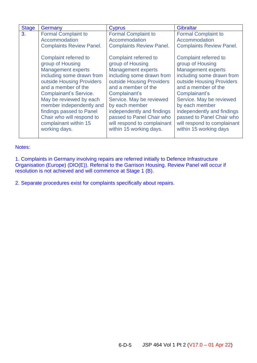| <b>Stage</b> | Germany                                                                                                                                                                                                                                                                                                                                            | <b>Cyprus</b>                                                                                                                                                                                                                                                                                                                               | <b>Gibraltar</b>                                                                                                                                                                                                                                                                                                                           |
|--------------|----------------------------------------------------------------------------------------------------------------------------------------------------------------------------------------------------------------------------------------------------------------------------------------------------------------------------------------------------|---------------------------------------------------------------------------------------------------------------------------------------------------------------------------------------------------------------------------------------------------------------------------------------------------------------------------------------------|--------------------------------------------------------------------------------------------------------------------------------------------------------------------------------------------------------------------------------------------------------------------------------------------------------------------------------------------|
| 3.           | <b>Formal Complaint to</b>                                                                                                                                                                                                                                                                                                                         | <b>Formal Complaint to</b>                                                                                                                                                                                                                                                                                                                  | <b>Formal Complaint to</b>                                                                                                                                                                                                                                                                                                                 |
|              | Accommodation                                                                                                                                                                                                                                                                                                                                      | Accommodation                                                                                                                                                                                                                                                                                                                               | Accommodation                                                                                                                                                                                                                                                                                                                              |
|              | <b>Complaints Review Panel.</b>                                                                                                                                                                                                                                                                                                                    | <b>Complaints Review Panel.</b>                                                                                                                                                                                                                                                                                                             | <b>Complaints Review Panel.</b>                                                                                                                                                                                                                                                                                                            |
|              | Complaint referred to<br>group of Housing<br><b>Management experts</b><br>including some drawn from<br>outside Housing Providers<br>and a member of the<br><b>Complainant's Service.</b><br>May be reviewed by each<br>member independently and<br>findings passed to Panel<br>Chair who will respond to<br>complainant within 15<br>working days. | Complaint referred to<br>group of Housing<br><b>Management experts</b><br>including some drawn from<br>outside Housing Providers<br>and a member of the<br>Complainant's<br>Service. May be reviewed<br>by each member<br>independently and findings<br>passed to Panel Chair who<br>will respond to complainant<br>within 15 working days. | Complaint referred to<br>group of Housing<br><b>Management experts</b><br>including some drawn from<br>outside Housing Providers<br>and a member of the<br>Complainant's<br>Service. May be reviewed<br>by each member<br>independently and findings<br>passed to Panel Chair who<br>will respond to complainant<br>within 15 working days |
|              |                                                                                                                                                                                                                                                                                                                                                    |                                                                                                                                                                                                                                                                                                                                             |                                                                                                                                                                                                                                                                                                                                            |

#### Notes:

1. Complaints in Germany involving repairs are referred initially to Defence Infrastructure Organisation (Europe) (DIO(E)). Referral to the Garrison Housing. Review Panel will occur if resolution is not achieved and will commence at Stage 1 (B).

2. Separate procedures exist for complaints specifically about repairs.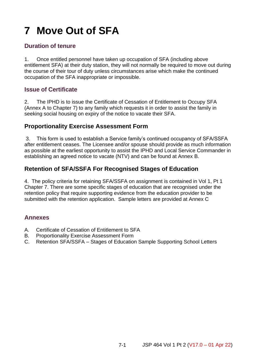# **7 Move Out of SFA**

## **Duration of tenure**

1. Once entitled personnel have taken up occupation of SFA (including above entitlement SFA) at their duty station, they will not normally be required to move out during the course of their tour of duty unless circumstances arise which make the continued occupation of the SFA inappropriate or impossible.

## **Issue of Certificate**

2. The IPHD is to issue the Certificate of Cessation of Entitlement to Occupy SFA (Annex A to Chapter 7) to any family which requests it in order to assist the family in seeking social housing on expiry of the notice to vacate their SFA.

## **Proportionality Exercise Assessment Form**

3. This form is used to establish a Service family's continued occupancy of SFA/SSFA after entitlement ceases. The Licensee and/or spouse should provide as much information as possible at the earliest opportunity to assist the IPHD and Local Service Commander in establishing an agreed notice to vacate (NTV) and can be found at Annex B.

## **Retention of SFA/SSFA For Recognised Stages of Education**

4. The policy criteria for retaining SFA/SSFA on assignment is contained in Vol 1, Pt 1 Chapter 7. There are some specific stages of education that are recognised under the retention policy that require supporting evidence from the education provider to be submitted with the retention application. Sample letters are provided at Annex C

## **Annexes**

- A. Certificate of Cessation of Entitlement to SFA
- B. Proportionality Exercise Assessment Form
- C. Retention SFA/SSFA Stages of Education Sample Supporting School Letters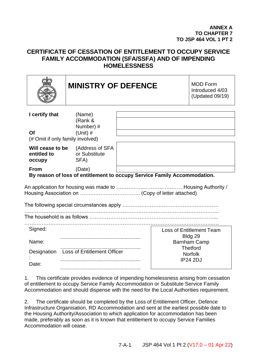## **CERTIFICATE OF CESSATION OF ENTITLEMENT TO OCCUPY SERVICE FAMILY ACCOMMODATION (SFA/SSFA) AND OF IMPENDING HOMELESSNESS**

|                                                          | <b>MINISTRY OF DEFENCE</b>                                                         |  |  | <b>MOD Form</b><br>Introduced 4/03<br>(Updated 09/19) |  |  |  |  |
|----------------------------------------------------------|------------------------------------------------------------------------------------|--|--|-------------------------------------------------------|--|--|--|--|
| I certify that<br>Of<br>(# Omit if only family involved) | (Name)<br>(Rank &<br>Number) #<br>(Unit) $#$                                       |  |  |                                                       |  |  |  |  |
| Will cease to be<br>entitled to<br>occupy                | (Address of SFA<br>or Substitute<br>SFA)                                           |  |  |                                                       |  |  |  |  |
| <b>From</b>                                              | (Date)<br>By reason of loss of entitlement to occupy Service Family Accommodation. |  |  |                                                       |  |  |  |  |
|                                                          |                                                                                    |  |  |                                                       |  |  |  |  |
|                                                          |                                                                                    |  |  |                                                       |  |  |  |  |
| Signed:<br><b>Loss of Entitlement Team</b><br>Bldg 29    |                                                                                    |  |  |                                                       |  |  |  |  |
| Name:                                                    |                                                                                    |  |  | Barnham Camp<br><b>Thetford</b>                       |  |  |  |  |
| Date:                                                    | Designation Loss of Entitlement Officer                                            |  |  | <b>Norfolk</b><br><b>IP24 2DJ</b>                     |  |  |  |  |

1. This certificate provides evidence of impending homelessness arising from cessation of entitlement to occupy Service Family Accommodation or Substitute Service Family Accommodation and should dispense with the need for the Local Authorities requirement.

2. The certificate should be completed by the Loss of Entitlement Officer, Defence Infrastructure Organisation, RD Accommodation and sent at the earliest possible date to the Housing Authority/Association to which application for accommodation has been made, preferably as soon as it is known that entitlement to occupy Service Families Accommodation will cease.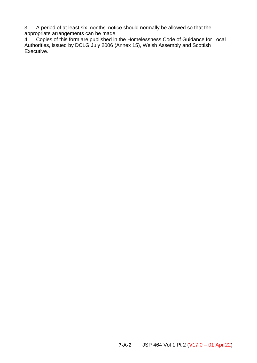3. A period of at least six months' notice should normally be allowed so that the appropriate arrangements can be made.

4. Copies of this form are published in the Homelessness Code of Guidance for Local Authorities, issued by DCLG July 2006 (Annex 15), Welsh Assembly and Scottish Executive.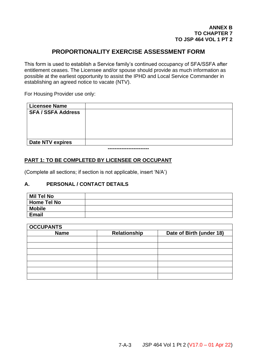#### **ANNEX B TO CHAPTER 7 TO JSP 464 VOL 1 PT 2**

٦

## **PROPORTIONALITY EXERCISE ASSESSMENT FORM**

This form is used to establish a Service family's continued occupancy of SFA/SSFA after entitlement ceases. The Licensee and/or spouse should provide as much information as possible at the earliest opportunity to assist the IPHD and Local Service Commander in establishing an agreed notice to vacate (NTV).

For Housing Provider use only:

| <b>Licensee Name</b>      |  |  |  |
|---------------------------|--|--|--|
| <b>SFA / SSFA Address</b> |  |  |  |
|                           |  |  |  |
|                           |  |  |  |
|                           |  |  |  |
|                           |  |  |  |
| <b>Date NTV expires</b>   |  |  |  |
| --------------------      |  |  |  |

#### **PART 1: TO BE COMPLETED BY LICENSEE OR OCCUPANT**

(Complete all sections; if section is not applicable, insert 'N/A')

#### **A. PERSONAL / CONTACT DETAILS**

| Mil Tel No         |  |
|--------------------|--|
| <b>Home Tel No</b> |  |
| Mobile             |  |
| <b>Email</b>       |  |

| <b>UUUUFANIJ</b> |              |                          |  |  |
|------------------|--------------|--------------------------|--|--|
| <b>Name</b>      | Relationship | Date of Birth (under 18) |  |  |
|                  |              |                          |  |  |
|                  |              |                          |  |  |
|                  |              |                          |  |  |
|                  |              |                          |  |  |
|                  |              |                          |  |  |
|                  |              |                          |  |  |
|                  |              |                          |  |  |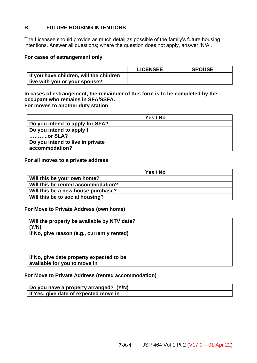#### **B. FUTURE HOUSING INTENTIONS**

The Licensee should provide as much detail as possible of the family's future housing intentions. Answer all questions; where the question does not apply, answer 'N/A'.

#### **For cases of estrangement only**

|                                         | <b>LICENSEE</b> | <b>SPOUSE</b> |
|-----------------------------------------|-----------------|---------------|
| If you have children, will the children |                 |               |
| I live with you or your spouse?         |                 |               |

**In cases of estrangement, the remainder of this form is to be completed by the occupant who remains in SFA/SSFA. For moves to another duty station**

|                                  | Yes / No |
|----------------------------------|----------|
| Do you intend to apply for SFA?  |          |
| Do you intend to apply f         |          |
| or <b>SLA</b> ?                  |          |
| Do you intend to live in private |          |
| accommodation?                   |          |

#### **For all moves to a private address**

|                                    | Yes / No |
|------------------------------------|----------|
| Will this be your own home?        |          |
| Will this be rented accommodation? |          |
| Will this be a new house purchase? |          |
| Will this be to social housing?    |          |

#### **For Move to Private Address (own home)**

| Will the property be available by NTV date?<br>(Y/N)                     |  |
|--------------------------------------------------------------------------|--|
| If No, give reason (e.g., currently rented)                              |  |
| If No, give date property expected to be<br>available for you to move in |  |

#### **For Move to Private Address (rented accommodation)**

| Do you have a property arranged? (Y/N) |  |
|----------------------------------------|--|
| If Yes, give date of expected move in  |  |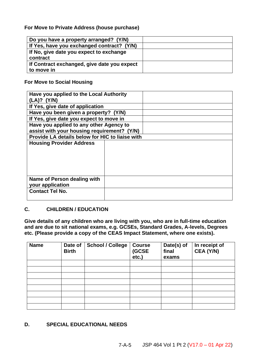**For Move to Private Address (house purchase)**

| Do you have a property arranged? (Y/N)                    |  |
|-----------------------------------------------------------|--|
| If Yes, have you exchanged contract? (Y/N)                |  |
| If No, give date you expect to exchange<br>contract       |  |
| If Contract exchanged, give date you expect<br>to move in |  |

#### **For Move to Social Housing**

| Have you applied to the Local Authority         |  |  |  |
|-------------------------------------------------|--|--|--|
| (LA)? (Y/N)                                     |  |  |  |
| If Yes, give date of application                |  |  |  |
| Have you been given a property? (Y/N)           |  |  |  |
| If Yes, give date you expect to move in         |  |  |  |
| Have you applied to any other Agency to         |  |  |  |
| assist with your housing requirement? (Y/N)     |  |  |  |
| Provide LA details below for HIC to liaise with |  |  |  |
| <b>Housing Provider Address</b>                 |  |  |  |
|                                                 |  |  |  |
|                                                 |  |  |  |
|                                                 |  |  |  |
|                                                 |  |  |  |
|                                                 |  |  |  |
| Name of Person dealing with                     |  |  |  |
| your application                                |  |  |  |
|                                                 |  |  |  |
|                                                 |  |  |  |
| <b>Contact Tel No.</b>                          |  |  |  |

#### **C. CHILDREN / EDUCATION**

**Give details of any children who are living with you, who are in full-time education and are due to sit national exams, e.g. GCSEs, Standard Grades, A-levels, Degrees etc. (Please provide a copy of the CEAS Impact Statement, where one exists).**

| <b>Name</b> | Date of<br><b>Birth</b> | <b>School / College</b> | <b>Course</b><br>(GCSE<br>etc.) | Date(s) of<br>final<br>exams | In receipt of<br>CEA (Y/N) |
|-------------|-------------------------|-------------------------|---------------------------------|------------------------------|----------------------------|
|             |                         |                         |                                 |                              |                            |
|             |                         |                         |                                 |                              |                            |
|             |                         |                         |                                 |                              |                            |
|             |                         |                         |                                 |                              |                            |
|             |                         |                         |                                 |                              |                            |
|             |                         |                         |                                 |                              |                            |
|             |                         |                         |                                 |                              |                            |
|             |                         |                         |                                 |                              |                            |

### **D. SPECIAL EDUCATIONAL NEEDS**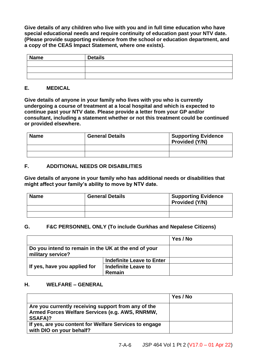**Give details of any children who live with you and in full time education who have special educational needs and require continuity of education past your NTV date. (Please provide supporting evidence from the school or education department, and a copy of the CEAS Impact Statement, where one exists).**

| <b>Name</b> | <b>Details</b> |
|-------------|----------------|
|             |                |
|             |                |
|             |                |

#### **E. MEDICAL**

**Give details of anyone in your family who lives with you who is currently undergoing a course of treatment at a local hospital and which is expected to continue past your NTV date. Please provide a letter from your GP and/or consultant, including a statement whether or not this treatment could be continued or provided elsewhere.**

| <b>Name</b> | <b>General Details</b> | <b>Supporting Evidence</b><br><b>Provided (Y/N)</b> |
|-------------|------------------------|-----------------------------------------------------|
|             |                        |                                                     |
|             |                        |                                                     |

#### **F. ADDITIONAL NEEDS OR DISABILITIES**

**Give details of anyone in your family who has additional needs or disabilities that might affect your family's ability to move by NTV date.**

| <b>Name</b> | <b>General Details</b> | <b>Supporting Evidence</b><br><b>Provided (Y/N)</b> |
|-------------|------------------------|-----------------------------------------------------|
|             |                        |                                                     |
|             |                        |                                                     |

#### **G. F&C PERSONNEL ONLY (To include Gurkhas and Nepalese Citizens)**

|                                                                           |                                  | Yes / No |
|---------------------------------------------------------------------------|----------------------------------|----------|
| Do you intend to remain in the UK at the end of your<br>military service? |                                  |          |
|                                                                           | <b>Indefinite Leave to Enter</b> |          |
| If yes, have you applied for                                              | <b>Indefinite Leave to</b>       |          |
|                                                                           | Remain                           |          |

#### **H. WELFARE – GENERAL**

|                                                                                                                   | Yes / No |
|-------------------------------------------------------------------------------------------------------------------|----------|
| Are you currently receiving support from any of the<br>Armed Forces Welfare Services (e.g. AWS, RNRMW,<br>SSAFA)? |          |
| If yes, are you content for Welfare Services to engage<br>with DIO on your behalf?                                |          |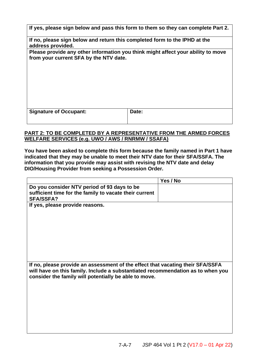| If yes, please sign below and pass this form to them so they can complete Part 2.                                          |       |
|----------------------------------------------------------------------------------------------------------------------------|-------|
| If no, please sign below and return this completed form to the IPHD at the<br>address provided.                            |       |
| Please provide any other information you think might affect your ability to move<br>from your current SFA by the NTV date. |       |
|                                                                                                                            |       |
|                                                                                                                            |       |
|                                                                                                                            |       |
|                                                                                                                            |       |
| <b>Signature of Occupant:</b>                                                                                              | Date: |

#### **PART 2: TO BE COMPLETED BY A REPRESENTATIVE FROM THE ARMED FORCES WELFARE SERVICES (e.g. UWO / AWS / RNRMW / SSAFA)**

**You have been asked to complete this form because the family named in Part 1 have indicated that they may be unable to meet their NTV date for their SFA/SSFA. The information that you provide may assist with revising the NTV date and delay DIO/Housing Provider from seeking a Possession Order.**

|                                                                                                                                                                   | Yes / No |
|-------------------------------------------------------------------------------------------------------------------------------------------------------------------|----------|
| Do you consider NTV period of 93 days to be<br>sufficient time for the family to vacate their current<br><b>SFA/SSFA?</b>                                         |          |
| If yes, please provide reasons.                                                                                                                                   |          |
| If no, please provide an assessment of the effect that vacating their SFA/SSFA<br>will have on this family. Include a substantiated recommendation as to when you |          |
| consider the family will potentially be able to move.                                                                                                             |          |
|                                                                                                                                                                   |          |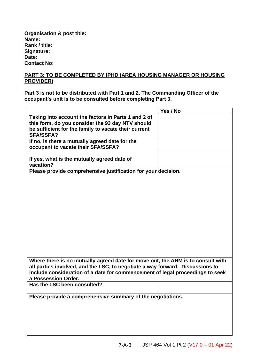**Organisation & post title: Name: Rank / title: Signature: Date: Contact No:**

#### **PART 3: TO BE COMPLETED BY IPHD (AREA HOUSING MANAGER OR HOUSING PROVIDER)**

**Part 3 is not to be distributed with Part 1 and 2. The Commanding Officer of the occupant's unit is to be consulted before completing Part 3.**

| Yes / No                                                                        |  |
|---------------------------------------------------------------------------------|--|
| Taking into account the factors in Parts 1 and 2 of                             |  |
| this form, do you consider the 93 day NTV should                                |  |
| be sufficient for the family to vacate their current                            |  |
| <b>SFA/SSFA?</b>                                                                |  |
| If no, is there a mutually agreed date for the                                  |  |
| occupant to vacate their SFA/SSFA?                                              |  |
| If yes, what is the mutually agreed date of                                     |  |
| vacation?                                                                       |  |
| Please provide comprehensive justification for your decision.                   |  |
|                                                                                 |  |
|                                                                                 |  |
|                                                                                 |  |
|                                                                                 |  |
|                                                                                 |  |
|                                                                                 |  |
|                                                                                 |  |
|                                                                                 |  |
|                                                                                 |  |
|                                                                                 |  |
|                                                                                 |  |
|                                                                                 |  |
|                                                                                 |  |
| Where there is no mutually agreed date for move out, the AHM is to consult with |  |
| all parties involved, and the LSC, to negotiate a way forward. Discussions to   |  |
| include consideration of a date for commencement of legal proceedings to seek   |  |
| a Possession Order.                                                             |  |
| Has the LSC been consulted?                                                     |  |
|                                                                                 |  |
| Please provide a comprehensive summary of the negotiations.                     |  |
|                                                                                 |  |
|                                                                                 |  |
|                                                                                 |  |
|                                                                                 |  |
|                                                                                 |  |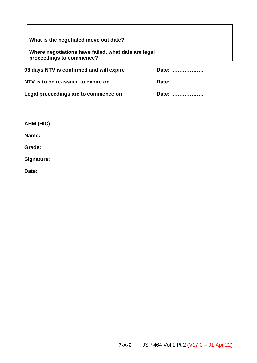| What is the negotiated move out date?                                           |         |
|---------------------------------------------------------------------------------|---------|
| Where negotiations have failed, what date are legal<br>proceedings to commence? |         |
| 93 days NTV is confirmed and will expire                                        | Date: . |

| NTV is to be re-issued to expire on | Date: |
|-------------------------------------|-------|
|                                     |       |

| Legal proceedings are to commence on | Date: |
|--------------------------------------|-------|
|--------------------------------------|-------|

**AHM (HIC):**

**Name:**

**Grade:**

**Signature:**

**Date:**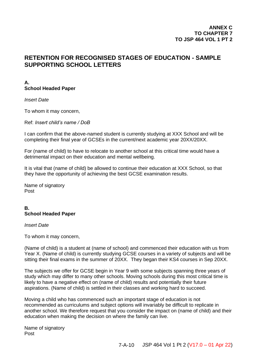## **RETENTION FOR RECOGNISED STAGES OF EDUCATION - SAMPLE SUPPORTING SCHOOL LETTERS**

#### **A. School Headed Paper**

*Insert Date*

To whom it may concern,

Ref: *Insert child's name / DoB*

I can confirm that the above-named student is currently studying at XXX School and will be completing their final year of GCSEs in the current/next academic year 20XX/20XX.

For (name of child) to have to relocate to another school at this critical time would have a detrimental impact on their education and mental wellbeing.

It is vital that (name of child) be allowed to continue their education at XXX School, so that they have the opportunity of achieving the best GCSE examination results.

Name of signatory Post

#### **B. School Headed Paper**

#### *Insert Date*

To whom it may concern,

(Name of child) is a student at (name of school) and commenced their education with us from Year X. (Name of child) is currently studying GCSE courses in a variety of subjects and will be sitting their final exams in the summer of 20XX. They began their KS4 courses in Sep 20XX.

The subjects we offer for GCSE begin in Year 9 with some subjects spanning three years of study which may differ to many other schools. Moving schools during this most critical time is likely to have a negative effect on (name of child) results and potentially their future aspirations. (Name of child) is settled in their classes and working hard to succeed.

Moving a child who has commenced such an important stage of education is not recommended as curriculums and subject options will invariably be difficult to replicate in another school. We therefore request that you consider the impact on (name of child) and their education when making the decision on where the family can live.

Name of signatory Post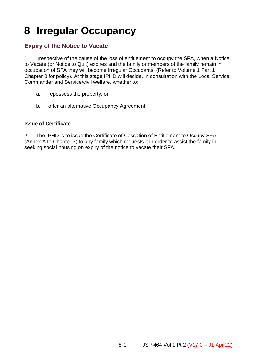## **8 Irregular Occupancy**

## **Expiry of the Notice to Vacate**

1. Irrespective of the cause of the loss of entitlement to occupy the SFA, when a Notice to Vacate (or Notice to Quit) expires and the family or members of the family remain in occupation of SFA they will become Irregular Occupants. (Refer to Volume 1 Part 1 Chapter 8 for policy). At this stage IPHD will decide, in consultation with the Local Service Commander and Service/civil welfare, whether to:

- a. repossess the property, or
- b. offer an alternative Occupancy Agreement.

#### **Issue of Certificate**

2. The IPHD is to issue the Certificate of Cessation of Entitlement to Occupy SFA (Annex A to Chapter 7) to any family which requests it in order to assist the family in seeking social housing on expiry of the notice to vacate their SFA.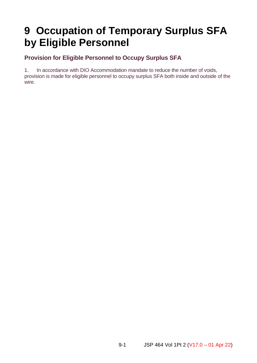# **9 Occupation of Temporary Surplus SFA by Eligible Personnel**

## **Provision for Eligible Personnel to Occupy Surplus SFA**

1. In accordance with DIO Accommodation mandate to reduce the number of voids, provision is made for eligible personnel to occupy surplus SFA both inside and outside of the wire.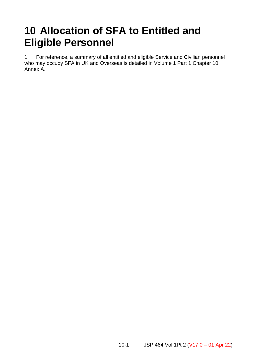## **10 Allocation of SFA to Entitled and Eligible Personnel**

1. For reference, a summary of all entitled and eligible Service and Civilian personnel who may occupy SFA in UK and Overseas is detailed in Volume 1 Part 1 Chapter 10 Annex A.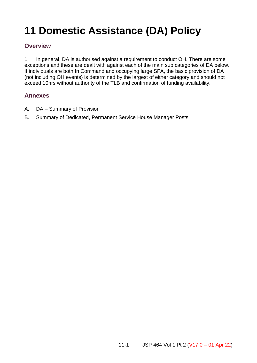# **11 Domestic Assistance (DA) Policy**

### **Overview**

1. In general, DA is authorised against a requirement to conduct OH. There are some exceptions and these are dealt with against each of the main sub categories of DA below. If individuals are both In Command and occupying large SFA, the basic provision of DA (not including OH events) is determined by the largest of either category and should not exceed 10hrs without authority of the TLB and confirmation of funding availability.

## **Annexes**

- A. DA Summary of Provision
- B. Summary of Dedicated, Permanent Service House Manager Posts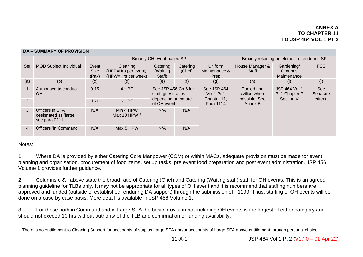#### **ANNEX A TO CHAPTER 11 TO JSP 464 VOL 1 PT 2**

#### **DA – SUMMARY OF PROVISION**

|     |                                                           | Broadly OH event-based SP     |                                                              |                                                                                   |                    | Broadly retaining an element of enduring SP           |                                                          |                                              |                                    |
|-----|-----------------------------------------------------------|-------------------------------|--------------------------------------------------------------|-----------------------------------------------------------------------------------|--------------------|-------------------------------------------------------|----------------------------------------------------------|----------------------------------------------|------------------------------------|
| Ser | <b>MOD Subject Individual</b>                             | Event<br><b>Size</b><br>(Pax) | <b>Cleaning</b><br>(HPE=Hrs per event)<br>(HPW=Hrs per week) | Catering<br>(Waiting<br>Staff)                                                    | Catering<br>(Chef) | Uniform<br>Maintenance &<br>Prep                      | House Manager &<br>Staff                                 | Gardening/<br><b>Grounds</b><br>Maintenance  | <b>FSS</b>                         |
| (a) | (b)                                                       | (c)                           | (d)                                                          | (e)                                                                               | (f)                | (g)                                                   | (h)                                                      | (i)                                          | (j)                                |
|     | Authorised to conduct<br><b>OH</b>                        | $0 - 15$                      | 4 HPE                                                        | See JSP 456 Ch 6 for<br>staff: guest ratios<br>depending on nature<br>of OH event |                    | See JSP 464<br>Vol 1 Pt 1<br>Chapter 11,<br>Para 1114 | Pooled and<br>civilian where<br>possible. See<br>Annex B | JSP 464 Vol 1<br>Pt 1 Chapter 7<br>Section V | <b>See</b><br>Separate<br>criteria |
| 2   |                                                           | $16+$                         | 6 HPE                                                        |                                                                                   |                    |                                                       |                                                          |                                              |                                    |
| 3   | Officers in SFA<br>designated as 'large'<br>see para 0211 | N/A                           | Min 4 HPW<br>Max 10 HPW <sup>13</sup>                        | N/A                                                                               | N/A                |                                                       |                                                          |                                              |                                    |
| 4   | Officers 'In Command'                                     | N/A                           | Max 5 HPW                                                    | N/A                                                                               | N/A                |                                                       |                                                          |                                              |                                    |

#### Notes:

1. Where DA is provided by either Catering Core Manpower (CCM) or within MACs, adequate provision must be made for event planning and organisation, procurement of food items, set up tasks, pre event food preparation and post event administration. JSP 456 Volume 1 provides further guidance.

2. Columns e & f above state the broad ratio of Catering (Chef) and Catering (Waiting staff) staff for OH events. This is an agreed planning guideline for TLBs only. It may not be appropriate for all types of OH event and it is recommend that staffing numbers are approved and funded (outside of established, enduring DA support) through the submission of F1199. Thus, staffing of OH events will be done on a case by case basis. More detail is available in JSP 456 Volume 1.

3. For those both in Command and in Large SFA the basic provision not including OH events is the largest of either category and should not exceed 10 hrs without authority of the TLB and confirmation of funding availability.

<sup>&</sup>lt;sup>13</sup> There is no entitlement to Cleaning Support for occupants of surplus Large SFA and/or occupants of Large SFA above entitlement through personal choice.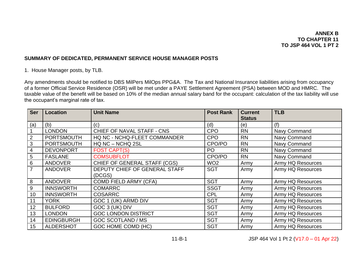#### **SUMMARY OF DEDICATED, PERMANENT SERVICE HOUSE MANAGER POSTS**

1. House Manager posts, by TLB.

Any amendments should be notified to DBS MilPers MilOps PPG&A. The Tax and National Insurance liabilities arising from occupancy of a former Official Service Residence (OSR) will be met under a PAYE Settlement Agreement (PSA) between MOD and HMRC. The taxable value of the benefit will be based on 10% of the median annual salary band for the occupant: calculation of the tax liability will use the occupant's marginal rate of tax.

| <b>Ser</b>       | <b>Location</b>   | <b>Unit Name</b>                    | <b>Post Rank</b> | <b>Current</b><br><b>Status</b> | <b>TLB</b>               |
|------------------|-------------------|-------------------------------------|------------------|---------------------------------|--------------------------|
| (a)              | (b)               | (c)                                 | (d)              | (e)                             | (f)                      |
|                  | <b>LONDON</b>     | CHIEF OF NAVAL STAFF - CNS          | <b>CPO</b>       | <b>RN</b>                       | Navy Command             |
| $\overline{2}$   | <b>PORTSMOUTH</b> | HQ NC - NCHQ-FLEET COMMANDER        | <b>CPO</b>       | <b>RN</b>                       | Navy Command             |
| 3                | <b>PORTSMOUTH</b> | HQ NC - NCHQ 2SL                    | CPO/PO           | <b>RN</b>                       | Navy Command             |
| 4                | <b>DEVONPORT</b>  | <b>FOST CAPT(S)</b>                 | PO               | <b>RN</b>                       | Navy Command             |
| 5                | <b>FASLANE</b>    | <b>COMSUBFLOT</b>                   | CPO/PO           | <b>RN</b>                       | Navy Command             |
| 6                | <b>ANDOVER</b>    | <b>CHIEF OF GENERAL STAFF (CGS)</b> | WO <sub>2</sub>  | Army                            | Army HQ Resources        |
|                  | <b>ANDOVER</b>    | DEPUTY CHIEF OF GENERAL STAFF       | <b>SGT</b>       | Army                            | Army HQ Resources        |
|                  |                   | (DCGS)                              |                  |                                 |                          |
| 8                | <b>ANDOVER</b>    | <b>COMD FIELD ARMY (CFA)</b>        | <b>SGT</b>       | Army                            | Army HQ Resources        |
| 9                | <b>INNSWORTH</b>  | <b>COMARRC</b>                      | <b>SSGT</b>      | Army                            | Army HQ Resources        |
| 10               | <b>INNSWORTH</b>  | <b>COSARRC</b>                      | <b>CPL</b>       | Army                            | Army HQ Resources        |
| 11               | <b>YORK</b>       | GOC 1 (UK) ARMD DIV                 | <b>SGT</b>       | Army                            | Army HQ Resources        |
| 12               | <b>BULFORD</b>    | GOC 3 (UK) DIV                      | <b>SGT</b>       | Army                            | <b>Army HQ Resources</b> |
| 13               | <b>LONDON</b>     | <b>GOC LONDON DISTRICT</b>          | <b>SGT</b>       | Army                            | Army HQ Resources        |
| 14               | <b>EDINGBURGH</b> | <b>GOC SCOTLAND / MS</b>            | <b>SGT</b>       | Army                            | Army HQ Resources        |
| 15 <sub>15</sub> | <b>ALDERSHOT</b>  | GOC HOME COMD (HC)                  | <b>SGT</b>       | Army                            | <b>Army HQ Resources</b> |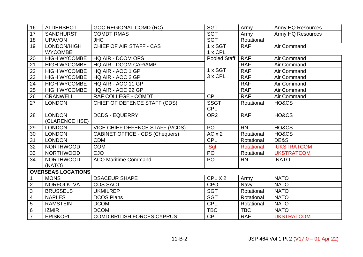| 16             | <b>ALDERSHOT</b>          | <b>GOC REGIONAL COMD (RC)</b>          | <b>SGT</b>          | Army       | Army HQ Resources |
|----------------|---------------------------|----------------------------------------|---------------------|------------|-------------------|
| 17             | <b>SANDHURST</b>          | <b>COMDT RMAS</b>                      | <b>SGT</b>          | Army       | Army HQ Resources |
| 18             | <b>UPAVON</b>             | <b>JHC</b>                             | <b>SGT</b>          | Rotational |                   |
| 19             | LONDON/HIGH               | CHIEF OF AIR STAFF - CAS               | $1 \times SGT$      | <b>RAF</b> | Air Command       |
|                | <b>WYCOMBE</b>            |                                        | $1 \times$ CPL      |            |                   |
| 20             | <b>HIGH WYCOMBE</b>       | HQ AIR - DCOM OPS                      | <b>Pooled Staff</b> | <b>RAF</b> | Air Command       |
| 21             | <b>HIGH WYCOMBE</b>       | HQ AIR - DCOM CAP/AMP                  |                     | <b>RAF</b> | Air Command       |
| 22             | <b>HIGH WYCOMBE</b>       | HQ AIR - AOC 1 GP                      | 1 x SGT             | <b>RAF</b> | Air Command       |
| 23             | <b>HIGH WYCOMBE</b>       | HQ AIR - AOC 2 GP                      | $3 \times$ CPL      | <b>RAF</b> | Air Command       |
| 24             | <b>HIGH WYCOMBE</b>       | HQ AIR - AOC 11 GP                     |                     | <b>RAF</b> | Air Command       |
| 25             | <b>HIGH WYCOMBE</b>       | HQ AIR - AOC 22 GP                     |                     | <b>RAF</b> | Air Command       |
| 26             | <b>CRANWELL</b>           | RAF COLLEGE - COMDT                    | <b>CPL</b>          | <b>RAF</b> | Air Command       |
| 27             | <b>LONDON</b>             | CHIEF OF DEFENCE STAFF (CDS)           | SSGT+               | Rotational | HO&CS             |
|                |                           |                                        | <b>CPL</b>          |            |                   |
| 28             | <b>LONDON</b>             | <b>DCDS - EQUERRY</b>                  | OR <sub>2</sub>     | <b>RAF</b> | HO&CS             |
|                | (CLARENCE HSE)            |                                        |                     |            |                   |
| 29             | <b>LONDON</b>             | VICE CHIEF DEFENCE STAFF (VCDS)        | <b>PO</b>           | <b>RN</b>  | HO&CS             |
| 30             | <b>LONDON</b>             | <b>CABINET OFFICE - CDS (Chequers)</b> | $AC \times 2$       | Rotational | HO&CS             |
| 31             | <b>LONDON</b>             | <b>CDM</b>                             | <b>CPL</b>          | Rotational | DE&S              |
| 32             | <b>NORTHWOOD</b>          | <b>COM</b>                             | Sgt                 | Rotational | <b>UKSTRATCOM</b> |
| 33             | <b>NORTHWOOD</b>          | <b>CJO</b>                             | PO                  | Rotational | <b>UKSTRATCOM</b> |
| 34             | <b>NORTHWOOD</b>          | <b>ACO Maritime Command</b>            | P <sub>O</sub>      | <b>RN</b>  | <b>NATO</b>       |
|                | (NATO)                    |                                        |                     |            |                   |
|                | <b>OVERSEAS LOCATIONS</b> |                                        |                     |            |                   |
| $\mathbf{1}$   | <b>MONS</b>               | <b>DSACEUR SHAPE</b>                   | CPL X 2             | Army       | <b>NATO</b>       |
| $\overline{2}$ | NORFOLK, VA               | <b>COS SACT</b>                        | <b>CPO</b>          | Navy       | <b>NATO</b>       |
| $\mathfrak{S}$ | <b>BRUSSELS</b>           | <b>UKMILREP</b>                        | <b>SGT</b>          | Rotational | <b>NATO</b>       |
| $\overline{4}$ | <b>NAPLES</b>             | <b>DCOS Plans</b>                      | <b>SGT</b>          | Rotational | <b>NATO</b>       |
| $\sqrt{5}$     | <b>RAMSTEIN</b>           | <b>DCOM</b>                            | <b>CPL</b>          | Rotational | <b>NATO</b>       |
| $\overline{6}$ | <b>IZMIR</b>              | <b>DCOM</b>                            | <b>TBC</b>          | <b>TBC</b> | <b>NATO</b>       |
| $\overline{7}$ | <b>EPISKOPI</b>           | <b>COMD BRITISH FORCES CYPRUS</b>      | <b>CPL</b>          | <b>RAF</b> | <b>UKSTRATCOM</b> |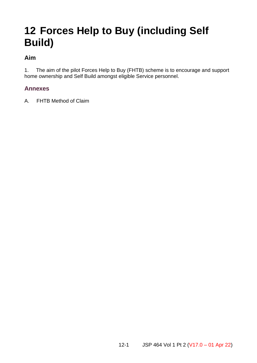# **12 Forces Help to Buy (including Self Build)**

## **Aim**

1. The aim of the pilot Forces Help to Buy (FHTB) scheme is to encourage and support home ownership and Self Build amongst eligible Service personnel.

## **Annexes**

A. FHTB Method of Claim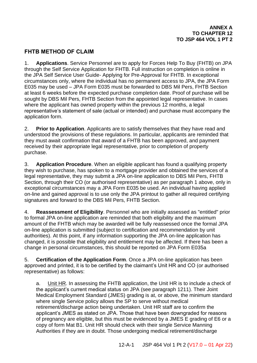#### **ANNEX A TO CHAPTER 12 TO JSP 464 VOL 1 PT 2**

## **FHTB METHOD OF CLAIM**

1. **Applications**. Service Personnel are to apply for Forces Help To Buy (FHTB) on JPA through the Self Service Application for FHTB. Full instruction on completion is online in the JPA Self Service User Guide- Applying for Pre-Approval for FHTB. In exceptional circumstances only, where the individual has no permanent access to JPA, the JPA Form E035 may be used – JPA Form E035 must be forwarded to DBS Mil Pers, FHTB Section at least 6 weeks before the expected purchase completion date. Proof of purchase will be sought by DBS Mil Pers, FHTB Section from the appointed legal representative. In cases where the applicant has owned property within the previous 12 months, a legal representative's statement of sale (actual or intended) and purchase must accompany the application form.

2. **Prior to Application**. Applicants are to satisfy themselves that they have read and understood the provisions of these regulations. In particular, applicants are reminded that they must await confirmation that award of a FHTB has been approved, and payment received by their appropriate legal representative, prior to completion of property purchase.

3. **Application Procedure**. When an eligible applicant has found a qualifying property they wish to purchase, has spoken to a mortgage provider and obtained the services of a legal representative, they may submit a JPA on-line application to DBS Mil Pers, FHTB Section, through their CO (or authorised representative) as per paragraph 1 above, only in exceptional circumstances may a JPA Form E035 be used. An individual having applied on-line and gained approval is to use only the JPA printout to gather all required certifying signatures and forward to the DBS Mil Pers, FHTB Section.

4. **Reassessment of Eligibility**. Personnel who are initially assessed as "entitled" prior to formal JPA on-line application are reminded that both eligibility and the maximum amount of the FHTB which may be awarded will be fully reassessed once the formal JPA on-line application is submitted (subject to certification and recommendation by unit authorities). At this point, if any information supporting the JPA on-line application has changed, it is possible that eligibility and entitlement may be affected. If there has been a change in personal circumstances, this should be reported on JPA Form E035a

5. **Certification of the Application Form**. Once a JPA on-line application has been approved and printed, it is to be certified by the claimant's Unit HR and CO (or authorised representative) as follows:

a. Unit HR. In assessing the FHTB application, the Unit HR is to include a check of the applicant's current medical status on JPA (see paragraph 1211). Their Joint Medical Employment Standard (JMES) grading is at, or above, the minimum standard where single Service policy allows the SP to serve without medical retirement/discharge action being undertaken. Unit HR staff are to confirm the applicant's JMES as stated on JPA. Those that have been downgraded for reasons of pregnancy are eligible, but this must be evidenced by a JMES E grading of E6 or a copy of form Mat B1. Unit HR should check with their single Service Manning Authorities if they are in doubt. Those undergoing medical retirement/discharge